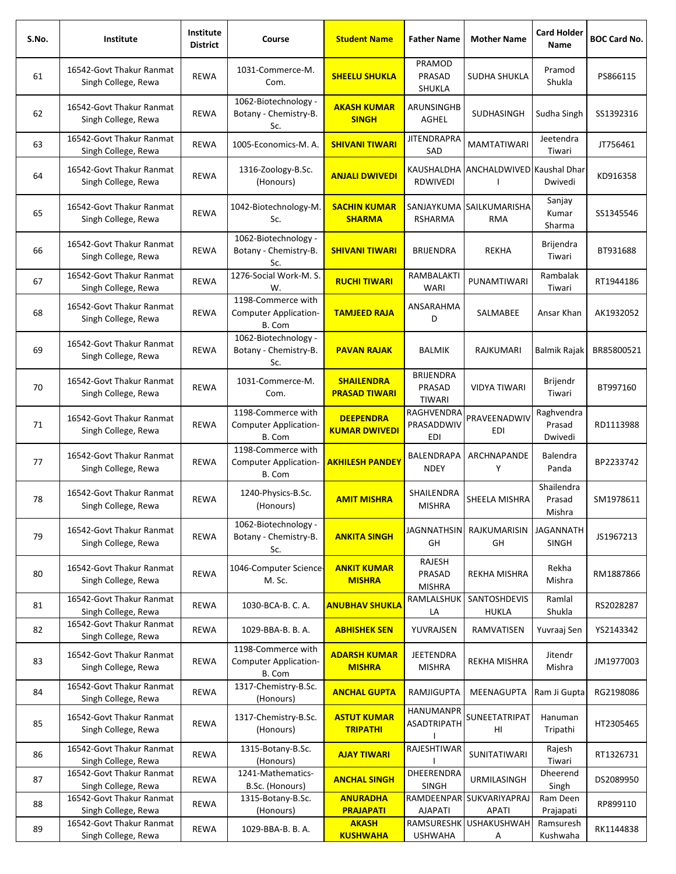| S.No. | Institute                                       | Institute<br><b>District</b> | Course                                                       | <b>Student Name</b>                       | <b>Father Name</b>                   | <b>Mother Name</b>                  | <b>Card Holder</b><br>Name      | <b>BOC Card No.</b> |
|-------|-------------------------------------------------|------------------------------|--------------------------------------------------------------|-------------------------------------------|--------------------------------------|-------------------------------------|---------------------------------|---------------------|
| 61    | 16542-Govt Thakur Ranmat<br>Singh College, Rewa | <b>REWA</b>                  | 1031-Commerce-M.<br>Com.                                     | <b>SHEELU SHUKLA</b>                      | PRAMOD<br>PRASAD<br>SHUKLA           | <b>SUDHA SHUKLA</b>                 | Pramod<br>Shukla                | PS866115            |
| 62    | 16542-Govt Thakur Ranmat<br>Singh College, Rewa | <b>REWA</b>                  | 1062-Biotechnology -<br>Botany - Chemistry-B.<br>Sc.         | <b>AKASH KUMAR</b><br><b>SINGH</b>        | ARUNSINGHB<br><b>AGHEL</b>           | SUDHASINGH                          | Sudha Singh                     | SS1392316           |
| 63    | 16542-Govt Thakur Ranmat<br>Singh College, Rewa | <b>REWA</b>                  | 1005-Economics-M. A.                                         | <b>SHIVANI TIWARI</b>                     | <b>JITENDRAPRA</b><br>SAD            | <b>MAMTATIWARI</b>                  | Jeetendra<br>Tiwari             | JT756461            |
| 64    | 16542-Govt Thakur Ranmat<br>Singh College, Rewa | <b>REWA</b>                  | 1316-Zoology-B.Sc.<br>(Honours)                              | <b>ANJALI DWIVEDI</b>                     | KAUSHALDHA<br>RDWIVEDI               | ANCHALDWIVED Kaushal Dhar           | Dwivedi                         | KD916358            |
| 65    | 16542-Govt Thakur Ranmat<br>Singh College, Rewa | <b>REWA</b>                  | 1042-Biotechnology-M.<br>Sc.                                 | <b>SACHIN KUMAR</b><br><b>SHARMA</b>      | <b>RSHARMA</b>                       | SANJAYKUMA SAILKUMARISHA<br>RMA     | Sanjay<br>Kumar<br>Sharma       | SS1345546           |
| 66    | 16542-Govt Thakur Ranmat<br>Singh College, Rewa | <b>REWA</b>                  | 1062-Biotechnology -<br>Botany - Chemistry-B.<br>Sc.         | <b>SHIVANI TIWARI</b>                     | <b>BRIJENDRA</b>                     | <b>REKHA</b>                        | Brijendra<br>Tiwari             | BT931688            |
| 67    | 16542-Govt Thakur Ranmat<br>Singh College, Rewa | <b>REWA</b>                  | 1276-Social Work-M. S.<br>W.                                 | <b>RUCHI TIWARI</b>                       | RAMBALAKTI<br><b>WARI</b>            | PUNAMTIWARI                         | Rambalak<br>Tiwari              | RT1944186           |
| 68    | 16542-Govt Thakur Ranmat<br>Singh College, Rewa | REWA                         | 1198-Commerce with<br>Computer Application-<br>B. Com        | <b>TAMJEED RAJA</b>                       | ANSARAHMA<br>D                       | SALMABEE                            | Ansar Khan                      | AK1932052           |
| 69    | 16542-Govt Thakur Ranmat<br>Singh College, Rewa | <b>REWA</b>                  | 1062-Biotechnology -<br>Botany - Chemistry-B.<br>Sc.         | <b>PAVAN RAJAK</b>                        | <b>BALMIK</b>                        | RAJKUMARI                           | Balmik Rajak                    | BR85800521          |
| 70    | 16542-Govt Thakur Ranmat<br>Singh College, Rewa | <b>REWA</b>                  | 1031-Commerce-M.<br>Com.                                     | <b>SHAILENDRA</b><br><b>PRASAD TIWARI</b> | <b>BRIJENDRA</b><br>PRASAD<br>TIWARI | VIDYA TIWARI                        | Brijendr<br>Tiwari              | BT997160            |
| 71    | 16542-Govt Thakur Ranmat<br>Singh College, Rewa | <b>REWA</b>                  | 1198-Commerce with<br><b>Computer Application-</b><br>B. Com | <b>DEEPENDRA</b><br><b>KUMAR DWIVEDI</b>  | RAGHVENDRA<br>PRASADDWIV<br>EDI      | PRAVEENADWIV<br>EDI                 | Raghvendra<br>Prasad<br>Dwivedi | RD1113988           |
| 77    | 16542-Govt Thakur Ranmat<br>Singh College, Rewa | REWA                         | 1198-Commerce with<br><b>Computer Application-</b><br>B. Com | <b>AKHILESH PANDEY</b>                    | <b>BALENDRAPA</b><br><b>NDEY</b>     | ARCHNAPANDE<br>Υ                    | Balendra<br>Panda               | BP2233742           |
| 78    | 16542-Govt Thakur Ranmat<br>Singh College, Rewa | <b>REWA</b>                  | 1240-Physics-B.Sc.<br>(Honours)                              | <b>AMIT MISHRA</b>                        | SHAILENDRA<br><b>MISHRA</b>          | SHEELA MISHRA                       | Shailendra<br>Prasad<br>Mishra  | SM1978611           |
| 79    | 16542-Govt Thakur Ranmat<br>Singh College, Rewa | <b>REWA</b>                  | 1062-Biotechnology -<br>Botany - Chemistry-B.<br>Sc.         | <b>ANKITA SINGH</b>                       | <b>JAGNNATHSIN</b><br>GH             | <b>RAJKUMARISIN</b><br>GH           | JAGANNATH<br><b>SINGH</b>       | JS1967213           |
| 80    | 16542-Govt Thakur Ranmat<br>Singh College, Rewa | <b>REWA</b>                  | 1046-Computer Science-<br>M. Sc.                             | <b>ANKIT KUMAR</b><br><b>MISHRA</b>       | RAJESH<br>PRASAD<br><b>MISHRA</b>    | REKHA MISHRA                        | Rekha<br>Mishra                 | RM1887866           |
| 81    | 16542-Govt Thakur Ranmat<br>Singh College, Rewa | <b>REWA</b>                  | 1030-BCA-B. C. A.                                            | <b>ANUBHAV SHUKLA</b>                     | RAMLALSHUK<br>LA                     | <b>SANTOSHDEVIS</b><br><b>HUKLA</b> | Ramlal<br>Shukla                | RS2028287           |
| 82    | 16542-Govt Thakur Ranmat<br>Singh College, Rewa | REWA                         | 1029-BBA-B. B. A.                                            | <b>ABHISHEK SEN</b>                       | YUVRAJSEN                            | RAMVATISEN                          | Yuvraaj Sen                     | YS2143342           |
| 83    | 16542-Govt Thakur Ranmat<br>Singh College, Rewa | <b>REWA</b>                  | 1198-Commerce with<br><b>Computer Application-</b><br>B. Com | <b>ADARSH KUMAR</b><br><b>MISHRA</b>      | <b>JEETENDRA</b><br><b>MISHRA</b>    | REKHA MISHRA                        | Jitendr<br>Mishra               | JM1977003           |
| 84    | 16542-Govt Thakur Ranmat<br>Singh College, Rewa | <b>REWA</b>                  | 1317-Chemistry-B.Sc.<br>(Honours)                            | <b>ANCHAL GUPTA</b>                       | RAMJIGUPTA                           | MEENAGUPTA                          | Ram Ji Gupta                    | RG2198086           |
| 85    | 16542-Govt Thakur Ranmat<br>Singh College, Rewa | REWA                         | 1317-Chemistry-B.Sc.<br>(Honours)                            | <b>ASTUT KUMAR</b><br><b>TRIPATHI</b>     | HANUMANPR<br>ASADTRIPATH             | SUNEETATRIPAT<br>HI                 | Hanuman<br>Tripathi             | HT2305465           |
| 86    | 16542-Govt Thakur Ranmat<br>Singh College, Rewa | <b>REWA</b>                  | 1315-Botany-B.Sc.<br>(Honours)                               | <b>AJAY TIWARI</b>                        | RAJESHTIWAR                          | SUNITATIWARI                        | Rajesh<br>Tiwari                | RT1326731           |
| 87    | 16542-Govt Thakur Ranmat<br>Singh College, Rewa | REWA                         | 1241-Mathematics-<br>B.Sc. (Honours)                         | <b>ANCHAL SINGH</b>                       | DHEERENDRA<br><b>SINGH</b>           | <b>URMILASINGH</b>                  | Dheerend<br>Singh               | DS2089950           |
| 88    | 16542-Govt Thakur Ranmat<br>Singh College, Rewa | REWA                         | 1315-Botany-B.Sc.<br>(Honours)                               | <b>ANURADHA</b><br><b>PRAJAPATI</b>       | RAMDEENPAR<br><b>AJAPATI</b>         | SUKVARIYAPRAJ<br>APATI              | Ram Deen<br>Prajapati           | RP899110            |
| 89    | 16542-Govt Thakur Ranmat<br>Singh College, Rewa | REWA                         | 1029-BBA-B. B. A.                                            | <b>AKASH</b><br><b>KUSHWAHA</b>           | RAMSURESHK<br><b>USHWAHA</b>         | <b>USHAKUSHWAH</b><br>Α             | Ramsuresh<br>Kushwaha           | RK1144838           |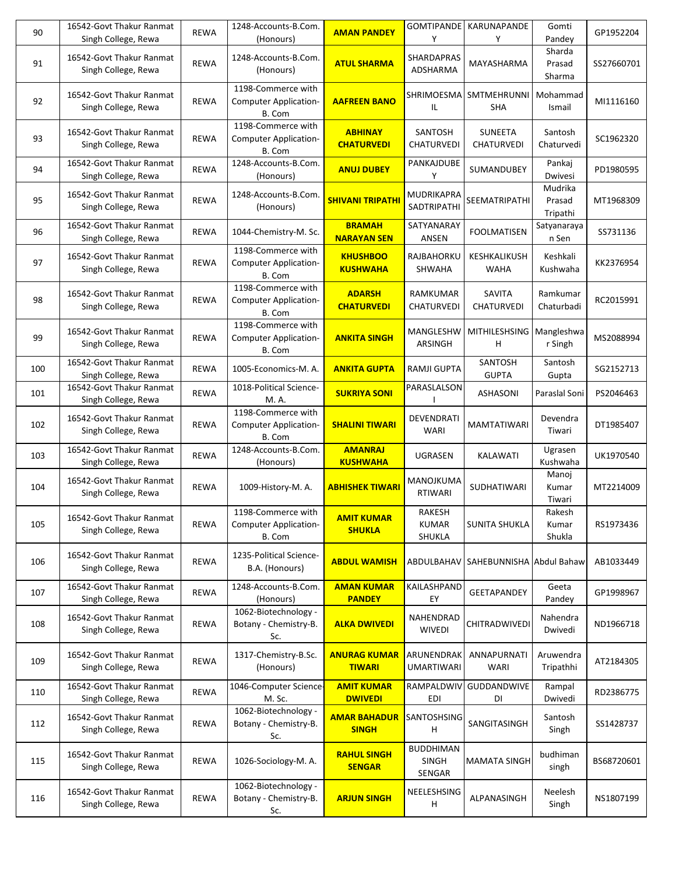| 90  | 16542-Govt Thakur Ranmat<br>Singh College, Rewa | <b>REWA</b> | 1248-Accounts-B.Com.<br>(Honours)                            | <b>AMAN PANDEY</b>                   | <b>GOMTIPANDE</b><br>Y              | KARUNAPANDE<br>Υ                    | Gomti<br>Pandey               | GP1952204  |
|-----|-------------------------------------------------|-------------|--------------------------------------------------------------|--------------------------------------|-------------------------------------|-------------------------------------|-------------------------------|------------|
| 91  | 16542-Govt Thakur Ranmat<br>Singh College, Rewa | <b>REWA</b> | 1248-Accounts-B.Com.<br>(Honours)                            | <b>ATUL SHARMA</b>                   | SHARDAPRAS<br>ADSHARMA              | MAYASHARMA                          | Sharda<br>Prasad<br>Sharma    | SS27660701 |
| 92  | 16542-Govt Thakur Ranmat<br>Singh College, Rewa | <b>REWA</b> | 1198-Commerce with<br><b>Computer Application-</b><br>B. Com | <b>AAFREEN BANO</b>                  | SHRIMOESMA<br>IL.                   | <b>SMTMEHRUNNI</b><br><b>SHA</b>    | Mohammad<br>Ismail            | MI1116160  |
| 93  | 16542-Govt Thakur Ranmat<br>Singh College, Rewa | <b>REWA</b> | 1198-Commerce with<br><b>Computer Application-</b><br>B. Com | <b>ABHINAY</b><br><b>CHATURVEDI</b>  | SANTOSH<br><b>CHATURVEDI</b>        | <b>SUNEETA</b><br><b>CHATURVEDI</b> | Santosh<br>Chaturvedi         | SC1962320  |
| 94  | 16542-Govt Thakur Ranmat<br>Singh College, Rewa | <b>REWA</b> | 1248-Accounts-B.Com.<br>(Honours)                            | <b>ANUJ DUBEY</b>                    | PANKAJDUBE<br>Υ                     | SUMANDUBEY                          | Pankaj<br>Dwivesi             | PD1980595  |
| 95  | 16542-Govt Thakur Ranmat<br>Singh College, Rewa | <b>REWA</b> | 1248-Accounts-B.Com.<br>(Honours)                            | <b>SHIVANI TRIPATHI</b>              | MUDRIKAPRA<br>SADTRIPATHI           | SEEMATRIPATHI                       | Mudrika<br>Prasad<br>Tripathi | MT1968309  |
| 96  | 16542-Govt Thakur Ranmat<br>Singh College, Rewa | <b>REWA</b> | 1044-Chemistry-M. Sc.                                        | <b>BRAMAH</b><br><b>NARAYAN SEN</b>  | SATYANARAY<br>ANSEN                 | <b>FOOLMATISEN</b>                  | Satyanaraya<br>n Sen          | SS731136   |
| 97  | 16542-Govt Thakur Ranmat<br>Singh College, Rewa | <b>REWA</b> | 1198-Commerce with<br><b>Computer Application-</b><br>B. Com | <b>KHUSHBOO</b><br><b>KUSHWAHA</b>   | RAJBAHORKU<br>SHWAHA                | KESHKALIKUSH<br><b>WAHA</b>         | Keshkali<br>Kushwaha          | KK2376954  |
| 98  | 16542-Govt Thakur Ranmat<br>Singh College, Rewa | <b>REWA</b> | 1198-Commerce with<br><b>Computer Application-</b><br>B. Com | <b>ADARSH</b><br><b>CHATURVEDI</b>   | RAMKUMAR<br>CHATURVEDI              | <b>SAVITA</b><br>CHATURVEDI         | Ramkumar<br>Chaturbadi        | RC2015991  |
| 99  | 16542-Govt Thakur Ranmat<br>Singh College, Rewa | <b>REWA</b> | 1198-Commerce with<br>Computer Application-<br>B. Com        | <b>ANKITA SINGH</b>                  | MANGLESHW<br>ARSINGH                | <b>MITHILESHSING</b><br>н           | Mangleshwa<br>r Singh         | MS2088994  |
| 100 | 16542-Govt Thakur Ranmat<br>Singh College, Rewa | <b>REWA</b> | 1005-Economics-M. A.                                         | <b>ANKITA GUPTA</b>                  | RAMJI GUPTA                         | SANTOSH<br><b>GUPTA</b>             | Santosh<br>Gupta              | SG2152713  |
| 101 | 16542-Govt Thakur Ranmat<br>Singh College, Rewa | <b>REWA</b> | 1018-Political Science-<br>M. A.                             | <b>SUKRIYA SONI</b>                  | PARASLALSON                         | <b>ASHASONI</b>                     | Paraslal Soni                 | PS2046463  |
| 102 | 16542-Govt Thakur Ranmat<br>Singh College, Rewa | <b>REWA</b> | 1198-Commerce with<br><b>Computer Application-</b><br>B. Com | <b>SHALINI TIWARI</b>                | DEVENDRATI<br>WARI                  | <b>MAMTATIWARI</b>                  | Devendra<br>Tiwari            | DT1985407  |
| 103 | 16542-Govt Thakur Ranmat<br>Singh College, Rewa | <b>REWA</b> | 1248-Accounts-B.Com.<br>(Honours)                            | <b>AMANRAJ</b><br><b>KUSHWAHA</b>    | UGRASEN                             | KALAWATI                            | Ugrasen<br>Kushwaha           | UK1970540  |
| 104 | 16542-Govt Thakur Ranmat<br>Singh College, Rewa | <b>REWA</b> | 1009-History-M. A.                                           | <b>ABHISHEK TIWARI</b>               | MANOJKUMA<br>RTIWARI                | SUDHATIWARI                         | Manoj<br>Kumar<br>Tiwari      | MT2214009  |
| 105 | 16542-Govt Thakur Ranmat<br>Singh College, Rewa | <b>REWA</b> | 1198-Commerce with<br><b>Computer Application-</b><br>B. Com | <b>AMIT KUMAR</b><br><b>SHUKLA</b>   | RAKESH<br><b>KUMAR</b><br>SHUKLA    | <b>SUNITA SHUKLA</b>                | Rakesh<br>Kumar<br>Shukla     | RS1973436  |
| 106 | 16542-Govt Thakur Ranmat<br>Singh College, Rewa | <b>REWA</b> | 1235-Political Science-<br>B.A. (Honours)                    | <b>ABDUL WAMISH</b>                  | ABDULBAHAV                          | SAHEBUNNISHA Abdul Bahaw            |                               | AB1033449  |
| 107 | 16542-Govt Thakur Ranmat<br>Singh College, Rewa | REWA        | 1248-Accounts-B.Com.<br>(Honours)                            | <b>AMAN KUMAR</b><br><b>PANDEY</b>   | KAILASHPAND<br>EY                   | <b>GEETAPANDEY</b>                  | Geeta<br>Pandey               | GP1998967  |
| 108 | 16542-Govt Thakur Ranmat<br>Singh College, Rewa | REWA        | 1062-Biotechnology -<br>Botany - Chemistry-B.<br>Sc.         | <b>ALKA DWIVEDI</b>                  | NAHENDRAD<br><b>WIVEDI</b>          | CHITRADWIVEDI                       | Nahendra<br>Dwivedi           | ND1966718  |
| 109 | 16542-Govt Thakur Ranmat<br>Singh College, Rewa | REWA        | 1317-Chemistry-B.Sc.<br>(Honours)                            | <b>ANURAG KUMAR</b><br><b>TIWARI</b> | ARUNENDRAK<br><b>UMARTIWARI</b>     | ANNAPURNATI<br>WARI                 | Aruwendra<br>Tripathhi        | AT2184305  |
| 110 | 16542-Govt Thakur Ranmat<br>Singh College, Rewa | <b>REWA</b> | 1046-Computer Science-<br>M. Sc.                             | <b>AMIT KUMAR</b><br><b>DWIVEDI</b>  | RAMPALDWIV<br>EDI                   | GUDDANDWIVE<br>DI                   | Rampal<br>Dwivedi             | RD2386775  |
| 112 | 16542-Govt Thakur Ranmat<br>Singh College, Rewa | <b>REWA</b> | 1062-Biotechnology -<br>Botany - Chemistry-B.<br>Sc.         | <b>AMAR BAHADUR</b><br><b>SINGH</b>  | SANTOSHSING<br>H                    | SANGITASINGH                        | Santosh<br>Singh              | SS1428737  |
| 115 | 16542-Govt Thakur Ranmat<br>Singh College, Rewa | <b>REWA</b> | 1026-Sociology-M. A.                                         | <b>RAHUL SINGH</b><br><b>SENGAR</b>  | <b>BUDDHIMAN</b><br>SINGH<br>SENGAR | <b>MAMATA SINGH</b>                 | budhiman<br>singh             | BS68720601 |
| 116 | 16542-Govt Thakur Ranmat<br>Singh College, Rewa | REWA        | 1062-Biotechnology -<br>Botany - Chemistry-B.<br>Sc.         | <b>ARJUN SINGH</b>                   | NEELESHSING<br>H                    | ALPANASINGH                         | Neelesh<br>Singh              | NS1807199  |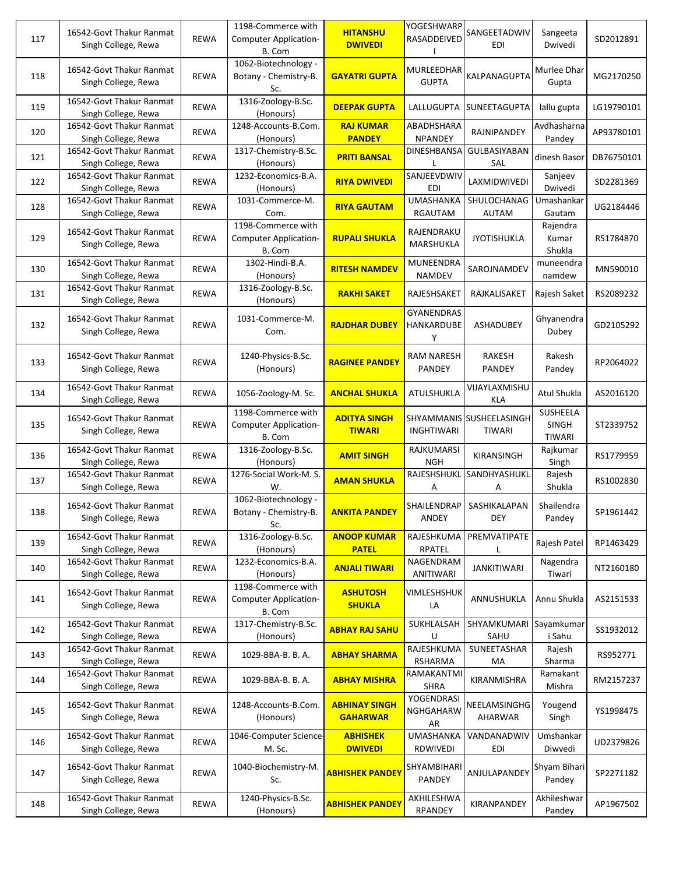| 117 | 16542-Govt Thakur Ranmat<br>Singh College, Rewa | <b>REWA</b> | 1198-Commerce with<br><b>Computer Application-</b><br>B. Com | <b>HITANSHU</b><br><b>DWIVEDI</b>       | YOGESHWARP<br>RASADDEIVED     | SANGEETADWIV<br><b>EDI</b>         | Sangeeta<br>Dwivedi                              | SD2012891  |
|-----|-------------------------------------------------|-------------|--------------------------------------------------------------|-----------------------------------------|-------------------------------|------------------------------------|--------------------------------------------------|------------|
| 118 | 16542-Govt Thakur Ranmat<br>Singh College, Rewa | <b>REWA</b> | 1062-Biotechnology -<br>Botany - Chemistry-B.<br>Sc.         | <b>GAYATRI GUPTA</b>                    | MURLEEDHAR<br><b>GUPTA</b>    | KALPANAGUPTA                       | Murlee Dhar<br>Gupta                             | MG2170250  |
| 119 | 16542-Govt Thakur Ranmat<br>Singh College, Rewa | <b>REWA</b> | 1316-Zoology-B.Sc.<br>(Honours)                              | <b>DEEPAK GUPTA</b>                     | LALLUGUPTA                    | <b>SUNEETAGUPTA</b>                | lallu gupta                                      | LG19790101 |
| 120 | 16542-Govt Thakur Ranmat<br>Singh College, Rewa | <b>REWA</b> | 1248-Accounts-B.Com.<br>(Honours)                            | <b>RAJ KUMAR</b><br><b>PANDEY</b>       | ABADHSHARA<br><b>NPANDEY</b>  | RAJNIPANDEY                        | Avdhasharna<br>Pandey                            | AP93780101 |
| 121 | 16542-Govt Thakur Ranmat<br>Singh College, Rewa | <b>REWA</b> | 1317-Chemistry-B.Sc.<br>(Honours)                            | <b>PRITI BANSAL</b>                     | <b>DINESHBANSA</b>            | GULBASIYABAN<br>SAL                | dinesh Basor                                     | DB76750101 |
| 122 | 16542-Govt Thakur Ranmat<br>Singh College, Rewa | <b>REWA</b> | 1232-Economics-B.A.<br>(Honours)                             | <b>RIYA DWIVEDI</b>                     | SANJEEVDWIV<br><b>EDI</b>     | LAXMIDWIVEDI                       | Sanjeev<br>Dwivedi                               | SD2281369  |
| 128 | 16542-Govt Thakur Ranmat<br>Singh College, Rewa | REWA        | 1031-Commerce-M.<br>Com.                                     | <b>RIYA GAUTAM</b>                      | <b>UMASHANKA</b><br>RGAUTAM   | SHULOCHANAG<br>AUTAM               | Umashankar<br>Gautam                             | UG2184446  |
| 129 | 16542-Govt Thakur Ranmat<br>Singh College, Rewa | <b>REWA</b> | 1198-Commerce with<br><b>Computer Application-</b><br>B. Com | <b>RUPALI SHUKLA</b>                    | RAJENDRAKU<br>MARSHUKLA       | <b>JYOTISHUKLA</b>                 | Rajendra<br>Kumar<br>Shukla                      | RS1784870  |
| 130 | 16542-Govt Thakur Ranmat<br>Singh College, Rewa | <b>REWA</b> | 1302-Hindi-B.A.<br>(Honours)                                 | <b>RITESH NAMDEV</b>                    | MUNEENDRA<br>NAMDEV           | SAROJNAMDEV                        | muneendra<br>namdew                              | MN590010   |
| 131 | 16542-Govt Thakur Ranmat<br>Singh College, Rewa | <b>REWA</b> | 1316-Zoology-B.Sc.<br>(Honours)                              | <b>RAKHI SAKET</b>                      | RAJESHSAKET                   | RAJKALISAKET                       | Rajesh Saket                                     | RS2089232  |
| 132 | 16542-Govt Thakur Ranmat<br>Singh College, Rewa | <b>REWA</b> | 1031-Commerce-M.<br>Com.                                     | <b>RAJDHAR DUBEY</b>                    | GYANENDRAS<br>HANKARDUBE<br>Υ | <b>ASHADUBEY</b>                   | Ghyanendra<br>Dubey                              | GD2105292  |
| 133 | 16542-Govt Thakur Ranmat<br>Singh College, Rewa | <b>REWA</b> | 1240-Physics-B.Sc.<br>(Honours)                              | <b>RAGINEE PANDEY</b>                   | <b>RAM NARESH</b><br>PANDEY   | <b>RAKESH</b><br>PANDEY            | Rakesh<br>Pandey                                 | RP2064022  |
| 134 | 16542-Govt Thakur Ranmat<br>Singh College, Rewa | <b>REWA</b> | 1056-Zoology-M. Sc.                                          | <b>ANCHAL SHUKLA</b>                    | ATULSHUKLA                    | VIJAYLAXMISHU<br>KLA               | Atul Shukla                                      | AS2016120  |
| 135 | 16542-Govt Thakur Ranmat<br>Singh College, Rewa | <b>REWA</b> | 1198-Commerce with<br><b>Computer Application-</b><br>B. Com | <b>ADITYA SINGH</b><br><b>TIWARI</b>    | <b>INGHTIWARI</b>             | SHYAMMANIS SUSHEELASINGH<br>TIWARI | <b>SUSHEELA</b><br><b>SINGH</b><br><b>TIWARI</b> | ST2339752  |
| 136 | 16542-Govt Thakur Ranmat<br>Singh College, Rewa | <b>REWA</b> | 1316-Zoology-B.Sc.<br>(Honours)                              | <b>AMIT SINGH</b>                       | RAJKUMARSI<br><b>NGH</b>      | KIRANSINGH                         | Rajkumar<br>Singh                                | RS1779959  |
| 137 | 16542-Govt Thakur Ranmat<br>Singh College, Rewa | <b>REWA</b> | 1276-Social Work-M. S.<br>W.                                 | <b>AMAN SHUKLA</b>                      | RAJESHSHUKL<br>Α              | SANDHYASHUKL<br>Α                  | Rajesh<br>Shukla                                 | RS1002830  |
| 138 | 16542-Govt Thakur Ranmat<br>Singh College, Rewa | <b>REWA</b> | 1062-Biotechnology -<br>Botany - Chemistry-B.<br>Sc.         | <b>ANKITA PANDEY</b>                    | SHAILENDRAP<br>ANDEY          | SASHIKALAPAN<br>DEY                | Shailendra<br>Pandey                             | SP1961442  |
| 139 | 16542-Govt Thakur Ranmat<br>Singh College, Rewa | REWA        | 1316-Zoology-B.Sc.<br>(Honours)                              | <b>ANOOP KUMAR</b><br><b>PATEL</b>      | RAJESHKUMA<br>RPATEL          | PREMVATIPATE<br>L                  | Rajesh Patel                                     | RP1463429  |
| 140 | 16542-Govt Thakur Ranmat<br>Singh College, Rewa | REWA        | 1232-Economics-B.A.<br>(Honours)                             | <b>ANJALI TIWARI</b>                    | NAGENDRAM<br>ANITIWARI        | <b>JANKITIWARI</b>                 | Nagendra<br>Tiwari                               | NT2160180  |
| 141 | 16542-Govt Thakur Ranmat<br>Singh College, Rewa | <b>REWA</b> | 1198-Commerce with<br><b>Computer Application-</b><br>B. Com | <b>ASHUTOSH</b><br><b>SHUKLA</b>        | VIMLESHSHUK<br>LA             | ANNUSHUKLA                         | Annu Shukla                                      | AS2151533  |
| 142 | 16542-Govt Thakur Ranmat<br>Singh College, Rewa | <b>REWA</b> | 1317-Chemistry-B.Sc.<br>(Honours)                            | <b>ABHAY RAJ SAHU</b>                   | SUKHLALSAH<br>U               | SHYAMKUMARI<br>SAHU                | Sayamkumar<br>i Sahu                             | SS1932012  |
| 143 | 16542-Govt Thakur Ranmat<br>Singh College, Rewa | REWA        | 1029-BBA-B. B. A.                                            | <b>ABHAY SHARMA</b>                     | RAJESHKUMA<br><b>RSHARMA</b>  | SUNEETASHAR<br>МA                  | Rajesh<br>Sharma                                 | RS952771   |
| 144 | 16542-Govt Thakur Ranmat<br>Singh College, Rewa | REWA        | 1029-BBA-B. B. A.                                            | <b>ABHAY MISHRA</b>                     | RAMAKANTMI<br>SHRA            | KIRANMISHRA                        | Ramakant<br>Mishra                               | RM2157237  |
| 145 | 16542-Govt Thakur Ranmat<br>Singh College, Rewa | REWA        | 1248-Accounts-B.Com.<br>(Honours)                            | <b>ABHINAY SINGH</b><br><b>GAHARWAR</b> | YOGENDRASI<br>NGHGAHARW<br>AR | NEELAMSINGHG<br>AHARWAR            | Yougend<br>Singh                                 | YS1998475  |
| 146 | 16542-Govt Thakur Ranmat<br>Singh College, Rewa | REWA        | 1046-Computer Science-<br>M. Sc.                             | <b>ABHISHEK</b><br><b>DWIVEDI</b>       | <b>UMASHANKA</b><br>RDWIVEDI  | VANDANADWIV<br>EDI                 | Umshankar<br>Diwvedi                             | UD2379826  |
| 147 | 16542-Govt Thakur Ranmat<br>Singh College, Rewa | REWA        | 1040-Biochemistry-M.<br>Sc.                                  | <b>ABHISHEK PANDEY</b>                  | SHYAMBIHARI<br>PANDEY         | ANJULAPANDEY                       | Shyam Bihari<br>Pandey                           | SP2271182  |
| 148 | 16542-Govt Thakur Ranmat<br>Singh College, Rewa | REWA        | 1240-Physics-B.Sc.<br>(Honours)                              | <b>ABHISHEK PANDEY</b>                  | AKHILESHWA<br>RPANDEY         | KIRANPANDEY                        | Akhileshwar<br>Pandey                            | AP1967502  |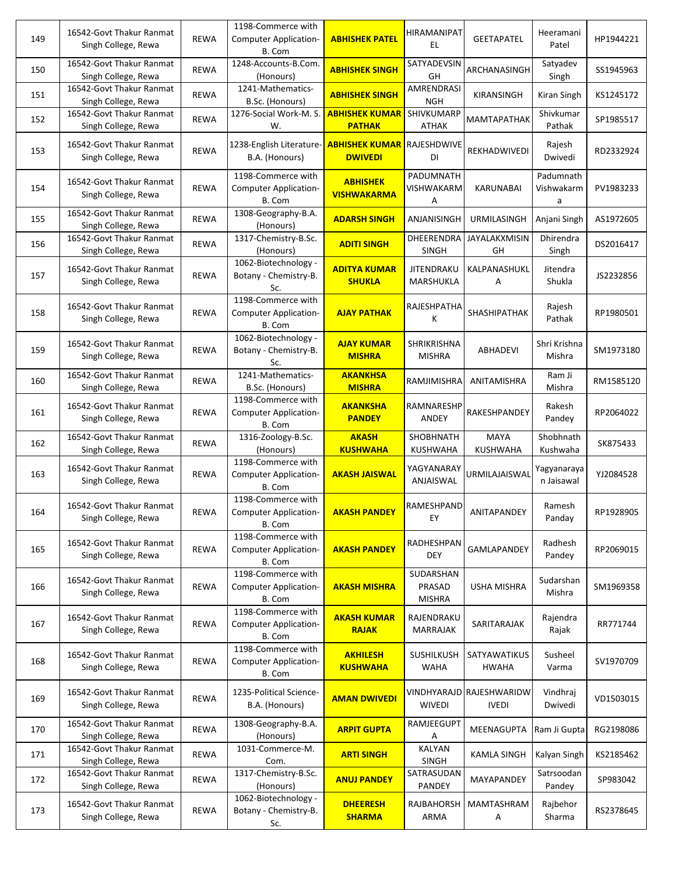| 149 | 16542-Govt Thakur Ranmat<br>Singh College, Rewa | <b>REWA</b> | 1198-Commerce with<br><b>Computer Application-</b><br>B. Com | <b>ABHISHEK PATEL</b>                   | HIRAMANIPAT<br>EL.                   | <b>GEETAPATEL</b>                        | Heeramani<br>Patel           | HP1944221 |
|-----|-------------------------------------------------|-------------|--------------------------------------------------------------|-----------------------------------------|--------------------------------------|------------------------------------------|------------------------------|-----------|
| 150 | 16542-Govt Thakur Ranmat<br>Singh College, Rewa | <b>REWA</b> | 1248-Accounts-B.Com.<br>(Honours)                            | <b>ABHISHEK SINGH</b>                   | SATYADEVSIN<br>GH                    | ARCHANASINGH                             | Satyadev<br>Singh            | SS1945963 |
| 151 | 16542-Govt Thakur Ranmat<br>Singh College, Rewa | <b>REWA</b> | 1241-Mathematics-<br>B.Sc. (Honours)                         | <b>ABHISHEK SINGH</b>                   | AMRENDRASI<br><b>NGH</b>             | KIRANSINGH                               | Kiran Singh                  | KS1245172 |
| 152 | 16542-Govt Thakur Ranmat<br>Singh College, Rewa | <b>REWA</b> | 1276-Social Work-M. S.<br>W.                                 | <b>ABHISHEK KUMAR</b><br><b>PATHAK</b>  | SHIVKUMARP<br><b>ATHAK</b>           | <b>MAMTAPATHAK</b>                       | Shivkumar<br>Pathak          | SP1985517 |
| 153 | 16542-Govt Thakur Ranmat<br>Singh College, Rewa | <b>REWA</b> | 1238-English Literature<br>B.A. (Honours)                    | <b>ABHISHEK KUMAR</b><br><b>DWIVEDI</b> | RAJESHDWIVE<br>DI                    | REKHADWIVEDI                             | Rajesh<br>Dwivedi            | RD2332924 |
| 154 | 16542-Govt Thakur Ranmat<br>Singh College, Rewa | <b>REWA</b> | 1198-Commerce with<br>Computer Application-<br>B. Com        | <b>ABHISHEK</b><br><b>VISHWAKARMA</b>   | PADUMNATH<br>VISHWAKARM<br>Α         | <b>KARUNABAI</b>                         | Padumnath<br>Vishwakarm<br>a | PV1983233 |
| 155 | 16542-Govt Thakur Ranmat<br>Singh College, Rewa | <b>REWA</b> | 1308-Geography-B.A.<br>(Honours)                             | <b>ADARSH SINGH</b>                     | ANJANISINGH                          | URMILASINGH                              | Anjani Singh                 | AS1972605 |
| 156 | 16542-Govt Thakur Ranmat<br>Singh College, Rewa | <b>REWA</b> | 1317-Chemistry-B.Sc.<br>(Honours)                            | <b>ADITI SINGH</b>                      | DHEERENDRA<br><b>SINGH</b>           | <b>JAYALAKXMISIN</b><br>GH               | Dhirendra<br>Singh           | DS2016417 |
| 157 | 16542-Govt Thakur Ranmat<br>Singh College, Rewa | <b>REWA</b> | 1062-Biotechnology -<br>Botany - Chemistry-B.<br>Sc.         | <b>ADITYA KUMAR</b><br><b>SHUKLA</b>    | <b>JITENDRAKU</b><br>MARSHUKLA       | KALPANASHUKL<br>А                        | Jitendra<br>Shukla           | JS2232856 |
| 158 | 16542-Govt Thakur Ranmat<br>Singh College, Rewa | <b>REWA</b> | 1198-Commerce with<br><b>Computer Application-</b><br>B. Com | <b>AJAY PATHAK</b>                      | RAJESHPATHA<br>K                     | SHASHIPATHAK                             | Rajesh<br>Pathak             | RP1980501 |
| 159 | 16542-Govt Thakur Ranmat<br>Singh College, Rewa | <b>REWA</b> | 1062-Biotechnology -<br>Botany - Chemistry-B.<br>Sc.         | <b>AJAY KUMAR</b><br><b>MISHRA</b>      | SHRIKRISHNA<br><b>MISHRA</b>         | <b>ABHADEVI</b>                          | Shri Krishna<br>Mishra       | SM1973180 |
| 160 | 16542-Govt Thakur Ranmat<br>Singh College, Rewa | REWA        | 1241-Mathematics-<br>B.Sc. (Honours)                         | <b>AKANKHSA</b><br><b>MISHRA</b>        | RAMJIMISHRA                          | ANITAMISHRA                              | Ram Ji<br>Mishra             | RM1585120 |
| 161 | 16542-Govt Thakur Ranmat<br>Singh College, Rewa | <b>REWA</b> | 1198-Commerce with<br><b>Computer Application-</b><br>B. Com | <b>AKANKSHA</b><br><b>PANDEY</b>        | RAMNARESHP<br>ANDEY                  | RAKESHPANDEY                             | Rakesh<br>Pandey             | RP2064022 |
| 162 | 16542-Govt Thakur Ranmat<br>Singh College, Rewa | <b>REWA</b> | 1316-Zoology-B.Sc.<br>(Honours)                              | <b>AKASH</b><br><b>KUSHWAHA</b>         | SHOBHNATH<br><b>KUSHWAHA</b>         | <b>MAYA</b><br><b>KUSHWAHA</b>           | Shobhnath<br>Kushwaha        | SK875433  |
| 163 | 16542-Govt Thakur Ranmat<br>Singh College, Rewa | <b>REWA</b> | 1198-Commerce with<br><b>Computer Application-</b><br>B. Com | <b>AKASH JAISWAL</b>                    | YAGYANARAY<br>ANJAISWAL              | URMILAJAISWAL                            | Yagyanaraya<br>n Jaisawal    | YJ2084528 |
| 164 | 16542-Govt Thakur Ranmat<br>Singh College, Rewa | <b>REWA</b> | 1198-Commerce with<br><b>Computer Application-</b><br>B. Com | <b>AKASH PANDEY</b>                     | RAMESHPAND<br>EY                     | ANITAPANDEY                              | Ramesh<br>Panday             | RP1928905 |
| 165 | 16542-Govt Thakur Ranmat<br>Singh College, Rewa | <b>REWA</b> | 1198-Commerce with<br><b>Computer Application-</b><br>B. Com | <b>AKASH PANDEY</b>                     | RADHESHPAN<br><b>DEY</b>             | GAMLAPANDEY                              | Radhesh<br>Pandey            | RP2069015 |
| 166 | 16542-Govt Thakur Ranmat<br>Singh College, Rewa | <b>REWA</b> | 1198-Commerce with<br><b>Computer Application-</b><br>B. Com | <b>AKASH MISHRA</b>                     | SUDARSHAN<br>PRASAD<br><b>MISHRA</b> | <b>USHA MISHRA</b>                       | Sudarshan<br>Mishra          | SM1969358 |
| 167 | 16542-Govt Thakur Ranmat<br>Singh College, Rewa | <b>REWA</b> | 1198-Commerce with<br><b>Computer Application-</b><br>B. Com | <b>AKASH KUMAR</b><br><b>RAJAK</b>      | RAJENDRAKU<br><b>MARRAJAK</b>        | SARITARAJAK                              | Rajendra<br>Rajak            | RR771744  |
| 168 | 16542-Govt Thakur Ranmat<br>Singh College, Rewa | <b>REWA</b> | 1198-Commerce with<br><b>Computer Application-</b><br>B. Com | <b>AKHILESH</b><br><b>KUSHWAHA</b>      | <b>SUSHILKUSH</b><br><b>WAHA</b>     | SATYAWATIKUS<br><b>HWAHA</b>             | Susheel<br>Varma             | SV1970709 |
| 169 | 16542-Govt Thakur Ranmat<br>Singh College, Rewa | REWA        | 1235-Political Science-<br>B.A. (Honours)                    | <b>AMAN DWIVEDI</b>                     | <b>WIVEDI</b>                        | VINDHYARAJD RAJESHWARIDW<br><b>IVEDI</b> | Vindhraj<br>Dwivedi          | VD1503015 |
| 170 | 16542-Govt Thakur Ranmat<br>Singh College, Rewa | REWA        | 1308-Geography-B.A.<br>(Honours)                             | <b>ARPIT GUPTA</b>                      | RAMJEEGUPT<br>Α                      | MEENAGUPTA                               | Ram Ji Gupta                 | RG2198086 |
| 171 | 16542-Govt Thakur Ranmat<br>Singh College, Rewa | REWA        | 1031-Commerce-M.<br>Com.                                     | <b>ARTI SINGH</b>                       | <b>KALYAN</b><br><b>SINGH</b>        | <b>KAMLA SINGH</b>                       | Kalyan Singh                 | KS2185462 |
| 172 | 16542-Govt Thakur Ranmat<br>Singh College, Rewa | REWA        | 1317-Chemistry-B.Sc.<br>(Honours)                            | <b>ANUJ PANDEY</b>                      | SATRASUDAN<br>PANDEY                 | MAYAPANDEY                               | Satrsoodan<br>Pandey         | SP983042  |
| 173 | 16542-Govt Thakur Ranmat<br>Singh College, Rewa | <b>REWA</b> | 1062-Biotechnology -<br>Botany - Chemistry-B.<br>Sc.         | <b>DHEERESH</b><br><b>SHARMA</b>        | RAJBAHORSH<br>ARMA                   | MAMTASHRAM<br>Α                          | Rajbehor<br>Sharma           | RS2378645 |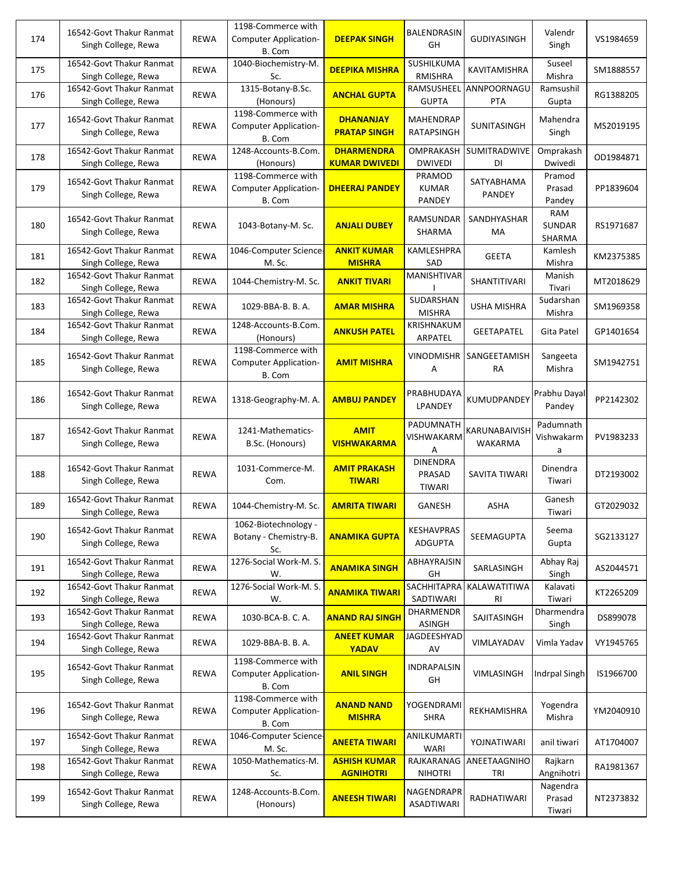| 174 | 16542-Govt Thakur Ranmat<br>Singh College, Rewa | <b>REWA</b> | 1198-Commerce with<br><b>Computer Application-</b><br>B. Com | <b>DEEPAK SINGH</b>                       | BALENDRASIN<br>GH                          | <b>GUDIYASINGH</b>              | Valendr<br>Singh               | VS1984659 |
|-----|-------------------------------------------------|-------------|--------------------------------------------------------------|-------------------------------------------|--------------------------------------------|---------------------------------|--------------------------------|-----------|
| 175 | 16542-Govt Thakur Ranmat<br>Singh College, Rewa | <b>REWA</b> | 1040-Biochemistry-M.<br>Sc.                                  | <b>DEEPIKA MISHRA</b>                     | SUSHILKUMA<br><b>RMISHRA</b>               | KAVITAMISHRA                    | Suseel<br>Mishra               | SM1888557 |
| 176 | 16542-Govt Thakur Ranmat<br>Singh College, Rewa | REWA        | 1315-Botany-B.Sc.<br>(Honours)                               | <b>ANCHAL GUPTA</b>                       | RAMSUSHEEL<br><b>GUPTA</b>                 | ANNPOORNAGU<br><b>PTA</b>       | Ramsushil<br>Gupta             | RG1388205 |
| 177 | 16542-Govt Thakur Ranmat<br>Singh College, Rewa | <b>REWA</b> | 1198-Commerce with<br><b>Computer Application-</b><br>B. Com | <b>DHANANJAY</b><br><b>PRATAP SINGH</b>   | <b>MAHENDRAP</b><br>RATAPSINGH             | SUNITASINGH                     | Mahendra<br>Singh              | MS2019195 |
| 178 | 16542-Govt Thakur Ranmat<br>Singh College, Rewa | <b>REWA</b> | 1248-Accounts-B.Com.<br>(Honours)                            | <b>DHARMENDRA</b><br><b>KUMAR DWIVEDI</b> | OMPRAKASH<br><b>DWIVEDI</b>                | <b>SUMITRADWIVE</b><br>DI       | Omprakash<br>Dwivedi           | OD1984871 |
| 179 | 16542-Govt Thakur Ranmat<br>Singh College, Rewa | <b>REWA</b> | 1198-Commerce with<br><b>Computer Application-</b><br>B. Com | <b>DHEERAJ PANDEY</b>                     | PRAMOD<br><b>KUMAR</b><br>PANDEY           | SATYABHAMA<br>PANDEY            | Pramod<br>Prasad<br>Pandey     | PP1839604 |
| 180 | 16542-Govt Thakur Ranmat<br>Singh College, Rewa | <b>REWA</b> | 1043-Botany-M. Sc.                                           | <b>ANJALI DUBEY</b>                       | RAMSUNDAR<br>SHARMA                        | SANDHYASHAR<br>МA               | RAM<br><b>SUNDAR</b><br>SHARMA | RS1971687 |
| 181 | 16542-Govt Thakur Ranmat<br>Singh College, Rewa | <b>REWA</b> | 1046-Computer Science-<br>M. Sc.                             | <b>ANKIT KUMAR</b><br><b>MISHRA</b>       | KAMLESHPRA<br>SAD                          | <b>GEETA</b>                    | Kamlesh<br>Mishra              | KM2375385 |
| 182 | 16542-Govt Thakur Ranmat<br>Singh College, Rewa | <b>REWA</b> | 1044-Chemistry-M. Sc.                                        | <b>ANKIT TIVARI</b>                       | MANISHTIVAR                                | SHANTITIVARI                    | Manish<br>Tivari               | MT2018629 |
| 183 | 16542-Govt Thakur Ranmat<br>Singh College, Rewa | <b>REWA</b> | 1029-BBA-B. B. A.                                            | <b>AMAR MISHRA</b>                        | SUDARSHAN<br><b>MISHRA</b>                 | <b>USHA MISHRA</b>              | Sudarshan<br>Mishra            | SM1969358 |
| 184 | 16542-Govt Thakur Ranmat<br>Singh College, Rewa | <b>REWA</b> | 1248-Accounts-B.Com.<br>(Honours)                            | <b>ANKUSH PATEL</b>                       | KRISHNAKUM<br>ARPATEL                      | <b>GEETAPATEL</b>               | Gita Patel                     | GP1401654 |
| 185 | 16542-Govt Thakur Ranmat<br>Singh College, Rewa | <b>REWA</b> | 1198-Commerce with<br><b>Computer Application-</b><br>B. Com | <b>AMIT MISHRA</b>                        | <b>VINODMISHR</b><br>Α                     | SANGEETAMISH<br>RA              | Sangeeta<br>Mishra             | SM1942751 |
| 186 | 16542-Govt Thakur Ranmat<br>Singh College, Rewa | <b>REWA</b> | 1318-Geography-M. A.                                         | <b>AMBUJ PANDEY</b>                       | PRABHUDAYA<br>LPANDEY                      | KUMUDPANDEY                     | Prabhu Dayal<br>Pandey         | PP2142302 |
| 187 | 16542-Govt Thakur Ranmat<br>Singh College, Rewa | <b>REWA</b> | 1241-Mathematics-<br>B.Sc. (Honours)                         | <b>AMIT</b><br><b>VISHWAKARMA</b>         | PADUMNATH<br>VISHWAKARM<br>А               | KARUNABAIVISH<br><b>WAKARMA</b> | Padumnath<br>Vishwakarm<br>a   | PV1983233 |
| 188 | 16542-Govt Thakur Ranmat<br>Singh College, Rewa | <b>REWA</b> | 1031-Commerce-M.<br>Com.                                     | <b>AMIT PRAKASH</b><br><b>TIWARI</b>      | <b>DINENDRA</b><br>PRASAD<br><b>TIWARI</b> | SAVITA TIWARI                   | Dinendra<br>Tiwari             | DT2193002 |
| 189 | 16542-Govt Thakur Ranmat<br>Singh College, Rewa | <b>REWA</b> | 1044-Chemistry-M. Sc.                                        | <b>AMRITA TIWARI</b>                      | GANESH                                     | ASHA                            | Ganesh<br>Tiwari               | GT2029032 |
| 190 | 16542-Govt Thakur Ranmat<br>Singh College, Rewa | <b>REWA</b> | 1062-Biotechnology -<br>Botany - Chemistry-B.<br>Sc.         | <b>ANAMIKA GUPTA</b>                      | <b>KESHAVPRAS</b><br><b>ADGUPTA</b>        | SEEMAGUPTA                      | Seema<br>Gupta                 | SG2133127 |
| 191 | 16542-Govt Thakur Ranmat<br>Singh College, Rewa | REWA        | 1276-Social Work-M. S.<br>W.                                 | <b>ANAMIKA SINGH</b>                      | ABHAYRAJSIN<br>GH                          | SARLASINGH                      | Abhay Raj<br>Singh             | AS2044571 |
| 192 | 16542-Govt Thakur Ranmat<br>Singh College, Rewa | <b>REWA</b> | 1276-Social Work-M. S.<br>W.                                 | <b>ANAMIKA TIWARI</b>                     | SACHHITAPRA<br>SADTIWARI                   | KALAWATITIWA<br>RI              | Kalavati<br>Tiwari             | KT2265209 |
| 193 | 16542-Govt Thakur Ranmat<br>Singh College, Rewa | REWA        | 1030-BCA-B. C. A.                                            | <b>ANAND RAJ SINGH</b>                    | <b>DHARMENDR</b><br><b>ASINGH</b>          | SAJITASINGH                     | Dharmendra<br>Singh            | DS899078  |
| 194 | 16542-Govt Thakur Ranmat<br>Singh College, Rewa | REWA        | 1029-BBA-B. B. A.                                            | <b>ANEET KUMAR</b><br><b>YADAV</b>        | JAGDEESHYAD<br>AV                          | VIMLAYADAV                      | Vimla Yadav                    | VY1945765 |
| 195 | 16542-Govt Thakur Ranmat<br>Singh College, Rewa | <b>REWA</b> | 1198-Commerce with<br><b>Computer Application-</b><br>B. Com | <b>ANIL SINGH</b>                         | INDRAPALSIN<br>GH                          | VIMLASINGH                      | <b>Indrpal Singh</b>           | IS1966700 |
| 196 | 16542-Govt Thakur Ranmat<br>Singh College, Rewa | <b>REWA</b> | 1198-Commerce with<br><b>Computer Application-</b><br>B. Com | <b>ANAND NAND</b><br><b>MISHRA</b>        | YOGENDRAMI<br><b>SHRA</b>                  | REKHAMISHRA                     | Yogendra<br>Mishra             | YM2040910 |
| 197 | 16542-Govt Thakur Ranmat<br>Singh College, Rewa | <b>REWA</b> | 1046-Computer Science-<br>M. Sc.                             | <b>ANEETA TIWARI</b>                      | ANILKUMARTI<br><b>WARI</b>                 | YOJNATIWARI                     | anil tiwari                    | AT1704007 |
| 198 | 16542-Govt Thakur Ranmat<br>Singh College, Rewa | REWA        | 1050-Mathematics-M.<br>Sc.                                   | <b>ASHISH KUMAR</b><br><b>AGNIHOTRI</b>   | RAJKARANAG<br><b>NIHOTRI</b>               | ANEETAAGNIHO<br>TRI             | Rajkarn<br>Angnihotri          | RA1981367 |
| 199 | 16542-Govt Thakur Ranmat<br>Singh College, Rewa | REWA        | 1248-Accounts-B.Com.<br>(Honours)                            | <b>ANEESH TIWARI</b>                      | NAGENDRAPR<br>ASADTIWARI                   | RADHATIWARI                     | Nagendra<br>Prasad<br>Tiwari   | NT2373832 |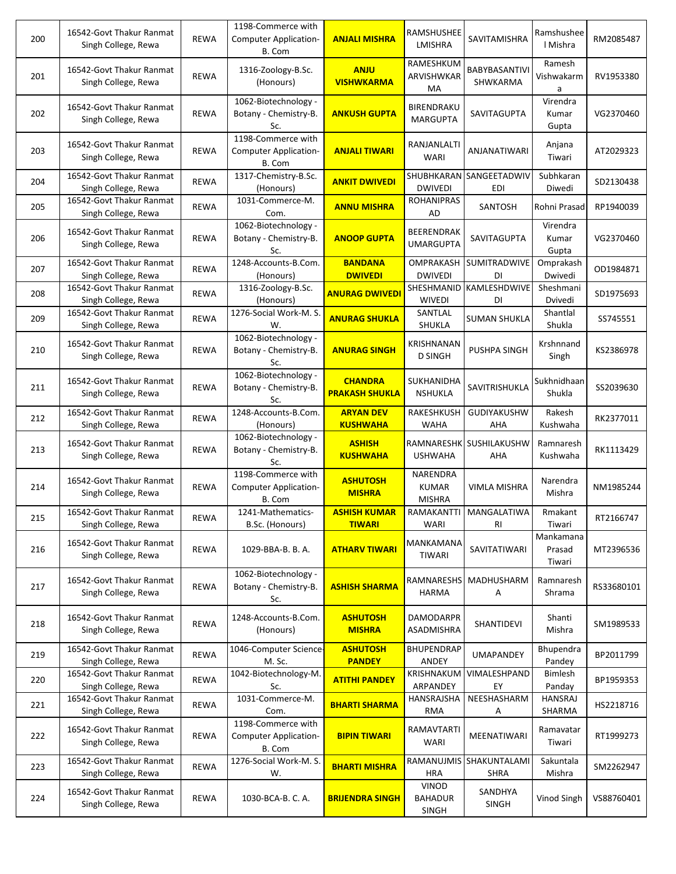| 200 | 16542-Govt Thakur Ranmat<br>Singh College, Rewa | <b>REWA</b> | 1198-Commerce with<br><b>Computer Application-</b><br>B. Com | <b>ANJALI MISHRA</b>                    | <b>RAMSHUSHEE</b><br>LMISHRA              | SAVITAMISHRA                   | Ramshushee<br>I Mishra        | RM2085487  |
|-----|-------------------------------------------------|-------------|--------------------------------------------------------------|-----------------------------------------|-------------------------------------------|--------------------------------|-------------------------------|------------|
| 201 | 16542-Govt Thakur Ranmat<br>Singh College, Rewa | <b>REWA</b> | 1316-Zoology-B.Sc.<br>(Honours)                              | <b>ANJU</b><br><b>VISHWKARMA</b>        | RAMESHKUM<br>ARVISHWKAR<br>MA             | BABYBASANTIVI<br>SHWKARMA      | Ramesh<br>Vishwakarm<br>a     | RV1953380  |
| 202 | 16542-Govt Thakur Ranmat<br>Singh College, Rewa | <b>REWA</b> | 1062-Biotechnology -<br>Botany - Chemistry-B.<br>Sc.         | <b>ANKUSH GUPTA</b>                     | BIRENDRAKU<br><b>MARGUPTA</b>             | SAVITAGUPTA                    | Virendra<br>Kumar<br>Gupta    | VG2370460  |
| 203 | 16542-Govt Thakur Ranmat<br>Singh College, Rewa | <b>REWA</b> | 1198-Commerce with<br><b>Computer Application-</b><br>B. Com | <b>ANJALI TIWARI</b>                    | RANJANLALTI<br>WARI                       | ANJANATIWARI                   | Anjana<br>Tiwari              | AT2029323  |
| 204 | 16542-Govt Thakur Ranmat<br>Singh College, Rewa | <b>REWA</b> | 1317-Chemistry-B.Sc.<br>(Honours)                            | <b>ANKIT DWIVEDI</b>                    | SHUBHKARAN<br><b>DWIVEDI</b>              | SANGEETADWIV<br><b>EDI</b>     | Subhkaran<br>Diwedi           | SD2130438  |
| 205 | 16542-Govt Thakur Ranmat<br>Singh College, Rewa | <b>REWA</b> | 1031-Commerce-M.<br>Com.                                     | <b>ANNU MISHRA</b>                      | <b>ROHANIPRAS</b><br>AD                   | SANTOSH                        | Rohni Prasad                  | RP1940039  |
| 206 | 16542-Govt Thakur Ranmat<br>Singh College, Rewa | <b>REWA</b> | 1062-Biotechnology -<br>Botany - Chemistry-B.<br>Sc.         | <b>ANOOP GUPTA</b>                      | <b>BEERENDRAK</b><br><b>UMARGUPTA</b>     | SAVITAGUPTA                    | Virendra<br>Kumar<br>Gupta    | VG2370460  |
| 207 | 16542-Govt Thakur Ranmat<br>Singh College, Rewa | <b>REWA</b> | 1248-Accounts-B.Com.<br>(Honours)                            | <b>BANDANA</b><br><b>DWIVEDI</b>        | OMPRAKASH<br><b>DWIVEDI</b>               | SUMITRADWIVE<br>DI             | Omprakash<br>Dwivedi          | OD1984871  |
| 208 | 16542-Govt Thakur Ranmat<br>Singh College, Rewa | REWA        | 1316-Zoology-B.Sc.<br>(Honours)                              | <b>ANURAG DWIVEDI</b>                   | SHESHMANID<br><b>WIVEDI</b>               | KAMLESHDWIVE<br>DI             | Sheshmani<br>Dvivedi          | SD1975693  |
| 209 | 16542-Govt Thakur Ranmat<br>Singh College, Rewa | <b>REWA</b> | 1276-Social Work-M. S.<br>W.                                 | <b>ANURAG SHUKLA</b>                    | SANTLAL<br>SHUKLA                         | <b>SUMAN SHUKLA</b>            | Shantlal<br>Shukla            | SS745551   |
| 210 | 16542-Govt Thakur Ranmat<br>Singh College, Rewa | <b>REWA</b> | 1062-Biotechnology -<br>Botany - Chemistry-B.<br>Sc.         | <b>ANURAG SINGH</b>                     | KRISHNANAN<br><b>D SINGH</b>              | PUSHPA SINGH                   | Krshnnand<br>Singh            | KS2386978  |
| 211 | 16542-Govt Thakur Ranmat<br>Singh College, Rewa | <b>REWA</b> | 1062-Biotechnology -<br>Botany - Chemistry-B.<br>Sc.         | <b>CHANDRA</b><br><b>PRAKASH SHUKLA</b> | SUKHANIDHA<br><b>NSHUKLA</b>              | SAVITRISHUKLA                  | Sukhnidhaan<br>Shukla         | SS2039630  |
| 212 | 16542-Govt Thakur Ranmat<br>Singh College, Rewa | <b>REWA</b> | 1248-Accounts-B.Com.<br>(Honours)                            | <b>ARYAN DEV</b><br><b>KUSHWAHA</b>     | RAKESHKUSH<br>WAHA                        | GUDIYAKUSHW<br>AHA             | Rakesh<br>Kushwaha            | RK2377011  |
| 213 | 16542-Govt Thakur Ranmat<br>Singh College, Rewa | <b>REWA</b> | 1062-Biotechnology -<br>Botany - Chemistry-B.<br>Sc.         | <b>ASHISH</b><br><b>KUSHWAHA</b>        | <b>USHWAHA</b>                            | RAMNARESHK SUSHILAKUSHW<br>AHA | Ramnaresh<br>Kushwaha         | RK1113429  |
| 214 | 16542-Govt Thakur Ranmat<br>Singh College, Rewa | <b>REWA</b> | 1198-Commerce with<br><b>Computer Application-</b><br>B. Com | <b>ASHUTOSH</b><br><b>MISHRA</b>        | NARENDRA<br><b>KUMAR</b><br><b>MISHRA</b> | VIMLA MISHRA                   | Narendra<br>Mishra            | NM1985244  |
| 215 | 16542-Govt Thakur Ranmat<br>Singh College, Rewa | <b>REWA</b> | 1241-Mathematics-<br>B.Sc. (Honours)                         | <b>ASHISH KUMAR</b><br><b>TIWARI</b>    | RAMAKANTTI<br><b>WARI</b>                 | MANGALATIWA<br>$\mathsf{RI}$   | Rmakant<br>Tiwari             | RT2166747  |
| 216 | 16542-Govt Thakur Ranmat<br>Singh College, Rewa | <b>REWA</b> | 1029-BBA-B. B. A.                                            | <b>ATHARV TIWARI</b>                    | MANKAMANA<br><b>TIWARI</b>                | SAVITATIWARI                   | Mankamana<br>Prasad<br>Tiwari | MT2396536  |
| 217 | 16542-Govt Thakur Ranmat<br>Singh College, Rewa | <b>REWA</b> | 1062-Biotechnology -<br>Botany - Chemistry-B.<br>Sc.         | <b>ASHISH SHARMA</b>                    | RAMNARESHS<br><b>HARMA</b>                | MADHUSHARM<br>Α                | Ramnaresh<br>Shrama           | RS33680101 |
| 218 | 16542-Govt Thakur Ranmat<br>Singh College, Rewa | REWA        | 1248-Accounts-B.Com.<br>(Honours)                            | <b>ASHUTOSH</b><br><b>MISHRA</b>        | <b>DAMODARPR</b><br>ASADMISHRA            | <b>SHANTIDEVI</b>              | Shanti<br>Mishra              | SM1989533  |
| 219 | 16542-Govt Thakur Ranmat<br>Singh College, Rewa | <b>REWA</b> | 1046-Computer Science-<br>M. Sc.                             | <b>ASHUTOSH</b><br><b>PANDEY</b>        | <b>BHUPENDRAP</b><br>ANDEY                | <b>UMAPANDEY</b>               | Bhupendra<br>Pandey           | BP2011799  |
| 220 | 16542-Govt Thakur Ranmat<br>Singh College, Rewa | <b>REWA</b> | 1042-Biotechnology-M.<br>Sc.                                 | <b>ATITHI PANDEY</b>                    | KRISHNAKUM<br>ARPANDEY                    | VIMALESHPAND<br>EY             | Bimlesh<br>Panday             | BP1959353  |
| 221 | 16542-Govt Thakur Ranmat<br>Singh College, Rewa | REWA        | 1031-Commerce-M.<br>Com.                                     | <b>BHARTI SHARMA</b>                    | HANSRAJSHA<br>RMA                         | NEESHASHARM<br>Α               | HANSRAJ<br>SHARMA             | HS2218716  |
| 222 | 16542-Govt Thakur Ranmat<br>Singh College, Rewa | <b>REWA</b> | 1198-Commerce with<br>Computer Application-<br>B. Com        | <b>BIPIN TIWARI</b>                     | RAMAVTARTI<br><b>WARI</b>                 | MEENATIWARI                    | Ramavatar<br>Tiwari           | RT1999273  |
| 223 | 16542-Govt Thakur Ranmat<br>Singh College, Rewa | <b>REWA</b> | 1276-Social Work-M. S.<br>W.                                 | <b>BHARTI MISHRA</b>                    | RAMANUJMIS<br><b>HRA</b>                  | SHAKUNTALAMI<br><b>SHRA</b>    | Sakuntala<br>Mishra           | SM2262947  |
| 224 | 16542-Govt Thakur Ranmat<br>Singh College, Rewa | <b>REWA</b> | 1030-BCA-B. C. A.                                            | <b>BRIJENDRA SINGH</b>                  | <b>VINOD</b><br><b>BAHADUR</b><br>SINGH   | SANDHYA<br><b>SINGH</b>        | Vinod Singh                   | VS88760401 |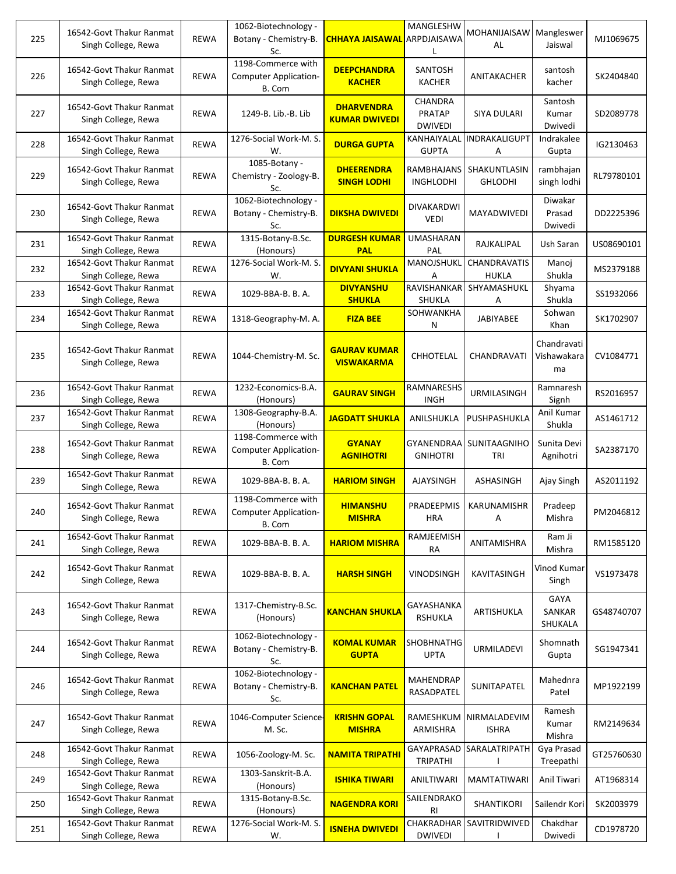| 225 | 16542-Govt Thakur Ranmat<br>Singh College, Rewa | <b>REWA</b> | 1062-Biotechnology -<br>Botany - Chemistry-B.<br>Sc.         | <b>CHHAYA JAISAWAL</b>                    | MANGLESHW<br>ARPDJAISAWA<br>L              | MOHANIJAISAW Mangleswer<br>AL  | Jaiswal                          | MJ1069675  |
|-----|-------------------------------------------------|-------------|--------------------------------------------------------------|-------------------------------------------|--------------------------------------------|--------------------------------|----------------------------------|------------|
| 226 | 16542-Govt Thakur Ranmat<br>Singh College, Rewa | <b>REWA</b> | 1198-Commerce with<br><b>Computer Application-</b><br>B. Com | <b>DEEPCHANDRA</b><br><b>KACHER</b>       | SANTOSH<br><b>KACHER</b>                   | ANITAKACHER                    | santosh<br>kacher                | SK2404840  |
| 227 | 16542-Govt Thakur Ranmat<br>Singh College, Rewa | <b>REWA</b> | 1249-B. Lib.-B. Lib                                          | <b>DHARVENDRA</b><br><b>KUMAR DWIVEDI</b> | CHANDRA<br><b>PRATAP</b><br><b>DWIVEDI</b> | SIYA DULARI                    | Santosh<br>Kumar<br>Dwivedi      | SD2089778  |
| 228 | 16542-Govt Thakur Ranmat<br>Singh College, Rewa | <b>REWA</b> | 1276-Social Work-M. S.<br>W.                                 | <b>DURGA GUPTA</b>                        | KANHAIYALAL<br><b>GUPTA</b>                | INDRAKALIGUPT<br>А             | Indrakalee<br>Gupta              | IG2130463  |
| 229 | 16542-Govt Thakur Ranmat<br>Singh College, Rewa | <b>REWA</b> | 1085-Botany -<br>Chemistry - Zoology-B.<br>Sc.               | <b>DHEERENDRA</b><br><b>SINGH LODHI</b>   | RAMBHAJANS<br><b>INGHLODHI</b>             | SHAKUNTLASIN<br><b>GHLODHI</b> | rambhajan<br>singh lodhi         | RL79780101 |
| 230 | 16542-Govt Thakur Ranmat<br>Singh College, Rewa | <b>REWA</b> | 1062-Biotechnology -<br>Botany - Chemistry-B.<br>Sc.         | <b>DIKSHA DWIVEDI</b>                     | DIVAKARDWI<br><b>VEDI</b>                  | MAYADWIVEDI                    | Diwakar<br>Prasad<br>Dwivedi     | DD2225396  |
| 231 | 16542-Govt Thakur Ranmat<br>Singh College, Rewa | <b>REWA</b> | 1315-Botany-B.Sc.<br>(Honours)                               | <b>DURGESH KUMAR</b><br><b>PAL</b>        | <b>UMASHARAN</b><br>PAL                    | RAJKALIPAL                     | Ush Saran                        | US08690101 |
| 232 | 16542-Govt Thakur Ranmat<br>Singh College, Rewa | <b>REWA</b> | 1276-Social Work-M. S.<br>W.                                 | <b>DIVYANI SHUKLA</b>                     | MANOJSHUKL<br>Α                            | CHANDRAVATIS<br><b>HUKLA</b>   | Manoj<br>Shukla                  | MS2379188  |
| 233 | 16542-Govt Thakur Ranmat<br>Singh College, Rewa | REWA        | 1029-BBA-B. B. A.                                            | <b>DIVYANSHU</b><br><b>SHUKLA</b>         | RAVISHANKAR<br>SHUKLA                      | SHYAMASHUKL<br>А               | Shyama<br>Shukla                 | SS1932066  |
| 234 | 16542-Govt Thakur Ranmat<br>Singh College, Rewa | <b>REWA</b> | 1318-Geography-M. A.                                         | <b>FIZA BEE</b>                           | SOHWANKHA<br>N                             | JABIYABEE                      | Sohwan<br>Khan                   | SK1702907  |
| 235 | 16542-Govt Thakur Ranmat<br>Singh College, Rewa | <b>REWA</b> | 1044-Chemistry-M. Sc.                                        | <b>GAURAV KUMAR</b><br><b>VISWAKARMA</b>  | <b>CHHOTELAL</b>                           | CHANDRAVATI                    | Chandravati<br>Vishawakara<br>ma | CV1084771  |
| 236 | 16542-Govt Thakur Ranmat<br>Singh College, Rewa | <b>REWA</b> | 1232-Economics-B.A.<br>(Honours)                             | <b>GAURAV SINGH</b>                       | RAMNARESHS<br><b>INGH</b>                  | URMILASINGH                    | Ramnaresh<br>Signh               | RS2016957  |
| 237 | 16542-Govt Thakur Ranmat<br>Singh College, Rewa | <b>REWA</b> | 1308-Geography-B.A.<br>(Honours)                             | <b>JAGDATT SHUKLA</b>                     | ANILSHUKLA                                 | PUSHPASHUKLA                   | Anil Kumar<br>Shukla             | AS1461712  |
| 238 | 16542-Govt Thakur Ranmat<br>Singh College, Rewa | <b>REWA</b> | 1198-Commerce with<br><b>Computer Application-</b><br>B. Com | <b>GYANAY</b><br><b>AGNIHOTRI</b>         | GYANENDRAA<br><b>GNIHOTRI</b>              | SUNITAAGNIHO<br>TRI            | Sunita Devi<br>Agnihotri         | SA2387170  |
| 239 | 16542-Govt Thakur Ranmat<br>Singh College, Rewa | <b>REWA</b> | 1029-BBA-B. B. A.                                            | <b>HARIOM SINGH</b>                       | <b>AJAYSINGH</b>                           | ASHASINGH                      | Ajay Singh                       | AS2011192  |
| 240 | 16542-Govt Thakur Ranmat<br>Singh College, Rewa | <b>REWA</b> | 1198-Commerce with<br><b>Computer Application-</b><br>B. Com | <b>HIMANSHU</b><br><b>MISHRA</b>          | PRADEEPMIS<br><b>HRA</b>                   | KARUNAMISHR<br>А               | Pradeep<br>Mishra                | PM2046812  |
| 241 | 16542-Govt Thakur Ranmat<br>Singh College, Rewa | <b>REWA</b> | 1029-BBA-B. B. A.                                            | <b>HARIOM MISHRA</b>                      | RAMJEEMISH<br>RA                           | ANITAMISHRA                    | Ram Ji<br>Mishra                 | RM1585120  |
| 242 | 16542-Govt Thakur Ranmat<br>Singh College, Rewa | <b>REWA</b> | 1029-BBA-B. B. A.                                            | <b>HARSH SINGH</b>                        | <b>VINODSINGH</b>                          | KAVITASINGH                    | Vinod Kumar<br>Singh             | VS1973478  |
| 243 | 16542-Govt Thakur Ranmat<br>Singh College, Rewa | <b>REWA</b> | 1317-Chemistry-B.Sc.<br>(Honours)                            | <b>KANCHAN SHUKLA</b>                     | GAYASHANKA<br><b>RSHUKLA</b>               | ARTISHUKLA                     | GAYA<br><b>SANKAR</b><br>SHUKALA | GS48740707 |
| 244 | 16542-Govt Thakur Ranmat<br>Singh College, Rewa | <b>REWA</b> | 1062-Biotechnology -<br>Botany - Chemistry-B.<br>Sc.         | <b>KOMAL KUMAR</b><br><b>GUPTA</b>        | SHOBHNATHG<br><b>UPTA</b>                  | <b>URMILADEVI</b>              | Shomnath<br>Gupta                | SG1947341  |
| 246 | 16542-Govt Thakur Ranmat<br>Singh College, Rewa | <b>REWA</b> | 1062-Biotechnology -<br>Botany - Chemistry-B.<br>Sc.         | <b>KANCHAN PATEL</b>                      | <b>MAHENDRAP</b><br>RASADPATEL             | SUNITAPATEL                    | Mahednra<br>Patel                | MP1922199  |
| 247 | 16542-Govt Thakur Ranmat<br>Singh College, Rewa | REWA        | 1046-Computer Science-<br>M. Sc.                             | <b>KRISHN GOPAL</b><br><b>MISHRA</b>      | RAMESHKUM<br>ARMISHRA                      | NIRMALADEVIM<br><b>ISHRA</b>   | Ramesh<br>Kumar<br>Mishra        | RM2149634  |
| 248 | 16542-Govt Thakur Ranmat<br>Singh College, Rewa | <b>REWA</b> | 1056-Zoology-M. Sc.                                          | <b>NAMITA TRIPATHI</b>                    | GAYAPRASAD<br>TRIPATHI                     | SARALATRIPATH                  | Gya Prasad<br>Treepathi          | GT25760630 |
| 249 | 16542-Govt Thakur Ranmat<br>Singh College, Rewa | REWA        | 1303-Sanskrit-B.A.<br>(Honours)                              | <b>ISHIKA TIWARI</b>                      | ANILTIWARI                                 | <b>MAMTATIWARI</b>             | Anil Tiwari                      | AT1968314  |
| 250 | 16542-Govt Thakur Ranmat<br>Singh College, Rewa | <b>REWA</b> | 1315-Botany-B.Sc.<br>(Honours)                               | <b>NAGENDRA KORI</b>                      | SAILENDRAKO<br>RI                          | SHANTIKORI                     | Sailendr Kori                    | SK2003979  |
| 251 | 16542-Govt Thakur Ranmat<br>Singh College, Rewa | REWA        | 1276-Social Work-M. S.<br>W.                                 | <b>ISNEHA DWIVEDI</b>                     | <b>CHAKRADHAR</b><br><b>DWIVEDI</b>        | SAVITRIDWIVED                  | Chakdhar<br>Dwivedi              | CD1978720  |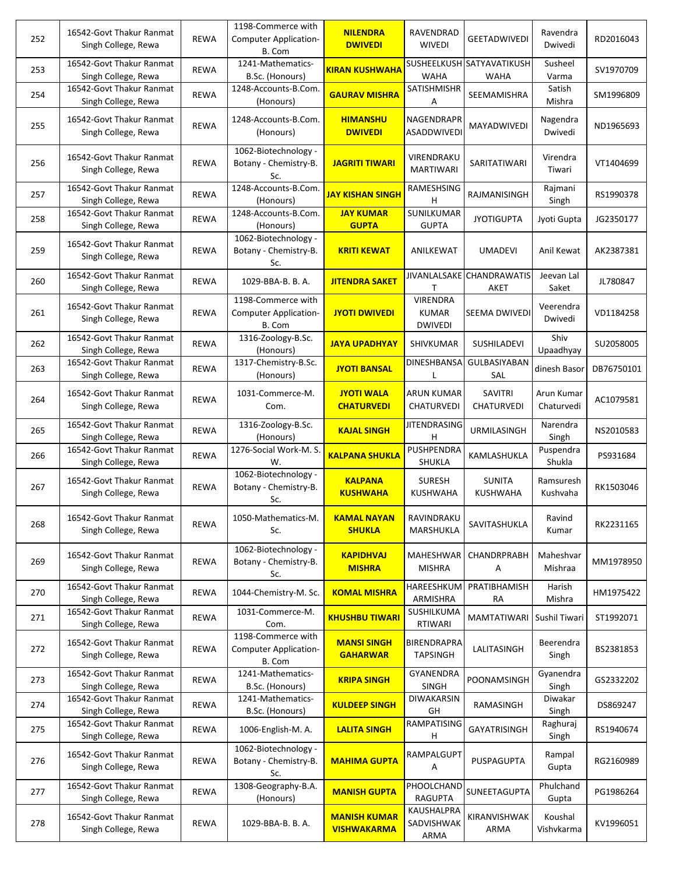| 252 | 16542-Govt Thakur Ranmat<br>Singh College, Rewa | <b>REWA</b> | 1198-Commerce with<br><b>Computer Application-</b><br>B. Com | <b>NILENDRA</b><br><b>DWIVEDI</b>         | RAVENDRAD<br><b>WIVEDI</b>                        | <b>GEETADWIVEDI</b>                      | Ravendra<br>Dwivedi      | RD2016043  |
|-----|-------------------------------------------------|-------------|--------------------------------------------------------------|-------------------------------------------|---------------------------------------------------|------------------------------------------|--------------------------|------------|
| 253 | 16542-Govt Thakur Ranmat<br>Singh College, Rewa | <b>REWA</b> | 1241-Mathematics-<br>B.Sc. (Honours)                         | <mark>KIRAN KUSHWAHA</mark>               | <b>WAHA</b>                                       | SUSHEELKUSH SATYAVATIKUSH<br><b>WAHA</b> | Susheel<br>Varma         | SV1970709  |
| 254 | 16542-Govt Thakur Ranmat<br>Singh College, Rewa | <b>REWA</b> | 1248-Accounts-B.Com.<br>(Honours)                            | <b>GAURAV MISHRA</b>                      | SATISHMISHR<br>Α                                  | <b>SEEMAMISHRA</b>                       | Satish<br>Mishra         | SM1996809  |
| 255 | 16542-Govt Thakur Ranmat<br>Singh College, Rewa | <b>REWA</b> | 1248-Accounts-B.Com.<br>(Honours)                            | <b>HIMANSHU</b><br><b>DWIVEDI</b>         | NAGENDRAPR<br><b>ASADDWIVEDI</b>                  | <b>MAYADWIVEDI</b>                       | Nagendra<br>Dwivedi      | ND1965693  |
| 256 | 16542-Govt Thakur Ranmat<br>Singh College, Rewa | <b>REWA</b> | 1062-Biotechnology -<br>Botany - Chemistry-B.<br>Sc.         | <b>JAGRITI TIWARI</b>                     | VIRENDRAKU<br><b>MARTIWARI</b>                    | SARITATIWARI                             | Virendra<br>Tiwari       | VT1404699  |
| 257 | 16542-Govt Thakur Ranmat<br>Singh College, Rewa | <b>REWA</b> | 1248-Accounts-B.Com.<br>(Honours)                            | <u>JAY KISHAN SINGH</u>                   | RAMESHSING<br>н                                   | RAJMANISINGH                             | Rajmani<br>Singh         | RS1990378  |
| 258 | 16542-Govt Thakur Ranmat<br>Singh College, Rewa | <b>REWA</b> | 1248-Accounts-B.Com.<br>(Honours)                            | <b>JAY KUMAR</b><br><b>GUPTA</b>          | SUNILKUMAR<br><b>GUPTA</b>                        | <b>JYOTIGUPTA</b>                        | Jyoti Gupta              | JG2350177  |
| 259 | 16542-Govt Thakur Ranmat<br>Singh College, Rewa | <b>REWA</b> | 1062-Biotechnology -<br>Botany - Chemistry-B.<br>Sc.         | <b>KRITI KEWAT</b>                        | ANILKEWAT                                         | <b>UMADEVI</b>                           | Anil Kewat               | AK2387381  |
| 260 | 16542-Govt Thakur Ranmat<br>Singh College, Rewa | <b>REWA</b> | 1029-BBA-B. B. A.                                            | <b>JITENDRA SAKET</b>                     |                                                   | JIVANLALSAKE CHANDRAWATIS<br>AKET        | Jeevan Lal<br>Saket      | JL780847   |
| 261 | 16542-Govt Thakur Ranmat<br>Singh College, Rewa | <b>REWA</b> | 1198-Commerce with<br><b>Computer Application-</b><br>B. Com | <b>JYOTI DWIVEDI</b>                      | <b>VIRENDRA</b><br><b>KUMAR</b><br><b>DWIVEDI</b> | SEEMA DWIVEDI                            | Veerendra<br>Dwivedi     | VD1184258  |
| 262 | 16542-Govt Thakur Ranmat<br>Singh College, Rewa | <b>REWA</b> | 1316-Zoology-B.Sc.<br>(Honours)                              | <b>JAYA UPADHYAY</b>                      | SHIVKUMAR                                         | SUSHILADEVI                              | Shiv<br>Upaadhyay        | SU2058005  |
| 263 | 16542-Govt Thakur Ranmat<br>Singh College, Rewa | <b>REWA</b> | 1317-Chemistry-B.Sc.<br>(Honours)                            | <b>JYOTI BANSAL</b>                       | <b>DINESHBANSA</b>                                | GULBASIYABAN<br>SAL                      | dinesh Basor             | DB76750101 |
| 264 | 16542-Govt Thakur Ranmat<br>Singh College, Rewa | <b>REWA</b> | 1031-Commerce-M.<br>Com.                                     | <b>JYOTI WALA</b><br><b>CHATURVEDI</b>    | ARUN KUMAR<br>CHATURVEDI                          | SAVITRI<br><b>CHATURVEDI</b>             | Arun Kumar<br>Chaturvedi | AC1079581  |
| 265 | 16542-Govt Thakur Ranmat<br>Singh College, Rewa | <b>REWA</b> | 1316-Zoology-B.Sc.<br>(Honours)                              | <b>KAJAL SINGH</b>                        | <b>JITENDRASING</b><br>н                          | URMILASINGH                              | Narendra<br>Singh        | NS2010583  |
| 266 | 16542-Govt Thakur Ranmat<br>Singh College, Rewa | <b>REWA</b> | 1276-Social Work-M. S.<br>W.                                 | <b>KALPANA SHUKLA</b>                     | PUSHPENDRA<br>SHUKLA                              | KAMLASHUKLA                              | Puspendra<br>Shukla      | PS931684   |
| 267 | 16542-Govt Thakur Ranmat<br>Singh College, Rewa | <b>REWA</b> | 1062-Biotechnology -<br>Botany - Chemistry-B.<br>Sc.         | <b>KALPANA</b><br><b>KUSHWAHA</b>         | <b>SURESH</b><br><b>KUSHWAHA</b>                  | <b>SUNITA</b><br><b>KUSHWAHA</b>         | Ramsuresh<br>Kushvaha    | RK1503046  |
| 268 | 16542-Govt Thakur Ranmat<br>Singh College, Rewa | REWA        | 1050-Mathematics-M.<br>Sc.                                   | <b>KAMAL NAYAN</b><br><b>SHUKLA</b>       | RAVINDRAKU<br>MARSHUKLA                           | SAVITASHUKLA                             | Ravind<br>Kumar          | RK2231165  |
| 269 | 16542-Govt Thakur Ranmat<br>Singh College, Rewa | <b>REWA</b> | 1062-Biotechnology -<br>Botany - Chemistry-B.<br>Sc.         | <b>KAPIDHVAJ</b><br><b>MISHRA</b>         | MAHESHWAR<br><b>MISHRA</b>                        | CHANDRPRABH<br>Α                         | Maheshvar<br>Mishraa     | MM1978950  |
| 270 | 16542-Govt Thakur Ranmat<br>Singh College, Rewa | <b>REWA</b> | 1044-Chemistry-M. Sc.                                        | <b>KOMAL MISHRA</b>                       | HAREESHKUM<br>ARMISHRA                            | PRATIBHAMISH<br>RA                       | Harish<br>Mishra         | HM1975422  |
| 271 | 16542-Govt Thakur Ranmat<br>Singh College, Rewa | <b>REWA</b> | 1031-Commerce-M.<br>Com.                                     | <b>KHUSHBU TIWARI</b>                     | SUSHILKUMA<br>RTIWARI                             | MAMTATIWARI Sushil Tiwari                |                          | ST1992071  |
| 272 | 16542-Govt Thakur Ranmat<br>Singh College, Rewa | <b>REWA</b> | 1198-Commerce with<br><b>Computer Application-</b><br>B. Com | <b>MANSI SINGH</b><br><b>GAHARWAR</b>     | <b>BIRENDRAPRA</b><br><b>TAPSINGH</b>             | LALITASINGH                              | Beerendra<br>Singh       | BS2381853  |
| 273 | 16542-Govt Thakur Ranmat<br>Singh College, Rewa | REWA        | 1241-Mathematics-<br>B.Sc. (Honours)                         | <b>KRIPA SINGH</b>                        | GYANENDRA<br>SINGH                                | POONAMSINGH                              | Gyanendra<br>Singh       | GS2332202  |
| 274 | 16542-Govt Thakur Ranmat<br>Singh College, Rewa | REWA        | 1241-Mathematics-<br>B.Sc. (Honours)                         | <b>KULDEEP SINGH</b>                      | DIWAKARSIN<br>GH                                  | RAMASINGH                                | Diwakar<br>Singh         | DS869247   |
| 275 | 16542-Govt Thakur Ranmat<br>Singh College, Rewa | REWA        | 1006-English-M. A.                                           | <b>LALITA SINGH</b>                       | RAMPATISING<br>H                                  | GAYATRISINGH                             | Raghuraj<br>Singh        | RS1940674  |
| 276 | 16542-Govt Thakur Ranmat<br>Singh College, Rewa | <b>REWA</b> | 1062-Biotechnology -<br>Botany - Chemistry-B.<br>Sc.         | <b>MAHIMA GUPTA</b>                       | RAMPALGUPT<br>Α                                   | PUSPAGUPTA                               | Rampal<br>Gupta          | RG2160989  |
| 277 | 16542-Govt Thakur Ranmat<br>Singh College, Rewa | REWA        | 1308-Geography-B.A.<br>(Honours)                             | <b>MANISH GUPTA</b>                       | PHOOLCHAND<br><b>RAGUPTA</b>                      | SUNEETAGUPTA                             | Phulchand<br>Gupta       | PG1986264  |
| 278 | 16542-Govt Thakur Ranmat<br>Singh College, Rewa | <b>REWA</b> | 1029-BBA-B. B. A.                                            | <b>MANISH KUMAR</b><br><b>VISHWAKARMA</b> | KAUSHALPRA<br>SADVISHWAK<br>ARMA                  | KIRANVISHWAK<br>ARMA                     | Koushal<br>Vishvkarma    | KV1996051  |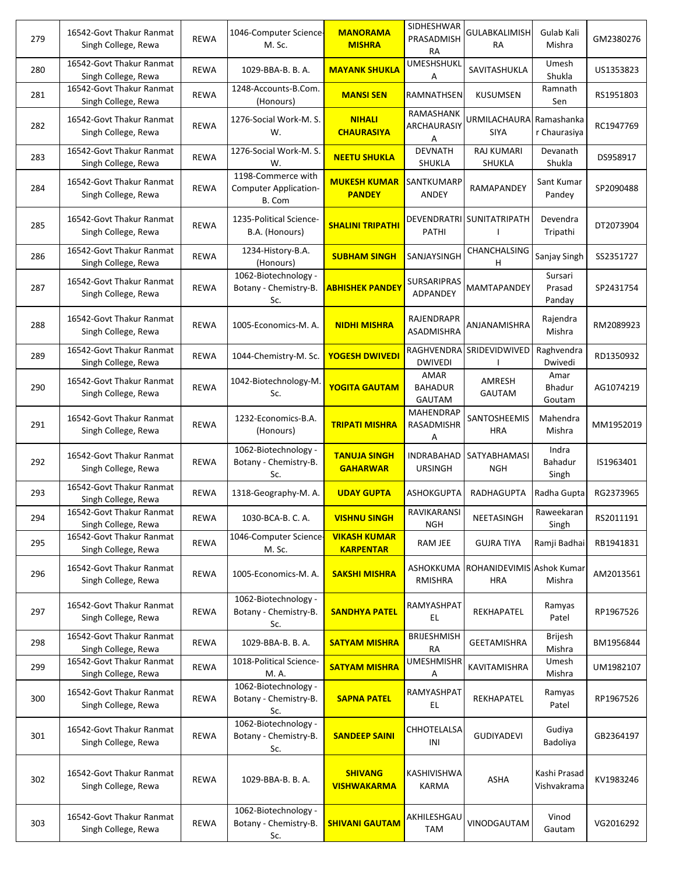| 279 | 16542-Govt Thakur Ranmat<br>Singh College, Rewa | <b>REWA</b> | 1046-Computer Science-<br>M. Sc.                             | <b>MANORAMA</b><br><b>MISHRA</b>        | SIDHESHWAR<br>PRASADMISH<br><b>RA</b> | <b>GULABKALIMISH</b><br>RA              | Gulab Kali<br>Mishra        | GM2380276 |
|-----|-------------------------------------------------|-------------|--------------------------------------------------------------|-----------------------------------------|---------------------------------------|-----------------------------------------|-----------------------------|-----------|
| 280 | 16542-Govt Thakur Ranmat<br>Singh College, Rewa | <b>REWA</b> | 1029-BBA-B. B. A.                                            | <b>MAYANK SHUKLA</b>                    | <b>UMESHSHUKL</b><br>А                | SAVITASHUKLA                            | Umesh<br>Shukla             | US1353823 |
| 281 | 16542-Govt Thakur Ranmat<br>Singh College, Rewa | <b>REWA</b> | 1248-Accounts-B.Com.<br>(Honours)                            | <b>MANSI SEN</b>                        | RAMNATHSEN                            | KUSUMSEN                                | Ramnath<br>Sen              | RS1951803 |
| 282 | 16542-Govt Thakur Ranmat<br>Singh College, Rewa | <b>REWA</b> | 1276-Social Work-M. S.<br>W.                                 | <b>NIHALI</b><br><b>CHAURASIYA</b>      | RAMASHANK<br>ARCHAURASIY<br>А         | URMILACHAURA<br><b>SIYA</b>             | Ramashanka<br>r Chaurasiya  | RC1947769 |
| 283 | 16542-Govt Thakur Ranmat<br>Singh College, Rewa | <b>REWA</b> | 1276-Social Work-M. S.<br>W.                                 | <b>NEETU SHUKLA</b>                     | <b>DEVNATH</b><br>SHUKLA              | <b>RAJ KUMARI</b><br>SHUKLA             | Devanath<br>Shukla          | DS958917  |
| 284 | 16542-Govt Thakur Ranmat<br>Singh College, Rewa | <b>REWA</b> | 1198-Commerce with<br><b>Computer Application-</b><br>B. Com | <b>MUKESH KUMAR</b><br><b>PANDEY</b>    | SANTKUMARP<br>ANDEY                   | RAMAPANDEY                              | Sant Kumar<br>Pandey        | SP2090488 |
| 285 | 16542-Govt Thakur Ranmat<br>Singh College, Rewa | <b>REWA</b> | 1235-Political Science-<br>B.A. (Honours)                    | <b>SHALINI TRIPATHI</b>                 | PATHI                                 | DEVENDRATRI   SUNITATRIPATH             | Devendra<br>Tripathi        | DT2073904 |
| 286 | 16542-Govt Thakur Ranmat<br>Singh College, Rewa | <b>REWA</b> | 1234-History-B.A.<br>(Honours)                               | <b>SUBHAM SINGH</b>                     | SANJAYSINGH                           | CHANCHALSING<br>н                       | Sanjay Singh                | SS2351727 |
| 287 | 16542-Govt Thakur Ranmat<br>Singh College, Rewa | <b>REWA</b> | 1062-Biotechnology -<br>Botany - Chemistry-B.<br>Sc.         | <mark>ABHISHEK PANDEY</mark>            | SURSARIPRAS<br>ADPANDEY               | MAMTAPANDEY                             | Sursari<br>Prasad<br>Panday | SP2431754 |
| 288 | 16542-Govt Thakur Ranmat<br>Singh College, Rewa | <b>REWA</b> | 1005-Economics-M. A.                                         | <b>NIDHI MISHRA</b>                     | RAJENDRAPR<br>ASADMISHRA              | ANJANAMISHRA                            | Rajendra<br>Mishra          | RM2089923 |
| 289 | 16542-Govt Thakur Ranmat<br>Singh College, Rewa | <b>REWA</b> | 1044-Chemistry-M. Sc.                                        | YOGESH DWIVEDI                          | RAGHVENDRA<br><b>DWIVEDI</b>          | SRIDEVIDWIVED                           | Raghvendra<br>Dwivedi       | RD1350932 |
| 290 | 16542-Govt Thakur Ranmat<br>Singh College, Rewa | <b>REWA</b> | 1042-Biotechnology-M.<br>Sc.                                 | YOGITA GAUTAM                           | AMAR<br><b>BAHADUR</b><br>GAUTAM      | AMRESH<br><b>GAUTAM</b>                 | Amar<br>Bhadur<br>Goutam    | AG1074219 |
| 291 | 16542-Govt Thakur Ranmat<br>Singh College, Rewa | <b>REWA</b> | 1232-Economics-B.A.<br>(Honours)                             | <b>TRIPATI MISHRA</b>                   | <b>MAHENDRAP</b><br>RASADMISHR<br>A   | SANTOSHEEMIS<br><b>HRA</b>              | Mahendra<br>Mishra          | MM1952019 |
| 292 | 16542-Govt Thakur Ranmat<br>Singh College, Rewa | <b>REWA</b> | 1062-Biotechnology -<br>Botany - Chemistry-B.<br>Sc.         | <b>TANUJA SINGH</b><br><b>GAHARWAR</b>  | <b>INDRABAHAD</b><br><b>URSINGH</b>   | SATYABHAMASI<br><b>NGH</b>              | Indra<br>Bahadur<br>Singh   | IS1963401 |
| 293 | 16542-Govt Thakur Ranmat<br>Singh College, Rewa | <b>REWA</b> | 1318-Geography-M. A.                                         | <b>UDAY GUPTA</b>                       | <b>ASHOKGUPTA</b>                     | RADHAGUPTA                              | Radha Gupta                 | RG2373965 |
| 294 | 16542-Govt Thakur Ranmat<br>Singh College, Rewa | <b>REWA</b> | 1030-BCA-B. C. A.                                            | <b>VISHNU SINGH</b>                     | RAVIKARANSI<br><b>NGH</b>             | NEETASINGH                              | Raweekaran<br>Singh         | RS2011191 |
| 295 | 16542-Govt Thakur Ranmat<br>Singh College, Rewa | <b>REWA</b> | 1046-Computer Science-<br>M. Sc.                             | <b>VIKASH KUMAR</b><br><b>KARPENTAR</b> | <b>RAM JEE</b>                        | <b>GUJRA TIYA</b>                       | Ramji Badhai                | RB1941831 |
| 296 | 16542-Govt Thakur Ranmat<br>Singh College, Rewa | <b>REWA</b> | 1005-Economics-M. A.                                         | <b>SAKSHI MISHRA</b>                    | ASHOKKUMA<br>RMISHRA                  | ROHANIDEVIMIS Ashok Kumar<br><b>HRA</b> | Mishra                      | AM2013561 |
| 297 | 16542-Govt Thakur Ranmat<br>Singh College, Rewa | <b>REWA</b> | 1062-Biotechnology -<br>Botany - Chemistry-B.<br>Sc.         | <b>SANDHYA PATEL</b>                    | RAMYASHPAT<br>EL.                     | REKHAPATEL                              | Ramyas<br>Patel             | RP1967526 |
| 298 | 16542-Govt Thakur Ranmat<br>Singh College, Rewa | <b>REWA</b> | 1029-BBA-B. B. A.                                            | <b>SATYAM MISHRA</b>                    | <b>BRIJESHMISH</b><br>RA              | <b>GEETAMISHRA</b>                      | <b>Brijesh</b><br>Mishra    | BM1956844 |
| 299 | 16542-Govt Thakur Ranmat<br>Singh College, Rewa | REWA        | 1018-Political Science-<br>M. A.                             | <b>SATYAM MISHRA</b>                    | <b>UMESHMISHR</b><br>Α                | KAVITAMISHRA                            | Umesh<br>Mishra             | UM1982107 |
| 300 | 16542-Govt Thakur Ranmat<br>Singh College, Rewa | <b>REWA</b> | 1062-Biotechnology -<br>Botany - Chemistry-B.<br>Sc.         | <b>SAPNA PATEL</b>                      | RAMYASHPAT<br>EL.                     | REKHAPATEL                              | Ramyas<br>Patel             | RP1967526 |
| 301 | 16542-Govt Thakur Ranmat<br>Singh College, Rewa | <b>REWA</b> | 1062-Biotechnology -<br>Botany - Chemistry-B.<br>Sc.         | <b>SANDEEP SAINI</b>                    | CHHOTELALSA<br>INI                    | GUDIYADEVI                              | Gudiya<br>Badoliya          | GB2364197 |
| 302 | 16542-Govt Thakur Ranmat<br>Singh College, Rewa | <b>REWA</b> | 1029-BBA-B. B. A.                                            | <b>SHIVANG</b><br><b>VISHWAKARMA</b>    | KASHIVISHWA<br>KARMA                  | ASHA                                    | Kashi Prasad<br>Vishvakrama | KV1983246 |
| 303 | 16542-Govt Thakur Ranmat<br>Singh College, Rewa | <b>REWA</b> | 1062-Biotechnology -<br>Botany - Chemistry-B.<br>Sc.         | <b>SHIVANI GAUTAM</b>                   | AKHILESHGAU<br>TAM                    | VINODGAUTAM                             | Vinod<br>Gautam             | VG2016292 |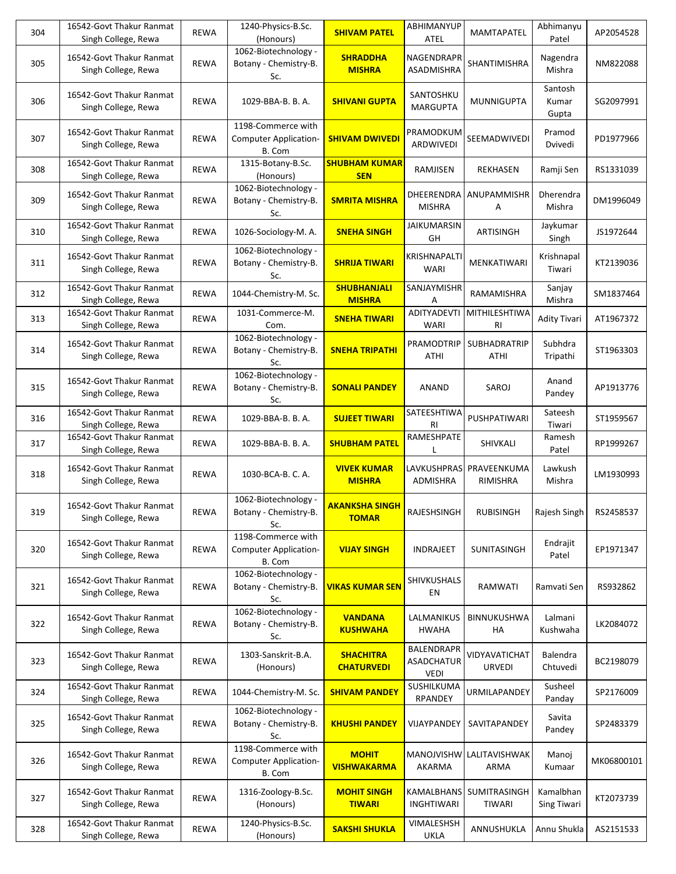| 304 | 16542-Govt Thakur Ranmat<br>Singh College, Rewa | <b>REWA</b> | 1240-Physics-B.Sc.<br>(Honours)                              | <b>SHIVAM PATEL</b>                   | ABHIMANYUP<br>ATEL                                    | MAMTAPATEL                     | Abhimanyu<br>Patel              | AP2054528  |
|-----|-------------------------------------------------|-------------|--------------------------------------------------------------|---------------------------------------|-------------------------------------------------------|--------------------------------|---------------------------------|------------|
| 305 | 16542-Govt Thakur Ranmat<br>Singh College, Rewa | <b>REWA</b> | 1062-Biotechnology -<br>Botany - Chemistry-B.<br>Sc.         | <b>SHRADDHA</b><br><b>MISHRA</b>      | NAGENDRAPR<br>ASADMISHRA                              | SHANTIMISHRA                   | Nagendra<br>Mishra              | NM822088   |
| 306 | 16542-Govt Thakur Ranmat<br>Singh College, Rewa | <b>REWA</b> | 1029-BBA-B. B. A.                                            | <b>SHIVANI GUPTA</b>                  | SANTOSHKU<br><b>MARGUPTA</b>                          | MUNNIGUPTA                     | Santosh<br>Kumar<br>Gupta       | SG2097991  |
| 307 | 16542-Govt Thakur Ranmat<br>Singh College, Rewa | <b>REWA</b> | 1198-Commerce with<br><b>Computer Application-</b><br>B. Com | <b>SHIVAM DWIVEDI</b>                 | PRAMODKUM<br>ARDWIVEDI                                | SEEMADWIVEDI                   | Pramod<br>Dvivedi               | PD1977966  |
| 308 | 16542-Govt Thakur Ranmat<br>Singh College, Rewa | <b>REWA</b> | 1315-Botany-B.Sc.<br>(Honours)                               | <b>SHUBHAM KUMAR</b><br><b>SEN</b>    | RAMJISEN                                              | <b>REKHASEN</b>                | Ramji Sen                       | RS1331039  |
| 309 | 16542-Govt Thakur Ranmat<br>Singh College, Rewa | <b>REWA</b> | 1062-Biotechnology -<br>Botany - Chemistry-B.<br>Sc.         | <b>SMRITA MISHRA</b>                  | DHEERENDRA<br><b>MISHRA</b>                           | ANUPAMMISHR<br>Α               | Dherendra<br>Mishra             | DM1996049  |
| 310 | 16542-Govt Thakur Ranmat<br>Singh College, Rewa | <b>REWA</b> | 1026-Sociology-M. A.                                         | <b>SNEHA SINGH</b>                    | <b>JAIKUMARSIN</b><br>GH                              | ARTISINGH                      | Jaykumar<br>Singh               | JS1972644  |
| 311 | 16542-Govt Thakur Ranmat<br>Singh College, Rewa | <b>REWA</b> | 1062-Biotechnology -<br>Botany - Chemistry-B.<br>Sc.         | <b>SHRIJA TIWARI</b>                  | KRISHNAPALTI<br>WARI                                  | MENKATIWARI                    | Krishnapal<br>Tiwari            | KT2139036  |
| 312 | 16542-Govt Thakur Ranmat<br>Singh College, Rewa | <b>REWA</b> | 1044-Chemistry-M. Sc.                                        | <b>SHUBHANJALI</b><br><b>MISHRA</b>   | SANJAYMISHR<br>Α                                      | RAMAMISHRA                     | Sanjay<br>Mishra                | SM1837464  |
| 313 | 16542-Govt Thakur Ranmat<br>Singh College, Rewa | <b>REWA</b> | 1031-Commerce-M.<br>Com.                                     | <b>SNEHA TIWARI</b>                   | ADITYADEVTI<br>WARI                                   | MITHILESHTIWA<br><b>RI</b>     | Adity Tivari                    | AT1967372  |
| 314 | 16542-Govt Thakur Ranmat<br>Singh College, Rewa | <b>REWA</b> | 1062-Biotechnology -<br>Botany - Chemistry-B.<br>Sc.         | <b>SNEHA TRIPATHI</b>                 | PRAMODTRIP<br>ATHI                                    | <b>SUBHADRATRIP</b><br>ATHI    | Subhdra<br>Tripathi             | ST1963303  |
| 315 | 16542-Govt Thakur Ranmat<br>Singh College, Rewa | <b>REWA</b> | 1062-Biotechnology -<br>Botany - Chemistry-B.<br>Sc.         | <b>SONALI PANDEY</b>                  | ANAND                                                 | SAROJ                          | Anand<br>Pandey                 | AP1913776  |
| 316 | 16542-Govt Thakur Ranmat<br>Singh College, Rewa | <b>REWA</b> | 1029-BBA-B. B. A.                                            | <b>SUJEET TIWARI</b>                  | SATEESHTIWA<br><b>RI</b>                              | PUSHPATIWARI                   | Sateesh<br>Tiwari               | ST1959567  |
| 317 | 16542-Govt Thakur Ranmat<br>Singh College, Rewa | <b>REWA</b> | 1029-BBA-B. B. A.                                            | <b>SHUBHAM PATEL</b>                  | RAMESHPATE                                            | SHIVKALI                       | Ramesh<br>Patel                 | RP1999267  |
| 318 | 16542-Govt Thakur Ranmat<br>Singh College, Rewa | <b>REWA</b> | 1030-BCA-B. C. A.                                            | <b>VIVEK KUMAR</b><br><b>MISHRA</b>   | LAVKUSHPRAS <br>ADMISHRA                              | PRAVEENKUMA<br>RIMISHRA        | Lawkush<br>Mishra               | LM1930993  |
| 319 | 16542-Govt Thakur Ranmat<br>Singh College, Rewa | REWA        | 1062-Biotechnology -<br>Botany - Chemistry-B.<br>Sc.         | <b>AKANKSHA SINGH</b><br><u>TOMAR</u> | RAJESHSINGH                                           | <b>RUBISINGH</b>               | Rajesh Singh                    | RS2458537  |
| 320 | 16542-Govt Thakur Ranmat<br>Singh College, Rewa | <b>REWA</b> | 1198-Commerce with<br><b>Computer Application-</b><br>B. Com | <b>VIJAY SINGH</b>                    | INDRAJEET                                             | SUNITASINGH                    | Endrajit<br>Patel               | EP1971347  |
| 321 | 16542-Govt Thakur Ranmat<br>Singh College, Rewa | REWA        | 1062-Biotechnology -<br>Botany - Chemistry-B.<br>Sc.         | <b>VIKAS KUMAR SEN</b>                | <b>SHIVKUSHALS</b><br>EN                              | RAMWATI                        | Ramvati Sen                     | RS932862   |
| 322 | 16542-Govt Thakur Ranmat<br>Singh College, Rewa | <b>REWA</b> | 1062-Biotechnology -<br>Botany - Chemistry-B.<br>Sc.         | <b>VANDANA</b><br><b>KUSHWAHA</b>     | LALMANIKUS<br><b>HWAHA</b>                            | BINNUKUSHWA<br>HA              | Lalmani<br>Kushwaha             | LK2084072  |
| 323 | 16542-Govt Thakur Ranmat<br>Singh College, Rewa | <b>REWA</b> | 1303-Sanskrit-B.A.<br>(Honours)                              | <b>SHACHITRA</b><br><b>CHATURVEDI</b> | <b>BALENDRAPR</b><br><b>ASADCHATUR</b><br><b>VEDI</b> | VIDYAVATICHAT<br><b>URVEDI</b> | Balendra<br>Chtuvedi            | BC2198079  |
| 324 | 16542-Govt Thakur Ranmat<br>Singh College, Rewa | REWA        | 1044-Chemistry-M. Sc.                                        | <b>SHIVAM PANDEY</b>                  | SUSHILKUMA<br>RPANDEY                                 | URMILAPANDEY                   | Susheel<br>Panday               | SP2176009  |
| 325 | 16542-Govt Thakur Ranmat<br>Singh College, Rewa | <b>REWA</b> | 1062-Biotechnology -<br>Botany - Chemistry-B.<br>Sc.         | <b>KHUSHI PANDEY</b>                  | VIJAYPANDEY                                           | SAVITAPANDEY                   | Savita<br>Pandey                | SP2483379  |
| 326 | 16542-Govt Thakur Ranmat<br>Singh College, Rewa | <b>REWA</b> | 1198-Commerce with<br><b>Computer Application-</b><br>B. Com | <b>MOHIT</b><br><b>VISHWAKARMA</b>    | MANOJVISHW<br>AKARMA                                  | LALITAVISHWAK<br>ARMA          | Manoj<br>Kumaar                 | MK06800101 |
| 327 | 16542-Govt Thakur Ranmat<br>Singh College, Rewa | REWA        | 1316-Zoology-B.Sc.<br>(Honours)                              | <b>MOHIT SINGH</b><br><b>TIWARI</b>   | KAMALBHANS<br><b>INGHTIWARI</b>                       | SUMITRASINGH<br><b>TIWARI</b>  | Kamalbhan<br><b>Sing Tiwari</b> | KT2073739  |
| 328 | 16542-Govt Thakur Ranmat<br>Singh College, Rewa | REWA        | 1240-Physics-B.Sc.<br>(Honours)                              | <b>SAKSHI SHUKLA</b>                  | VIMALESHSH<br><b>UKLA</b>                             | ANNUSHUKLA                     | Annu Shukla                     | AS2151533  |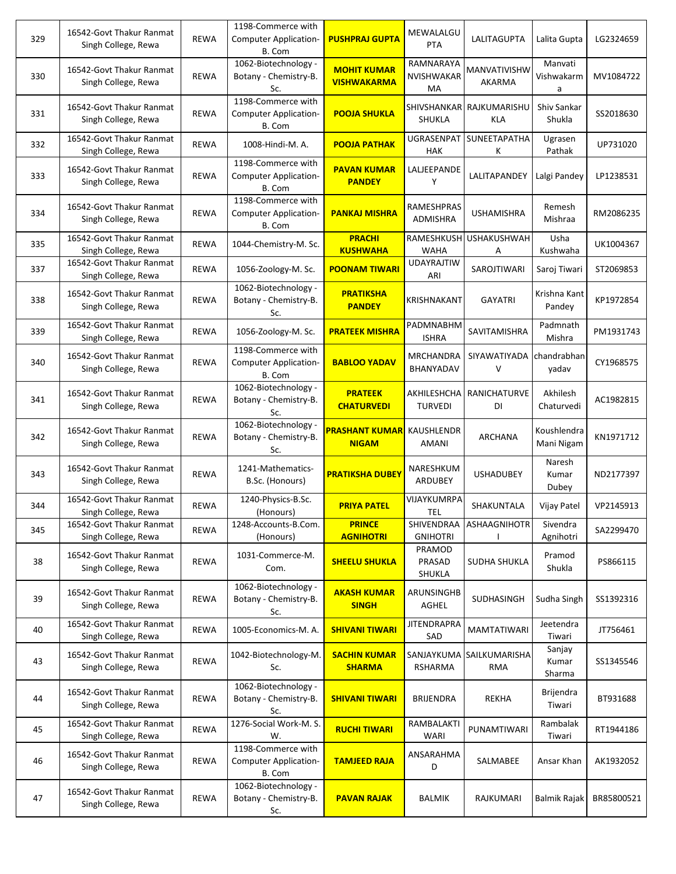| 329 | 16542-Govt Thakur Ranmat<br>Singh College, Rewa | <b>REWA</b> | 1198-Commerce with<br><b>Computer Application-</b><br>B. Com | <b>PUSHPRAJ GUPTA</b>                    | MEWALALGU<br><b>PTA</b>       | <b>LALITAGUPTA</b>              | Lalita Gupta               | LG2324659  |
|-----|-------------------------------------------------|-------------|--------------------------------------------------------------|------------------------------------------|-------------------------------|---------------------------------|----------------------------|------------|
| 330 | 16542-Govt Thakur Ranmat<br>Singh College, Rewa | <b>REWA</b> | 1062-Biotechnology -<br>Botany - Chemistry-B.<br>Sc.         | <b>MOHIT KUMAR</b><br><b>VISHWAKARMA</b> | RAMNARAYA<br>NVISHWAKAR<br>MA | MANVATIVISHW<br>AKARMA          | Manvati<br>Vishwakarm<br>a | MV1084722  |
| 331 | 16542-Govt Thakur Ranmat<br>Singh College, Rewa | <b>REWA</b> | 1198-Commerce with<br><b>Computer Application-</b><br>B. Com | <b>POOJA SHUKLA</b>                      | <b>SHIVSHANKAR</b><br>SHUKLA  | RAJKUMARISHU<br>KLA             | Shiv Sankar<br>Shukla      | SS2018630  |
| 332 | 16542-Govt Thakur Ranmat<br>Singh College, Rewa | <b>REWA</b> | 1008-Hindi-M. A.                                             | <b>POOJA PATHAK</b>                      | UGRASENPAT<br><b>HAK</b>      | SUNEETAPATHA<br>к               | Ugrasen<br>Pathak          | UP731020   |
| 333 | 16542-Govt Thakur Ranmat<br>Singh College, Rewa | <b>REWA</b> | 1198-Commerce with<br><b>Computer Application-</b><br>B. Com | <b>PAVAN KUMAR</b><br><b>PANDEY</b>      | LALJEEPANDE<br>Υ              | LALITAPANDEY                    | Lalgi Pandey               | LP1238531  |
| 334 | 16542-Govt Thakur Ranmat<br>Singh College, Rewa | <b>REWA</b> | 1198-Commerce with<br><b>Computer Application-</b><br>B. Com | <b>PANKAJ MISHRA</b>                     | RAMESHPRAS<br>ADMISHRA        | USHAMISHRA                      | Remesh<br>Mishraa          | RM2086235  |
| 335 | 16542-Govt Thakur Ranmat<br>Singh College, Rewa | <b>REWA</b> | 1044-Chemistry-M. Sc.                                        | <b>PRACHI</b><br><b>KUSHWAHA</b>         | RAMESHKUSH<br><b>WAHA</b>     | <b>USHAKUSHWAH</b><br>А         | Usha<br>Kushwaha           | UK1004367  |
| 337 | 16542-Govt Thakur Ranmat<br>Singh College, Rewa | <b>REWA</b> | 1056-Zoology-M. Sc.                                          | <b>POONAM TIWARI</b>                     | <b>UDAYRAJTIW</b><br>ARI      | SAROJTIWARI                     | Saroj Tiwari               | ST2069853  |
| 338 | 16542-Govt Thakur Ranmat<br>Singh College, Rewa | <b>REWA</b> | 1062-Biotechnology -<br>Botany - Chemistry-B.<br>Sc.         | <b>PRATIKSHA</b><br><b>PANDEY</b>        | KRISHNAKANT                   | <b>GAYATRI</b>                  | Krishna Kant<br>Pandey     | KP1972854  |
| 339 | 16542-Govt Thakur Ranmat<br>Singh College, Rewa | <b>REWA</b> | 1056-Zoology-M. Sc.                                          | <b>PRATEEK MISHRA</b>                    | PADMNABHM<br><b>ISHRA</b>     | <b>SAVITAMISHRA</b>             | Padmnath<br>Mishra         | PM1931743  |
| 340 | 16542-Govt Thakur Ranmat<br>Singh College, Rewa | <b>REWA</b> | 1198-Commerce with<br><b>Computer Application-</b><br>B. Com | <b>BABLOO YADAV</b>                      | <b>MRCHANDRA</b><br>BHANYADAV | SIYAWATIYADA<br>V               | chandrabhan<br>yadav       | CY1968575  |
| 341 | 16542-Govt Thakur Ranmat<br>Singh College, Rewa | <b>REWA</b> | 1062-Biotechnology -<br>Botany - Chemistry-B.<br>Sc.         | <b>PRATEEK</b><br><b>CHATURVEDI</b>      | AKHILESHCHA<br><b>TURVEDI</b> | RANICHATURVE<br>DI              | Akhilesh<br>Chaturvedi     | AC1982815  |
| 342 | 16542-Govt Thakur Ranmat<br>Singh College, Rewa | <b>REWA</b> | 1062-Biotechnology -<br>Botany - Chemistry-B.<br>Sc.         | <b>PRASHANT KUMAR</b><br><b>NIGAM</b>    | KAUSHLENDR<br>AMANI           | <b>ARCHANA</b>                  | Koushlendra<br>Mani Nigam  | KN1971712  |
| 343 | 16542-Govt Thakur Ranmat<br>Singh College, Rewa | <b>REWA</b> | 1241-Mathematics-<br>B.Sc. (Honours)                         | <b>PRATIKSHA DUBEY</b>                   | NARESHKUM<br>ARDUBEY          | <b>USHADUBEY</b>                | Naresh<br>Kumar<br>Dubey   | ND2177397  |
| 344 | 16542-Govt Thakur Ranmat<br>Singh College, Rewa | REWA        | 1240-Physics-B.Sc.<br>(Honours)                              | <b>PRIYA PATEL</b>                       | VIJAYKUMRPA<br><b>TEL</b>     | SHAKUNTALA                      | Vijay Patel                | VP2145913  |
| 345 | 16542-Govt Thakur Ranmat<br>Singh College, Rewa | <b>REWA</b> | 1248-Accounts-B.Com.<br>(Honours)                            | <b>PRINCE</b><br><b>AGNIHOTRI</b>        | SHIVENDRAA<br><b>GNIHOTRI</b> | ASHAAGNIHOTR                    | Sivendra<br>Agnihotri      | SA2299470  |
| 38  | 16542-Govt Thakur Ranmat<br>Singh College, Rewa | <b>REWA</b> | 1031-Commerce-M.<br>Com.                                     | <b>SHEELU SHUKLA</b>                     | PRAMOD<br>PRASAD<br>SHUKLA    | SUDHA SHUKLA                    | Pramod<br>Shukla           | PS866115   |
| 39  | 16542-Govt Thakur Ranmat<br>Singh College, Rewa | <b>REWA</b> | 1062-Biotechnology -<br>Botany - Chemistry-B.<br>Sc.         | <b>AKASH KUMAR</b><br><b>SINGH</b>       | ARUNSINGHB<br>AGHEL           | SUDHASINGH                      | Sudha Singh                | SS1392316  |
| 40  | 16542-Govt Thakur Ranmat<br>Singh College, Rewa | <b>REWA</b> | 1005-Economics-M.A.                                          | <b>SHIVANI TIWARI</b>                    | <b>JITENDRAPRA</b><br>SAD     | MAMTATIWARI                     | Jeetendra<br>Tiwari        | JT756461   |
| 43  | 16542-Govt Thakur Ranmat<br>Singh College, Rewa | <b>REWA</b> | 1042-Biotechnology-M.<br>Sc.                                 | <b>SACHIN KUMAR</b><br><b>SHARMA</b>     | RSHARMA                       | SANJAYKUMA SAILKUMARISHA<br>RMA | Sanjay<br>Kumar<br>Sharma  | SS1345546  |
| 44  | 16542-Govt Thakur Ranmat<br>Singh College, Rewa | <b>REWA</b> | 1062-Biotechnology -<br>Botany - Chemistry-B.<br>Sc.         | <b>SHIVANI TIWARI</b>                    | <b>BRIJENDRA</b>              | REKHA                           | Brijendra<br>Tiwari        | BT931688   |
| 45  | 16542-Govt Thakur Ranmat<br>Singh College, Rewa | <b>REWA</b> | 1276-Social Work-M. S.<br>W.                                 | <b>RUCHI TIWARI</b>                      | RAMBALAKTI<br>WARI            | PUNAMTIWARI                     | Rambalak<br>Tiwari         | RT1944186  |
| 46  | 16542-Govt Thakur Ranmat<br>Singh College, Rewa | <b>REWA</b> | 1198-Commerce with<br><b>Computer Application-</b><br>B. Com | <b>TAMJEED RAJA</b>                      | ANSARAHMA<br>D                | SALMABEE                        | Ansar Khan                 | AK1932052  |
| 47  | 16542-Govt Thakur Ranmat<br>Singh College, Rewa | <b>REWA</b> | 1062-Biotechnology -<br>Botany - Chemistry-B.<br>Sc.         | <b>PAVAN RAJAK</b>                       | <b>BALMIK</b>                 | RAJKUMARI                       | Balmik Rajak               | BR85800521 |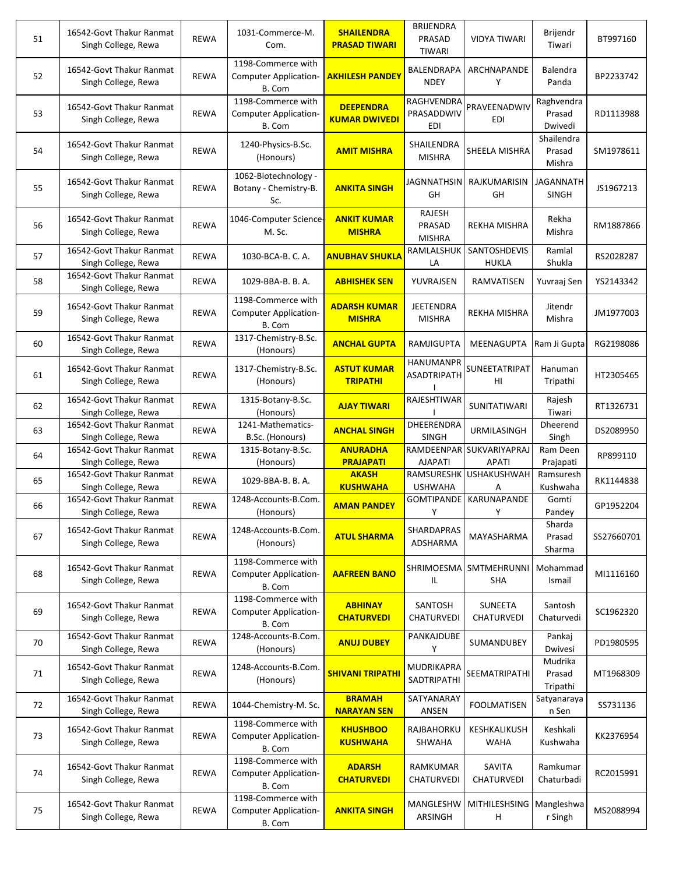| 51 | 16542-Govt Thakur Ranmat<br>Singh College, Rewa | <b>REWA</b> | 1031-Commerce-M.<br>Com.                                     | <b>SHAILENDRA</b><br><b>PRASAD TIWARI</b> | <b>BRIJENDRA</b><br>PRASAD<br><b>TIWARI</b>   | <b>VIDYA TIWARI</b>                 | Brijendr<br>Tiwari              | BT997160   |
|----|-------------------------------------------------|-------------|--------------------------------------------------------------|-------------------------------------------|-----------------------------------------------|-------------------------------------|---------------------------------|------------|
| 52 | 16542-Govt Thakur Ranmat<br>Singh College, Rewa | <b>REWA</b> | 1198-Commerce with<br>Computer Application-<br>B. Com        | <b>AKHILESH PANDEY</b>                    | BALENDRAPA<br><b>NDEY</b>                     | ARCHNAPANDE<br>Υ                    | Balendra<br>Panda               | BP2233742  |
| 53 | 16542-Govt Thakur Ranmat<br>Singh College, Rewa | <b>REWA</b> | 1198-Commerce with<br><b>Computer Application-</b><br>B. Com | <b>DEEPENDRA</b><br><b>KUMAR DWIVEDI</b>  | <b>RAGHVENDRA</b><br>PRASADDWIV<br><b>EDI</b> | PRAVEENADWIV<br>EDI                 | Raghvendra<br>Prasad<br>Dwivedi | RD1113988  |
| 54 | 16542-Govt Thakur Ranmat<br>Singh College, Rewa | <b>REWA</b> | 1240-Physics-B.Sc.<br>(Honours)                              | <b>AMIT MISHRA</b>                        | SHAILENDRA<br><b>MISHRA</b>                   | SHEELA MISHRA                       | Shailendra<br>Prasad<br>Mishra  | SM1978611  |
| 55 | 16542-Govt Thakur Ranmat<br>Singh College, Rewa | <b>REWA</b> | 1062-Biotechnology -<br>Botany - Chemistry-B.<br>Sc.         | <b>ANKITA SINGH</b>                       | JAGNNATHSIN<br>GH                             | RAJKUMARISIN<br>GH                  | JAGANNATH<br><b>SINGH</b>       | JS1967213  |
| 56 | 16542-Govt Thakur Ranmat<br>Singh College, Rewa | <b>REWA</b> | 1046-Computer Science-<br>M. Sc.                             | <b>ANKIT KUMAR</b><br><b>MISHRA</b>       | RAJESH<br>PRASAD<br><b>MISHRA</b>             | REKHA MISHRA                        | Rekha<br>Mishra                 | RM1887866  |
| 57 | 16542-Govt Thakur Ranmat<br>Singh College, Rewa | <b>REWA</b> | 1030-BCA-B. C. A.                                            | <b>ANUBHAV SHUKLA</b>                     | RAMLALSHUK<br>LA                              | <b>SANTOSHDEVIS</b><br><b>HUKLA</b> | Ramlal<br>Shukla                | RS2028287  |
| 58 | 16542-Govt Thakur Ranmat<br>Singh College, Rewa | REWA        | 1029-BBA-B. B. A.                                            | <b>ABHISHEK SEN</b>                       | YUVRAJSEN                                     | RAMVATISEN                          | Yuvraaj Sen                     | YS2143342  |
| 59 | 16542-Govt Thakur Ranmat<br>Singh College, Rewa | <b>REWA</b> | 1198-Commerce with<br><b>Computer Application-</b><br>B. Com | <b>ADARSH KUMAR</b><br><b>MISHRA</b>      | <b>JEETENDRA</b><br><b>MISHRA</b>             | <b>REKHA MISHRA</b>                 | Jitendr<br>Mishra               | JM1977003  |
| 60 | 16542-Govt Thakur Ranmat<br>Singh College, Rewa | <b>REWA</b> | 1317-Chemistry-B.Sc.<br>(Honours)                            | <b>ANCHAL GUPTA</b>                       | RAMJIGUPTA                                    | MEENAGUPTA                          | Ram Ji Gupta                    | RG2198086  |
| 61 | 16542-Govt Thakur Ranmat<br>Singh College, Rewa | <b>REWA</b> | 1317-Chemistry-B.Sc.<br>(Honours)                            | <b>ASTUT KUMAR</b><br><b>TRIPATHI</b>     | <b>HANUMANPR</b><br><b>ASADTRIPATH</b>        | SUNEETATRIPAT<br>HI                 | Hanuman<br>Tripathi             | HT2305465  |
| 62 | 16542-Govt Thakur Ranmat<br>Singh College, Rewa | REWA        | 1315-Botany-B.Sc.<br>(Honours)                               | <b>AJAY TIWARI</b>                        | RAJESHTIWAR                                   | SUNITATIWARI                        | Rajesh<br>Tiwari                | RT1326731  |
| 63 | 16542-Govt Thakur Ranmat<br>Singh College, Rewa | <b>REWA</b> | 1241-Mathematics-<br>B.Sc. (Honours)                         | <b>ANCHAL SINGH</b>                       | DHEERENDRA<br>SINGH                           | URMILASINGH                         | Dheerend<br>Singh               | DS2089950  |
| 64 | 16542-Govt Thakur Ranmat<br>Singh College, Rewa | <b>REWA</b> | 1315-Botany-B.Sc.<br>(Honours)                               | <b>ANURADHA</b><br><b>PRAJAPATI</b>       | <b>RAMDEENPAR</b><br><b>AJAPATI</b>           | SUKVARIYAPRAJ<br><b>APATI</b>       | Ram Deen<br>Prajapati           | RP899110   |
| 65 | 16542-Govt Thakur Ranmat<br>Singh College, Rewa | <b>REWA</b> | 1029-BBA-B. B. A.                                            | <b>AKASH</b><br><b>KUSHWAHA</b>           | <b>RAMSURESHK</b><br><b>USHWAHA</b>           | <b>USHAKUSHWAH</b><br>Α             | Ramsuresh<br>Kushwaha           | RK1144838  |
| 66 | 16542-Govt Thakur Ranmat<br>Singh College, Rewa | REWA        | 1248-Accounts-B.Com.<br>(Honours)                            | <b>AMAN PANDEY</b>                        | <b>GOMTIPANDE</b><br>Υ                        | KARUNAPANDE<br>Υ                    | Gomti<br>Pandey                 | GP1952204  |
| 67 | 16542-Govt Thakur Ranmat<br>Singh College, Rewa | <b>REWA</b> | 1248-Accounts-B.Com.<br>(Honours)                            | <b>ATUL SHARMA</b>                        | <b>SHARDAPRAS</b><br>ADSHARMA                 | MAYASHARMA                          | Sharda<br>Prasad<br>Sharma      | SS27660701 |
| 68 | 16542-Govt Thakur Ranmat<br>Singh College, Rewa | <b>REWA</b> | 1198-Commerce with<br><b>Computer Application-</b><br>B. Com | <b>AAFREEN BANO</b>                       | SHRIMOESMA<br>IL                              | SMTMEHRUNNI<br><b>SHA</b>           | Mohammad<br>Ismail              | MI1116160  |
| 69 | 16542-Govt Thakur Ranmat<br>Singh College, Rewa | <b>REWA</b> | 1198-Commerce with<br><b>Computer Application-</b><br>B. Com | <b>ABHINAY</b><br><b>CHATURVEDI</b>       | SANTOSH<br>CHATURVEDI                         | SUNEETA<br>CHATURVEDI               | Santosh<br>Chaturvedi           | SC1962320  |
| 70 | 16542-Govt Thakur Ranmat<br>Singh College, Rewa | REWA        | 1248-Accounts-B.Com.<br>(Honours)                            | <b>ANUJ DUBEY</b>                         | PANKAJDUBE<br>Y                               | SUMANDUBEY                          | Pankaj<br>Dwivesi               | PD1980595  |
| 71 | 16542-Govt Thakur Ranmat<br>Singh College, Rewa | REWA        | 1248-Accounts-B.Com.<br>(Honours)                            | <b>SHIVANI TRIPATHI</b>                   | MUDRIKAPRA<br>SADTRIPATHI                     | SEEMATRIPATHI                       | Mudrika<br>Prasad<br>Tripathi   | MT1968309  |
| 72 | 16542-Govt Thakur Ranmat<br>Singh College, Rewa | <b>REWA</b> | 1044-Chemistry-M. Sc.                                        | <b>BRAMAH</b><br><b>NARAYAN SEN</b>       | SATYANARAY<br>ANSEN                           | <b>FOOLMATISEN</b>                  | Satyanaraya<br>n Sen            | SS731136   |
| 73 | 16542-Govt Thakur Ranmat<br>Singh College, Rewa | <b>REWA</b> | 1198-Commerce with<br><b>Computer Application-</b><br>B. Com | <b>KHUSHBOO</b><br><b>KUSHWAHA</b>        | RAJBAHORKU<br>SHWAHA                          | KESHKALIKUSH<br>WAHA                | Keshkali<br>Kushwaha            | KK2376954  |
| 74 | 16542-Govt Thakur Ranmat<br>Singh College, Rewa | <b>REWA</b> | 1198-Commerce with<br><b>Computer Application-</b><br>B. Com | <b>ADARSH</b><br><b>CHATURVEDI</b>        | RAMKUMAR<br>CHATURVEDI                        | <b>SAVITA</b><br>CHATURVEDI         | Ramkumar<br>Chaturbadi          | RC2015991  |
| 75 | 16542-Govt Thakur Ranmat<br>Singh College, Rewa | <b>REWA</b> | 1198-Commerce with<br><b>Computer Application-</b><br>B. Com | <b>ANKITA SINGH</b>                       | MANGLESHW<br>ARSINGH                          | MITHILESHSING<br>н                  | Mangleshwa<br>r Singh           | MS2088994  |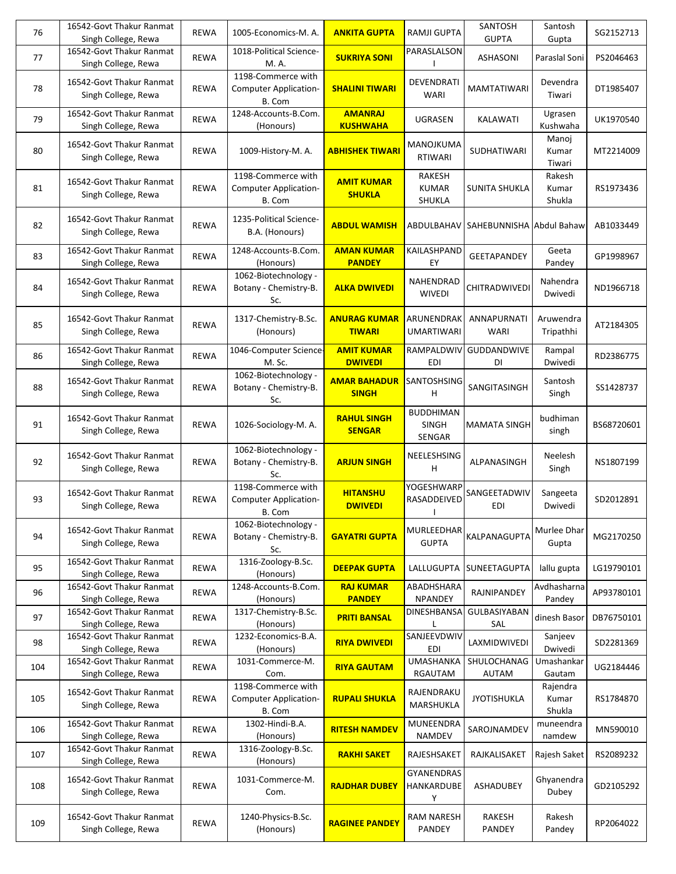| 76  | 16542-Govt Thakur Ranmat<br>Singh College, Rewa | <b>REWA</b> | 1005-Economics-M. A.                                         | <b>ANKITA GUPTA</b>                  | RAMJI GUPTA                             | SANTOSH<br><b>GUPTA</b>  | Santosh<br>Gupta            | SG2152713  |
|-----|-------------------------------------------------|-------------|--------------------------------------------------------------|--------------------------------------|-----------------------------------------|--------------------------|-----------------------------|------------|
| 77  | 16542-Govt Thakur Ranmat<br>Singh College, Rewa | <b>REWA</b> | 1018-Political Science-<br>M. A.                             | <b>SUKRIYA SONI</b>                  | PARASLALSON                             | ASHASONI                 | Paraslal Soni               | PS2046463  |
| 78  | 16542-Govt Thakur Ranmat<br>Singh College, Rewa | <b>REWA</b> | 1198-Commerce with<br><b>Computer Application-</b><br>B. Com | <b>SHALINI TIWARI</b>                | DEVENDRATI<br><b>WARI</b>               | <b>MAMTATIWARI</b>       | Devendra<br>Tiwari          | DT1985407  |
| 79  | 16542-Govt Thakur Ranmat<br>Singh College, Rewa | <b>REWA</b> | 1248-Accounts-B.Com.<br>(Honours)                            | <b>AMANRAJ</b><br><b>KUSHWAHA</b>    | UGRASEN                                 | KALAWATI                 | Ugrasen<br>Kushwaha         | UK1970540  |
| 80  | 16542-Govt Thakur Ranmat<br>Singh College, Rewa | <b>REWA</b> | 1009-History-M.A.                                            | <b>ABHISHEK TIWARI</b>               | MANOJKUMA<br><b>RTIWARI</b>             | SUDHATIWARI              | Manoj<br>Kumar<br>Tiwari    | MT2214009  |
| 81  | 16542-Govt Thakur Ranmat<br>Singh College, Rewa | <b>REWA</b> | 1198-Commerce with<br>Computer Application-<br>B. Com        | <b>AMIT KUMAR</b><br><b>SHUKLA</b>   | <b>RAKESH</b><br><b>KUMAR</b><br>SHUKLA | SUNITA SHUKLA            | Rakesh<br>Kumar<br>Shukla   | RS1973436  |
| 82  | 16542-Govt Thakur Ranmat<br>Singh College, Rewa | <b>REWA</b> | 1235-Political Science-<br>B.A. (Honours)                    | <b>ABDUL WAMISH</b>                  | ABDULBAHAV                              | SAHEBUNNISHA Abdul Bahaw |                             | AB1033449  |
| 83  | 16542-Govt Thakur Ranmat<br>Singh College, Rewa | <b>REWA</b> | 1248-Accounts-B.Com.<br>(Honours)                            | <b>AMAN KUMAR</b><br><b>PANDEY</b>   | KAILASHPAND<br>EY                       | <b>GEETAPANDEY</b>       | Geeta<br>Pandey             | GP1998967  |
| 84  | 16542-Govt Thakur Ranmat<br>Singh College, Rewa | <b>REWA</b> | 1062-Biotechnology -<br>Botany - Chemistry-B.<br>Sc.         | <b>ALKA DWIVEDI</b>                  | NAHENDRAD<br><b>WIVEDI</b>              | CHITRADWIVEDI            | Nahendra<br>Dwivedi         | ND1966718  |
| 85  | 16542-Govt Thakur Ranmat<br>Singh College, Rewa | <b>REWA</b> | 1317-Chemistry-B.Sc.<br>(Honours)                            | <b>ANURAG KUMAR</b><br><b>TIWARI</b> | ARUNENDRAK<br><b>UMARTIWARI</b>         | ANNAPURNATI<br>WARI      | Aruwendra<br>Tripathhi      | AT2184305  |
| 86  | 16542-Govt Thakur Ranmat<br>Singh College, Rewa | <b>REWA</b> | 1046-Computer Science-<br>M. Sc.                             | <b>AMIT KUMAR</b><br><b>DWIVEDI</b>  | RAMPALDWIV<br>EDI                       | GUDDANDWIVE<br>DI        | Rampal<br>Dwivedi           | RD2386775  |
| 88  | 16542-Govt Thakur Ranmat<br>Singh College, Rewa | <b>REWA</b> | 1062-Biotechnology -<br>Botany - Chemistry-B.<br>Sc.         | <b>AMAR BAHADUR</b><br><b>SINGH</b>  | SANTOSHSING<br>н                        | SANGITASINGH             | Santosh<br>Singh            | SS1428737  |
| 91  | 16542-Govt Thakur Ranmat<br>Singh College, Rewa | <b>REWA</b> | 1026-Sociology-M. A.                                         | <b>RAHUL SINGH</b><br><b>SENGAR</b>  | <b>BUDDHIMAN</b><br>SINGH<br>SENGAR     | <b>MAMATA SINGH</b>      | budhiman<br>singh           | BS68720601 |
| 92  | 16542-Govt Thakur Ranmat<br>Singh College, Rewa | <b>REWA</b> | 1062-Biotechnology -<br>Botany - Chemistry-B.<br>Sc.         | <b>ARJUN SINGH</b>                   | NEELESHSING<br>н                        | ALPANASINGH              | Neelesh<br>Singh            | NS1807199  |
| 93  | 16542-Govt Thakur Ranmat<br>Singh College, Rewa | <b>REWA</b> | 1198-Commerce with<br>Computer Application-<br>B. Com        | <b>HITANSHU</b><br><b>DWIVEDI</b>    | YOGESHWARP<br>RASADDEIVED               | SANGEETADWIV<br>EDI      | Sangeeta<br>Dwivedi         | SD2012891  |
| 94  | 16542-Govt Thakur Ranmat<br>Singh College, Rewa | <b>REWA</b> | 1062-Biotechnology -<br>Botany - Chemistry-B.<br>Sc.         | <b>GAYATRI GUPTA</b>                 | MURLEEDHAR<br><b>GUPTA</b>              | KALPANAGUPTA             | Murlee Dhar<br>Gupta        | MG2170250  |
| 95  | 16542-Govt Thakur Ranmat<br>Singh College, Rewa | <b>REWA</b> | 1316-Zoology-B.Sc.<br>(Honours)                              | <b>DEEPAK GUPTA</b>                  | LALLUGUPTA                              | SUNEETAGUPTA             | lallu gupta                 | LG19790101 |
| 96  | 16542-Govt Thakur Ranmat<br>Singh College, Rewa | <b>REWA</b> | 1248-Accounts-B.Com.<br>(Honours)                            | <b>RAJ KUMAR</b><br><b>PANDEY</b>    | ABADHSHARA<br>NPANDEY                   | RAJNIPANDEY              | Avdhasharna<br>Pandey       | AP93780101 |
| 97  | 16542-Govt Thakur Ranmat<br>Singh College, Rewa | <b>REWA</b> | 1317-Chemistry-B.Sc.<br>(Honours)                            | <b>PRITI BANSAL</b>                  | DINESHBANSA                             | GULBASIYABAN<br>SAL      | dinesh Basor                | DB76750101 |
| 98  | 16542-Govt Thakur Ranmat<br>Singh College, Rewa | REWA        | 1232-Economics-B.A.<br>(Honours)                             | <b>RIYA DWIVEDI</b>                  | SANJEEVDWIV<br>EDI                      | LAXMIDWIVEDI             | Sanjeev<br>Dwivedi          | SD2281369  |
| 104 | 16542-Govt Thakur Ranmat<br>Singh College, Rewa | REWA        | 1031-Commerce-M.<br>Com.                                     | <b>RIYA GAUTAM</b>                   | <b>UMASHANKA</b><br>RGAUTAM             | SHULOCHANAG<br>AUTAM     | Umashankar<br>Gautam        | UG2184446  |
| 105 | 16542-Govt Thakur Ranmat<br>Singh College, Rewa | <b>REWA</b> | 1198-Commerce with<br><b>Computer Application-</b><br>B. Com | <b>RUPALI SHUKLA</b>                 | RAJENDRAKU<br>MARSHUKLA                 | <b>JYOTISHUKLA</b>       | Rajendra<br>Kumar<br>Shukla | RS1784870  |
| 106 | 16542-Govt Thakur Ranmat<br>Singh College, Rewa | <b>REWA</b> | 1302-Hindi-B.A.<br>(Honours)                                 | <b>RITESH NAMDEV</b>                 | MUNEENDRA<br><b>NAMDEV</b>              | SAROJNAMDEV              | muneendra<br>namdew         | MN590010   |
| 107 | 16542-Govt Thakur Ranmat<br>Singh College, Rewa | REWA        | 1316-Zoology-B.Sc.<br>(Honours)                              | <b>RAKHI SAKET</b>                   | RAJESHSAKET                             | RAJKALISAKET             | Rajesh Saket                | RS2089232  |
| 108 | 16542-Govt Thakur Ranmat<br>Singh College, Rewa | <b>REWA</b> | 1031-Commerce-M.<br>Com.                                     | <b>RAJDHAR DUBEY</b>                 | GYANENDRAS<br>HANKARDUBE<br>Y           | ASHADUBEY                | Ghyanendra<br>Dubey         | GD2105292  |
| 109 | 16542-Govt Thakur Ranmat<br>Singh College, Rewa | <b>REWA</b> | 1240-Physics-B.Sc.<br>(Honours)                              | <b>RAGINEE PANDEY</b>                | <b>RAM NARESH</b><br>PANDEY             | RAKESH<br>PANDEY         | Rakesh<br>Pandey            | RP2064022  |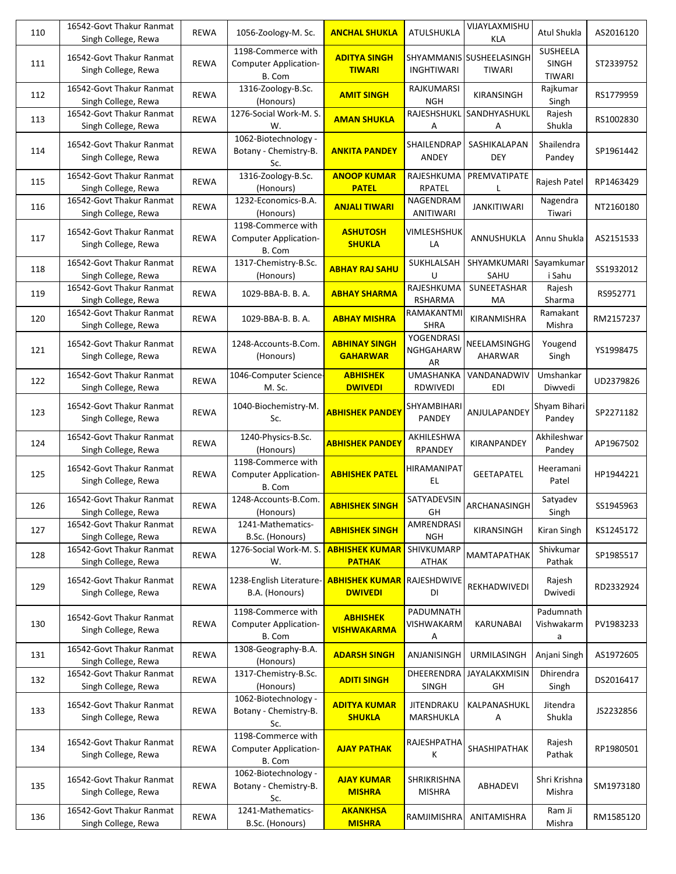| 110 | 16542-Govt Thakur Ranmat<br>Singh College, Rewa | <b>REWA</b> | 1056-Zoology-M. Sc.                                          | <b>ANCHAL SHUKLA</b>                    | ATULSHUKLA                      | VIJAYLAXMISHU<br>KLA                | Atul Shukla                        | AS2016120 |
|-----|-------------------------------------------------|-------------|--------------------------------------------------------------|-----------------------------------------|---------------------------------|-------------------------------------|------------------------------------|-----------|
| 111 | 16542-Govt Thakur Ranmat<br>Singh College, Rewa | <b>REWA</b> | 1198-Commerce with<br><b>Computer Application-</b><br>B. Com | <b>ADITYA SINGH</b><br><b>TIWARI</b>    | <b>INGHTIWARI</b>               | SHYAMMANIS  SUSHEELASINGH<br>TIWARI | <b>SUSHEELA</b><br>SINGH<br>TIWARI | ST2339752 |
| 112 | 16542-Govt Thakur Ranmat<br>Singh College, Rewa | <b>REWA</b> | 1316-Zoology-B.Sc.<br>(Honours)                              | <b>AMIT SINGH</b>                       | <b>RAJKUMARSI</b><br><b>NGH</b> | KIRANSINGH                          | Rajkumar<br>Singh                  | RS1779959 |
| 113 | 16542-Govt Thakur Ranmat<br>Singh College, Rewa | <b>REWA</b> | 1276-Social Work-M. S.<br>W.                                 | <b>AMAN SHUKLA</b>                      | RAJESHSHUKL<br>A                | SANDHYASHUKL<br>Α                   | Rajesh<br>Shukla                   | RS1002830 |
| 114 | 16542-Govt Thakur Ranmat<br>Singh College, Rewa | <b>REWA</b> | 1062-Biotechnology -<br>Botany - Chemistry-B.<br>Sc.         | <b>ANKITA PANDEY</b>                    | SHAILENDRAP<br>ANDEY            | SASHIKALAPAN<br><b>DEY</b>          | Shailendra<br>Pandey               | SP1961442 |
| 115 | 16542-Govt Thakur Ranmat<br>Singh College, Rewa | <b>REWA</b> | 1316-Zoology-B.Sc.<br>(Honours)                              | <b>ANOOP KUMAR</b><br><b>PATEL</b>      | RAJESHKUMA<br>RPATEL            | PREMVATIPATE                        | Rajesh Patel                       | RP1463429 |
| 116 | 16542-Govt Thakur Ranmat<br>Singh College, Rewa | <b>REWA</b> | 1232-Economics-B.A.<br>(Honours)                             | <b>ANJALI TIWARI</b>                    | NAGENDRAM<br>ANITIWARI          | <b>JANKITIWARI</b>                  | Nagendra<br>Tiwari                 | NT2160180 |
| 117 | 16542-Govt Thakur Ranmat<br>Singh College, Rewa | <b>REWA</b> | 1198-Commerce with<br><b>Computer Application-</b><br>B. Com | <b>ASHUTOSH</b><br><b>SHUKLA</b>        | VIMLESHSHUK<br>LA               | ANNUSHUKLA                          | Annu Shukla                        | AS2151533 |
| 118 | 16542-Govt Thakur Ranmat<br>Singh College, Rewa | <b>REWA</b> | 1317-Chemistry-B.Sc.<br>(Honours)                            | <b>ABHAY RAJ SAHU</b>                   | SUKHLALSAH<br>U                 | SHYAMKUMARI<br>SAHU                 | Sayamkumar<br>i Sahu               | SS1932012 |
| 119 | 16542-Govt Thakur Ranmat<br>Singh College, Rewa | <b>REWA</b> | 1029-BBA-B. B. A.                                            | <b>ABHAY SHARMA</b>                     | RAJESHKUMA<br><b>RSHARMA</b>    | SUNEETASHAR<br>MA                   | Rajesh<br>Sharma                   | RS952771  |
| 120 | 16542-Govt Thakur Ranmat<br>Singh College, Rewa | REWA        | 1029-BBA-B. B. A.                                            | <b>ABHAY MISHRA</b>                     | RAMAKANTMI<br><b>SHRA</b>       | KIRANMISHRA                         | Ramakant<br>Mishra                 | RM2157237 |
| 121 | 16542-Govt Thakur Ranmat<br>Singh College, Rewa | <b>REWA</b> | 1248-Accounts-B.Com.<br>(Honours)                            | <b>ABHINAY SINGH</b><br><b>GAHARWAR</b> | YOGENDRASI<br>NGHGAHARW<br>AR   | NEELAMSINGHG<br>AHARWAR             | Yougend<br>Singh                   | YS1998475 |
| 122 | 16542-Govt Thakur Ranmat<br>Singh College, Rewa | <b>REWA</b> | 1046-Computer Science-<br>M. Sc.                             | <b>ABHISHEK</b><br><b>DWIVEDI</b>       | <b>UMASHANKA</b><br>RDWIVEDI    | VANDANADWIV<br>EDI                  | Umshankar<br>Diwvedi               | UD2379826 |
| 123 | 16542-Govt Thakur Ranmat<br>Singh College, Rewa | <b>REWA</b> | 1040-Biochemistry-M.<br>Sc.                                  | <mark>ABHISHEK PANDEY</mark>            | SHYAMBIHARI<br>PANDEY           | ANJULAPANDEY                        | Shyam Bihari<br>Pandey             | SP2271182 |
| 124 | 16542-Govt Thakur Ranmat<br>Singh College, Rewa | <b>REWA</b> | 1240-Physics-B.Sc.<br>(Honours)                              | <b>ABHISHEK PANDEY</b>                  | AKHILESHWA<br><b>RPANDEY</b>    | KIRANPANDEY                         | Akhileshwar<br>Pandey              | AP1967502 |
| 125 | 16542-Govt Thakur Ranmat<br>Singh College, Rewa | <b>REWA</b> | 1198-Commerce with<br><b>Computer Application-</b><br>B. Com | <b>ABHISHEK PATEL</b>                   | HIRAMANIPAT<br>EL.              | <b>GEETAPATEL</b>                   | Heeramani<br>Patel                 | HP1944221 |
| 126 | 16542-Govt Thakur Ranmat<br>Singh College, Rewa | <b>REWA</b> | 1248-Accounts-B.Com.<br>(Honours)                            | <b>ABHISHEK SINGH</b>                   | SATYADEVSIN<br>GH               | ARCHANASINGH                        | Satyadev<br>Singh                  | SS1945963 |
| 127 | 16542-Govt Thakur Ranmat<br>Singh College, Rewa | REWA        | 1241-Mathematics-<br>B.Sc. (Honours)                         | <b>ABHISHEK SINGH</b>                   | AMRENDRASI<br><b>NGH</b>        | KIRANSINGH                          | Kiran Singh                        | KS1245172 |
| 128 | 16542-Govt Thakur Ranmat<br>Singh College, Rewa | REWA        | 1276-Social Work-M. S.<br>W.                                 | <b>ABHISHEK KUMAR</b><br><b>PATHAK</b>  | SHIVKUMARP<br><b>ATHAK</b>      | <b>MAMTAPATHAK</b>                  | Shivkumar<br>Pathak                | SP1985517 |
| 129 | 16542-Govt Thakur Ranmat<br>Singh College, Rewa | REWA        | 1238-English Literature-<br>B.A. (Honours)                   | <b>ABHISHEK KUMAR</b><br><b>DWIVEDI</b> | RAJESHDWIVE<br>DI               | REKHADWIVEDI                        | Rajesh<br>Dwivedi                  | RD2332924 |
| 130 | 16542-Govt Thakur Ranmat<br>Singh College, Rewa | <b>REWA</b> | 1198-Commerce with<br><b>Computer Application-</b><br>B. Com | <b>ABHISHEK</b><br><b>VISHWAKARMA</b>   | PADUMNATH<br>VISHWAKARM<br>Α    | KARUNABAI                           | Padumnath<br>Vishwakarm<br>a       | PV1983233 |
| 131 | 16542-Govt Thakur Ranmat<br>Singh College, Rewa | REWA        | 1308-Geography-B.A.<br>(Honours)                             | <b>ADARSH SINGH</b>                     | ANJANISINGH                     | <b>URMILASINGH</b>                  | Anjani Singh                       | AS1972605 |
| 132 | 16542-Govt Thakur Ranmat<br>Singh College, Rewa | <b>REWA</b> | 1317-Chemistry-B.Sc.<br>(Honours)                            | <b>ADITI SINGH</b>                      | DHEERENDRA<br>SINGH             | JAYALAKXMISIN<br>GH                 | Dhirendra<br>Singh                 | DS2016417 |
| 133 | 16542-Govt Thakur Ranmat<br>Singh College, Rewa | <b>REWA</b> | 1062-Biotechnology -<br>Botany - Chemistry-B.<br>Sc.         | <b>ADITYA KUMAR</b><br><b>SHUKLA</b>    | <b>JITENDRAKU</b><br>MARSHUKLA  | KALPANASHUKL<br>Α                   | Jitendra<br>Shukla                 | JS2232856 |
| 134 | 16542-Govt Thakur Ranmat<br>Singh College, Rewa | <b>REWA</b> | 1198-Commerce with<br><b>Computer Application-</b><br>B. Com | <b>AJAY PATHAK</b>                      | RAJESHPATHA<br>Κ                | SHASHIPATHAK                        | Rajesh<br>Pathak                   | RP1980501 |
| 135 | 16542-Govt Thakur Ranmat<br>Singh College, Rewa | <b>REWA</b> | 1062-Biotechnology -<br>Botany - Chemistry-B.<br>Sc.         | <b>AJAY KUMAR</b><br><b>MISHRA</b>      | SHRIKRISHNA<br><b>MISHRA</b>    | ABHADEVI                            | Shri Krishna<br>Mishra             | SM1973180 |
| 136 | 16542-Govt Thakur Ranmat<br>Singh College, Rewa | REWA        | 1241-Mathematics-<br>B.Sc. (Honours)                         | <b>AKANKHSA</b><br><b>MISHRA</b>        | RAMJIMISHRA                     | ANITAMISHRA                         | Ram Ji<br>Mishra                   | RM1585120 |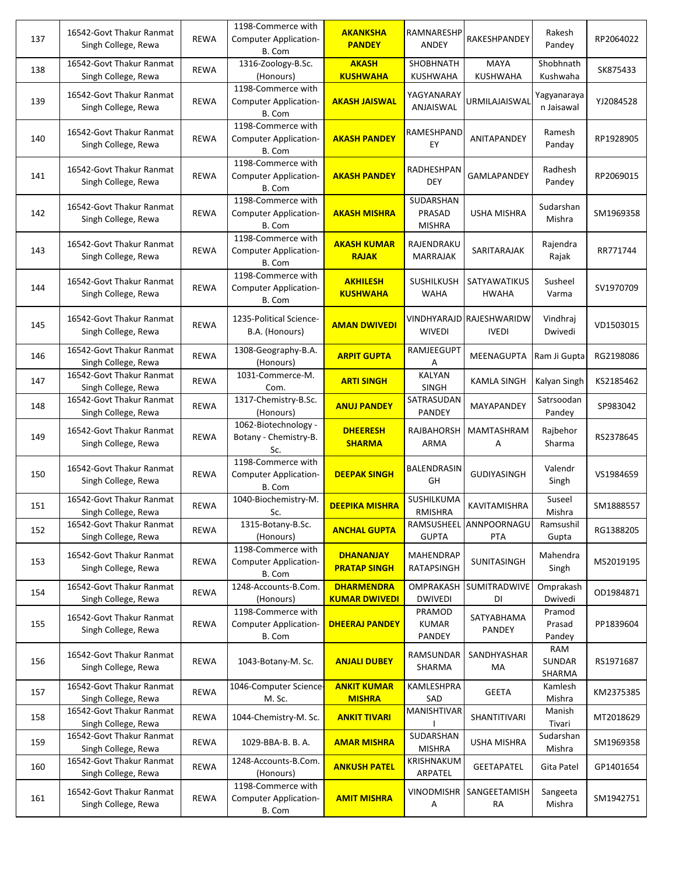| 137 | 16542-Govt Thakur Ranmat<br>Singh College, Rewa | <b>REWA</b> | 1198-Commerce with<br><b>Computer Application-</b><br>B. Com | <b>AKANKSHA</b><br><b>PANDEY</b>          | RAMNARESHP<br>ANDEY                  | RAKESHPANDEY                             | Rakesh<br>Pandey           | RP2064022 |
|-----|-------------------------------------------------|-------------|--------------------------------------------------------------|-------------------------------------------|--------------------------------------|------------------------------------------|----------------------------|-----------|
| 138 | 16542-Govt Thakur Ranmat<br>Singh College, Rewa | <b>REWA</b> | 1316-Zoology-B.Sc.<br>(Honours)                              | <b>AKASH</b><br><b>KUSHWAHA</b>           | SHOBHNATH<br>KUSHWAHA                | <b>MAYA</b><br><b>KUSHWAHA</b>           | Shobhnath<br>Kushwaha      | SK875433  |
| 139 | 16542-Govt Thakur Ranmat<br>Singh College, Rewa | <b>REWA</b> | 1198-Commerce with<br><b>Computer Application-</b><br>B. Com | <b>AKASH JAISWAL</b>                      | YAGYANARAY<br>ANJAISWAL              | URMILAJAISWAL                            | Yagyanaraya<br>n Jaisawal  | YJ2084528 |
| 140 | 16542-Govt Thakur Ranmat<br>Singh College, Rewa | <b>REWA</b> | 1198-Commerce with<br>Computer Application-<br>B. Com        | <b>AKASH PANDEY</b>                       | RAMESHPAND<br>EY                     | ANITAPANDEY                              | Ramesh<br>Panday           | RP1928905 |
| 141 | 16542-Govt Thakur Ranmat<br>Singh College, Rewa | <b>REWA</b> | 1198-Commerce with<br><b>Computer Application-</b><br>B. Com | <b>AKASH PANDEY</b>                       | RADHESHPAN<br><b>DEY</b>             | GAMLAPANDEY                              | Radhesh<br>Pandey          | RP2069015 |
| 142 | 16542-Govt Thakur Ranmat<br>Singh College, Rewa | <b>REWA</b> | 1198-Commerce with<br><b>Computer Application-</b><br>B. Com | <b>AKASH MISHRA</b>                       | SUDARSHAN<br>PRASAD<br><b>MISHRA</b> | <b>USHA MISHRA</b>                       | Sudarshan<br>Mishra        | SM1969358 |
| 143 | 16542-Govt Thakur Ranmat<br>Singh College, Rewa | <b>REWA</b> | 1198-Commerce with<br><b>Computer Application-</b><br>B. Com | <b>AKASH KUMAR</b><br><b>RAJAK</b>        | RAJENDRAKU<br><b>MARRAJAK</b>        | SARITARAJAK                              | Rajendra<br>Rajak          | RR771744  |
| 144 | 16542-Govt Thakur Ranmat<br>Singh College, Rewa | <b>REWA</b> | 1198-Commerce with<br><b>Computer Application-</b><br>B. Com | <b>AKHILESH</b><br><b>KUSHWAHA</b>        | <b>SUSHILKUSH</b><br><b>WAHA</b>     | SATYAWATIKUS<br><b>HWAHA</b>             | Susheel<br>Varma           | SV1970709 |
| 145 | 16542-Govt Thakur Ranmat<br>Singh College, Rewa | <b>REWA</b> | 1235-Political Science-<br>B.A. (Honours)                    | <b>AMAN DWIVEDI</b>                       | <b>WIVEDI</b>                        | VINDHYARAJD RAJESHWARIDW<br><b>IVEDI</b> | Vindhraj<br>Dwivedi        | VD1503015 |
| 146 | 16542-Govt Thakur Ranmat<br>Singh College, Rewa | <b>REWA</b> | 1308-Geography-B.A.<br>(Honours)                             | <b>ARPIT GUPTA</b>                        | RAMJEEGUPT<br>Α                      | MEENAGUPTA                               | Ram Ji Gupta               | RG2198086 |
| 147 | 16542-Govt Thakur Ranmat<br>Singh College, Rewa | <b>REWA</b> | 1031-Commerce-M.<br>Com.                                     | <b>ARTI SINGH</b>                         | KALYAN<br><b>SINGH</b>               | <b>KAMLA SINGH</b>                       | Kalyan Singh               | KS2185462 |
| 148 | 16542-Govt Thakur Ranmat<br>Singh College, Rewa | REWA        | 1317-Chemistry-B.Sc.<br>(Honours)                            | <b>ANUJ PANDEY</b>                        | SATRASUDAN<br>PANDEY                 | MAYAPANDEY                               | Satrsoodan<br>Pandey       | SP983042  |
| 149 | 16542-Govt Thakur Ranmat<br>Singh College, Rewa | <b>REWA</b> | 1062-Biotechnology -<br>Botany - Chemistry-B.<br>Sc.         | <b>DHEERESH</b><br><b>SHARMA</b>          | RAJBAHORSH<br>ARMA                   | MAMTASHRAM<br>Α                          | Rajbehor<br>Sharma         | RS2378645 |
| 150 | 16542-Govt Thakur Ranmat<br>Singh College, Rewa | <b>REWA</b> | 1198-Commerce with<br><b>Computer Application-</b><br>B. Com | <b>DEEPAK SINGH</b>                       | BALENDRASIN<br>GH                    | <b>GUDIYASINGH</b>                       | Valendr<br>Singh           | VS1984659 |
| 151 | 16542-Govt Thakur Ranmat<br>Singh College, Rewa | <b>REWA</b> | 1040-Biochemistry-M.<br>Sc.                                  | <b>DEEPIKA MISHRA</b>                     | SUSHILKUMA<br><b>RMISHRA</b>         | KAVITAMISHRA                             | Suseel<br>Mishra           | SM1888557 |
| 152 | 16542-Govt Thakur Ranmat<br>Singh College, Rewa | <b>REWA</b> | 1315-Botany-B.Sc.<br>(Honours)                               | <b>ANCHAL GUPTA</b>                       | <b>GUPTA</b>                         | RAMSUSHEEL ANNPOORNAGU<br><b>PTA</b>     | Ramsushil<br>Gupta         | RG1388205 |
| 153 | 16542-Govt Thakur Ranmat<br>Singh College, Rewa | <b>REWA</b> | 1198-Commerce with<br><b>Computer Application-</b><br>B. Com | <b>DHANANJAY</b><br><b>PRATAP SINGH</b>   | MAHENDRAP<br><b>RATAPSINGH</b>       | SUNITASINGH                              | Mahendra<br>Singh          | MS2019195 |
| 154 | 16542-Govt Thakur Ranmat<br>Singh College, Rewa | REWA        | 1248-Accounts-B.Com.<br>(Honours)                            | <b>DHARMENDRA</b><br><b>KUMAR DWIVEDI</b> | <b>OMPRAKASH</b><br><b>DWIVEDI</b>   | SUMITRADWIVE<br>DI                       | Omprakash<br>Dwivedi       | OD1984871 |
| 155 | 16542-Govt Thakur Ranmat<br>Singh College, Rewa | <b>REWA</b> | 1198-Commerce with<br><b>Computer Application-</b><br>B. Com | <b>DHEERAJ PANDEY</b>                     | PRAMOD<br><b>KUMAR</b><br>PANDEY     | SATYABHAMA<br><b>PANDEY</b>              | Pramod<br>Prasad<br>Pandey | PP1839604 |
| 156 | 16542-Govt Thakur Ranmat<br>Singh College, Rewa | <b>REWA</b> | 1043-Botany-M. Sc.                                           | <b>ANJALI DUBEY</b>                       | RAMSUNDAR<br>SHARMA                  | SANDHYASHAR<br>МA                        | RAM<br>SUNDAR<br>SHARMA    | RS1971687 |
| 157 | 16542-Govt Thakur Ranmat<br>Singh College, Rewa | REWA        | 1046-Computer Science-<br>M. Sc.                             | <b>ANKIT KUMAR</b><br><b>MISHRA</b>       | KAMLESHPRA<br>SAD                    | <b>GEETA</b>                             | Kamlesh<br>Mishra          | KM2375385 |
| 158 | 16542-Govt Thakur Ranmat<br>Singh College, Rewa | REWA        | 1044-Chemistry-M. Sc.                                        | <b>ANKIT TIVARI</b>                       | MANISHTIVAR                          | SHANTITIVARI                             | Manish<br>Tivari           | MT2018629 |
| 159 | 16542-Govt Thakur Ranmat<br>Singh College, Rewa | REWA        | 1029-BBA-B. B. A.                                            | <b>AMAR MISHRA</b>                        | SUDARSHAN<br><b>MISHRA</b>           | <b>USHA MISHRA</b>                       | Sudarshan<br>Mishra        | SM1969358 |
| 160 | 16542-Govt Thakur Ranmat<br>Singh College, Rewa | REWA        | 1248-Accounts-B.Com.<br>(Honours)                            | <b>ANKUSH PATEL</b>                       | KRISHNAKUM<br>ARPATEL                | <b>GEETAPATEL</b>                        | Gita Patel                 | GP1401654 |
| 161 | 16542-Govt Thakur Ranmat<br>Singh College, Rewa | <b>REWA</b> | 1198-Commerce with<br><b>Computer Application-</b><br>B. Com | <b>AMIT MISHRA</b>                        | VINODMISHR<br>Α                      | SANGEETAMISH<br><b>RA</b>                | Sangeeta<br>Mishra         | SM1942751 |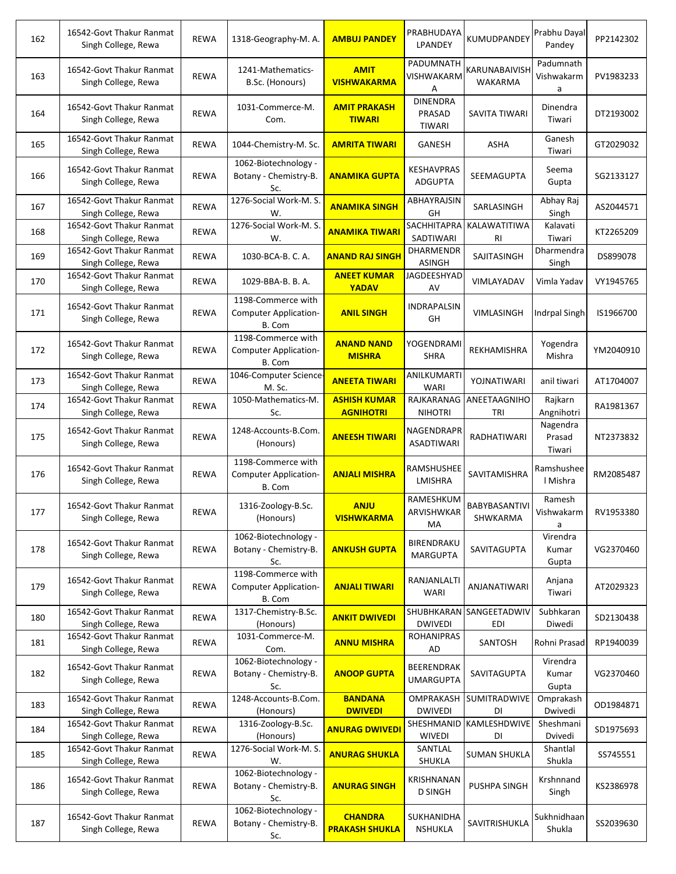| 162 | 16542-Govt Thakur Ranmat<br>Singh College, Rewa | <b>REWA</b> | 1318-Geography-M. A.                                         | <b>AMBUJ PANDEY</b>                     | PRABHUDAYA<br>LPANDEY                      | KUMUDPANDEY                     | Prabhu Dayal<br>Pandey       | PP2142302 |
|-----|-------------------------------------------------|-------------|--------------------------------------------------------------|-----------------------------------------|--------------------------------------------|---------------------------------|------------------------------|-----------|
| 163 | 16542-Govt Thakur Ranmat<br>Singh College, Rewa | <b>REWA</b> | 1241-Mathematics-<br>B.Sc. (Honours)                         | <b>AMIT</b><br><b>VISHWAKARMA</b>       | PADUMNATH<br>VISHWAKARM<br>Α               | KARUNABAIVISH<br><b>WAKARMA</b> | Padumnath<br>Vishwakarm<br>a | PV1983233 |
| 164 | 16542-Govt Thakur Ranmat<br>Singh College, Rewa | <b>REWA</b> | 1031-Commerce-M.<br>Com.                                     | <b>AMIT PRAKASH</b><br><b>TIWARI</b>    | <b>DINENDRA</b><br>PRASAD<br><b>TIWARI</b> | SAVITA TIWARI                   | Dinendra<br>Tiwari           | DT2193002 |
| 165 | 16542-Govt Thakur Ranmat<br>Singh College, Rewa | <b>REWA</b> | 1044-Chemistry-M. Sc.                                        | <b>AMRITA TIWARI</b>                    | GANESH                                     | ASHA                            | Ganesh<br>Tiwari             | GT2029032 |
| 166 | 16542-Govt Thakur Ranmat<br>Singh College, Rewa | <b>REWA</b> | 1062-Biotechnology -<br>Botany - Chemistry-B.<br>Sc.         | <b>ANAMIKA GUPTA</b>                    | KESHAVPRAS<br><b>ADGUPTA</b>               | <b>SEEMAGUPTA</b>               | Seema<br>Gupta               | SG2133127 |
| 167 | 16542-Govt Thakur Ranmat<br>Singh College, Rewa | <b>REWA</b> | 1276-Social Work-M. S.<br>W.                                 | <b>ANAMIKA SINGH</b>                    | ABHAYRAJSIN<br>GH                          | SARLASINGH                      | Abhay Raj<br>Singh           | AS2044571 |
| 168 | 16542-Govt Thakur Ranmat<br>Singh College, Rewa | <b>REWA</b> | 1276-Social Work-M. S.<br>w.                                 | <b>ANAMIKA TIWARI</b>                   | SACHHITAPRA<br>SADTIWARI                   | KALAWATITIWA<br>R1              | Kalavati<br>Tiwari           | KT2265209 |
| 169 | 16542-Govt Thakur Ranmat<br>Singh College, Rewa | <b>REWA</b> | 1030-BCA-B. C. A.                                            | <b>ANAND RAJ SINGH</b>                  | DHARMENDR<br><b>ASINGH</b>                 | SAJITASINGH                     | Dharmendra<br>Singh          | DS899078  |
| 170 | 16542-Govt Thakur Ranmat<br>Singh College, Rewa | <b>REWA</b> | 1029-BBA-B. B. A.                                            | <b>ANEET KUMAR</b><br><b>YADAV</b>      | JAGDEESHYAD<br>AV                          | VIMLAYADAV                      | Vimla Yadav                  | VY1945765 |
| 171 | 16542-Govt Thakur Ranmat<br>Singh College, Rewa | <b>REWA</b> | 1198-Commerce with<br>Computer Application-<br>B. Com        | <b>ANIL SINGH</b>                       | INDRAPALSIN<br>GH                          | VIMLASINGH                      | Indrpal Singh                | IS1966700 |
| 172 | 16542-Govt Thakur Ranmat<br>Singh College, Rewa | <b>REWA</b> | 1198-Commerce with<br><b>Computer Application-</b><br>B. Com | <b>ANAND NAND</b><br><b>MISHRA</b>      | YOGENDRAMI<br><b>SHRA</b>                  | <b>REKHAMISHRA</b>              | Yogendra<br>Mishra           | YM2040910 |
| 173 | 16542-Govt Thakur Ranmat<br>Singh College, Rewa | <b>REWA</b> | 1046-Computer Science-<br>M. Sc.                             | <b>ANEETA TIWARI</b>                    | ANILKUMARTI<br><b>WARI</b>                 | YOJNATIWARI                     | anil tiwari                  | AT1704007 |
| 174 | 16542-Govt Thakur Ranmat<br>Singh College, Rewa | <b>REWA</b> | 1050-Mathematics-M.<br>Sc.                                   | <b>ASHISH KUMAR</b><br><b>AGNIHOTRI</b> | RAJKARANAG<br><b>NIHOTRI</b>               | ANEETAAGNIHO<br>TRI             | Rajkarn<br>Angnihotri        | RA1981367 |
| 175 | 16542-Govt Thakur Ranmat<br>Singh College, Rewa | <b>REWA</b> | 1248-Accounts-B.Com.<br>(Honours)                            | <b>ANEESH TIWARI</b>                    | NAGENDRAPR<br><b>ASADTIWARI</b>            | RADHATIWARI                     | Nagendra<br>Prasad<br>Tiwari | NT2373832 |
| 176 | 16542-Govt Thakur Ranmat<br>Singh College, Rewa | <b>REWA</b> | 1198-Commerce with<br><b>Computer Application-</b><br>B. Com | <b>ANJALI MISHRA</b>                    | RAMSHUSHEE<br>LMISHRA                      | SAVITAMISHRA                    | Ramshushee<br>I Mishra       | RM2085487 |
| 177 | 16542-Govt Thakur Ranmat<br>Singh College, Rewa | <b>REWA</b> | 1316-Zoology-B.Sc.<br>(Honours)                              | <b>ANJU</b><br><b>VISHWKARMA</b>        | RAMESHKUM<br>ARVISHWKAR<br>МA              | BABYBASANTIVI<br>SHWKARMA       | Ramesh<br>Vishwakarm<br>a    | RV1953380 |
| 178 | 16542-Govt Thakur Ranmat<br>Singh College, Rewa | <b>REWA</b> | 1062-Biotechnology -<br>Botany - Chemistry-B.<br>Sc.         | <b>ANKUSH GUPTA</b>                     | BIRENDRAKU<br><b>MARGUPTA</b>              | SAVITAGUPTA                     | Virendra<br>Kumar<br>Gupta   | VG2370460 |
| 179 | 16542-Govt Thakur Ranmat<br>Singh College, Rewa | <b>REWA</b> | 1198-Commerce with<br><b>Computer Application-</b><br>B. Com | <b>ANJALI TIWARI</b>                    | RANJANLALTI<br>WARI                        | ANJANATIWARI                    | Anjana<br>Tiwari             | AT2029323 |
| 180 | 16542-Govt Thakur Ranmat<br>Singh College, Rewa | REWA        | 1317-Chemistry-B.Sc.<br>(Honours)                            | <b>ANKIT DWIVEDI</b>                    | <b>DWIVEDI</b>                             | SHUBHKARAN SANGEETADWIV<br>EDI  | Subhkaran<br>Diwedi          | SD2130438 |
| 181 | 16542-Govt Thakur Ranmat<br>Singh College, Rewa | REWA        | 1031-Commerce-M.<br>Com.                                     | <b>ANNU MISHRA</b>                      | <b>ROHANIPRAS</b><br>AD                    | SANTOSH                         | Rohni Prasad                 | RP1940039 |
| 182 | 16542-Govt Thakur Ranmat<br>Singh College, Rewa | <b>REWA</b> | 1062-Biotechnology -<br>Botany - Chemistry-B.<br>Sc.         | <b>ANOOP GUPTA</b>                      | <b>BEERENDRAK</b><br><b>UMARGUPTA</b>      | SAVITAGUPTA                     | Virendra<br>Kumar<br>Gupta   | VG2370460 |
| 183 | 16542-Govt Thakur Ranmat<br>Singh College, Rewa | REWA        | 1248-Accounts-B.Com.<br>(Honours)                            | <b>BANDANA</b><br><b>DWIVEDI</b>        | OMPRAKASH<br><b>DWIVEDI</b>                | SUMITRADWIVE<br>DI              | Omprakash<br>Dwivedi         | OD1984871 |
| 184 | 16542-Govt Thakur Ranmat<br>Singh College, Rewa | REWA        | 1316-Zoology-B.Sc.<br>(Honours)                              | <b>ANURAG DWIVEDI</b>                   | SHESHMANID<br><b>WIVEDI</b>                | KAMLESHDWIVE<br>DI              | Sheshmani<br>Dvivedi         | SD1975693 |
| 185 | 16542-Govt Thakur Ranmat<br>Singh College, Rewa | REWA        | 1276-Social Work-M. S.<br>W.                                 | <b>ANURAG SHUKLA</b>                    | SANTLAL<br>SHUKLA                          | <b>SUMAN SHUKLA</b>             | Shantlal<br>Shukla           | SS745551  |
| 186 | 16542-Govt Thakur Ranmat<br>Singh College, Rewa | <b>REWA</b> | 1062-Biotechnology -<br>Botany - Chemistry-B.<br>Sc.         | <b>ANURAG SINGH</b>                     | KRISHNANAN<br><b>D SINGH</b>               | <b>PUSHPA SINGH</b>             | Krshnnand<br>Singh           | KS2386978 |
| 187 | 16542-Govt Thakur Ranmat<br>Singh College, Rewa | <b>REWA</b> | 1062-Biotechnology -<br>Botany - Chemistry-B.<br>Sc.         | <b>CHANDRA</b><br><b>PRAKASH SHUKLA</b> | SUKHANIDHA<br><b>NSHUKLA</b>               | SAVITRISHUKLA                   | Sukhnidhaan<br>Shukla        | SS2039630 |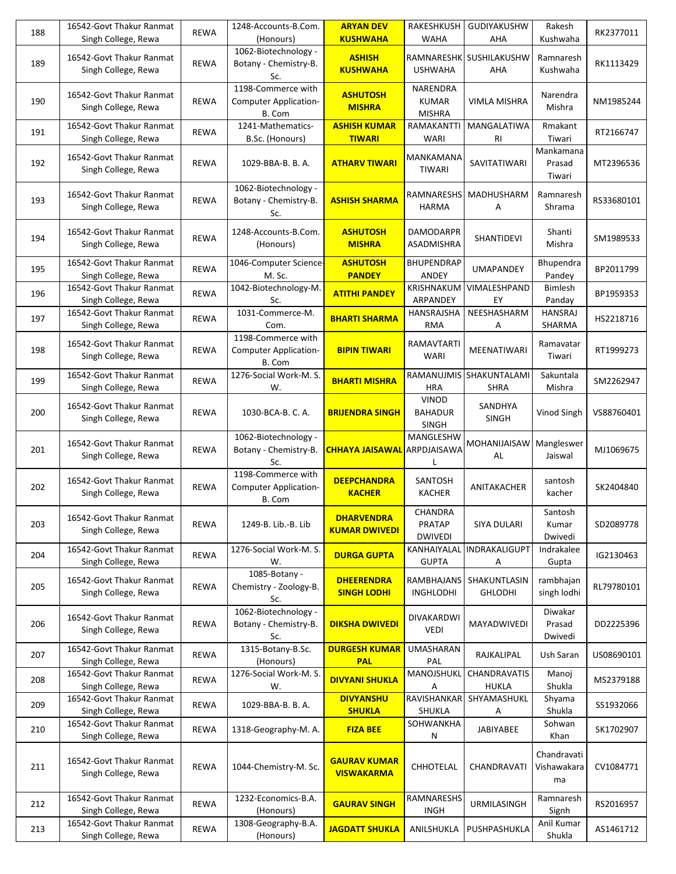| 188 | 16542-Govt Thakur Ranmat<br>Singh College, Rewa | <b>REWA</b> | 1248-Accounts-B.Com.<br>(Honours)                            | <b>ARYAN DEV</b><br><b>KUSHWAHA</b>       | <b>RAKESHKUSH</b><br>WAHA                      | <b>GUDIYAKUSHW</b><br>AHA      | Rakesh<br>Kushwaha               | RK2377011  |
|-----|-------------------------------------------------|-------------|--------------------------------------------------------------|-------------------------------------------|------------------------------------------------|--------------------------------|----------------------------------|------------|
| 189 | 16542-Govt Thakur Ranmat<br>Singh College, Rewa | <b>REWA</b> | 1062-Biotechnology -<br>Botany - Chemistry-B.<br>Sc.         | <b>ASHISH</b><br><b>KUSHWAHA</b>          | <b>USHWAHA</b>                                 | RAMNARESHK SUSHILAKUSHW<br>AHA | Ramnaresh<br>Kushwaha            | RK1113429  |
| 190 | 16542-Govt Thakur Ranmat<br>Singh College, Rewa | <b>REWA</b> | 1198-Commerce with<br><b>Computer Application-</b><br>B. Com | <b>ASHUTOSH</b><br><b>MISHRA</b>          | NARENDRA<br><b>KUMAR</b><br><b>MISHRA</b>      | <b>VIMLA MISHRA</b>            | Narendra<br>Mishra               | NM1985244  |
| 191 | 16542-Govt Thakur Ranmat<br>Singh College, Rewa | <b>REWA</b> | 1241-Mathematics-<br>B.Sc. (Honours)                         | <b>ASHISH KUMAR</b><br><b>TIWARI</b>      | RAMAKANTTI<br>WARI                             | MANGALATIWA<br><b>RI</b>       | Rmakant<br>Tiwari                | RT2166747  |
| 192 | 16542-Govt Thakur Ranmat<br>Singh College, Rewa | <b>REWA</b> | 1029-BBA-B. B. A.                                            | <b>ATHARV TIWARI</b>                      | MANKAMANA<br>TIWARI                            | SAVITATIWARI                   | Mankamana<br>Prasad<br>Tiwari    | MT2396536  |
| 193 | 16542-Govt Thakur Ranmat<br>Singh College, Rewa | <b>REWA</b> | 1062-Biotechnology -<br>Botany - Chemistry-B.<br>Sc.         | <b>ASHISH SHARMA</b>                      | RAMNARESHS<br><b>HARMA</b>                     | MADHUSHARM<br>Α                | Ramnaresh<br>Shrama              | RS33680101 |
| 194 | 16542-Govt Thakur Ranmat<br>Singh College, Rewa | <b>REWA</b> | 1248-Accounts-B.Com.<br>(Honours)                            | <b>ASHUTOSH</b><br><b>MISHRA</b>          | <b>DAMODARPR</b><br>ASADMISHRA                 | <b>SHANTIDEVI</b>              | Shanti<br>Mishra                 | SM1989533  |
| 195 | 16542-Govt Thakur Ranmat<br>Singh College, Rewa | <b>REWA</b> | 1046-Computer Science-<br>M. Sc.                             | <b>ASHUTOSH</b><br><b>PANDEY</b>          | <b>BHUPENDRAP</b><br>ANDEY                     | <b>UMAPANDEY</b>               | Bhupendra<br>Pandey              | BP2011799  |
| 196 | 16542-Govt Thakur Ranmat<br>Singh College, Rewa | <b>REWA</b> | 1042-Biotechnology-M.<br>Sc.                                 | <b>ATITHI PANDEY</b>                      | KRISHNAKUM<br>ARPANDEY                         | VIMALESHPAND<br>EY             | <b>Bimlesh</b><br>Panday         | BP1959353  |
| 197 | 16542-Govt Thakur Ranmat<br>Singh College, Rewa | <b>REWA</b> | 1031-Commerce-M.<br>Com.                                     | <b>BHARTI SHARMA</b>                      | HANSRAJSHA<br><b>RMA</b>                       | NEESHASHARM<br>Α               | <b>HANSRAJ</b><br>SHARMA         | HS2218716  |
| 198 | 16542-Govt Thakur Ranmat<br>Singh College, Rewa | <b>REWA</b> | 1198-Commerce with<br>Computer Application-<br>B. Com        | <b>BIPIN TIWARI</b>                       | RAMAVTARTI<br><b>WARI</b>                      | MEENATIWARI                    | Ramavatar<br>Tiwari              | RT1999273  |
| 199 | 16542-Govt Thakur Ranmat<br>Singh College, Rewa | <b>REWA</b> | 1276-Social Work-M. S.<br>W.                                 | <b>BHARTI MISHRA</b>                      | RAMANUJMIS<br><b>HRA</b>                       | SHAKUNTALAMI<br>SHRA           | Sakuntala<br>Mishra              | SM2262947  |
| 200 | 16542-Govt Thakur Ranmat<br>Singh College, Rewa | <b>REWA</b> | 1030-BCA-B. C. A.                                            | <b>BRIJENDRA SINGH</b>                    | <b>VINOD</b><br><b>BAHADUR</b><br><b>SINGH</b> | SANDHYA<br><b>SINGH</b>        | Vinod Singh                      | VS88760401 |
| 201 | 16542-Govt Thakur Ranmat<br>Singh College, Rewa | <b>REWA</b> | 1062-Biotechnology -<br>Botany - Chemistry-B.<br>Sc.         | <b>CHHAYA JAISAWAL</b>                    | MANGLESHW<br>ARPDJAISAWA                       | MOHANIJAISAW<br>AL             | Mangleswer<br>Jaiswal            | MJ1069675  |
| 202 | 16542-Govt Thakur Ranmat<br>Singh College, Rewa | <b>REWA</b> | 1198-Commerce with<br><b>Computer Application-</b><br>B. Com | <b>DEEPCHANDRA</b><br><b>KACHER</b>       | SANTOSH<br><b>KACHER</b>                       | ANITAKACHER                    | santosh<br>kacher                | SK2404840  |
| 203 | 16542-Govt Thakur Ranmat<br>Singh College, Rewa | <b>REWA</b> | 1249-B. Lib.-B. Lib                                          | <b>DHARVENDRA</b><br><b>KUMAR DWIVEDI</b> | <b>CHANDRA</b><br>PRATAP<br><b>DWIVEDI</b>     | SIYA DULARI                    | Santosh<br>Kumar<br>Dwivedi      | SD2089778  |
| 204 | 16542-Govt Thakur Ranmat<br>Singh College, Rewa | <b>REWA</b> | 1276-Social Work-M. S.<br>W.                                 | <b>DURGA GUPTA</b>                        | KANHAIYALAL<br><b>GUPTA</b>                    | INDRAKALIGUPT<br>Α             | Indrakalee<br>Gupta              | IG2130463  |
| 205 | 16542-Govt Thakur Ranmat<br>Singh College, Rewa | <b>REWA</b> | 1085-Botany -<br>Chemistry - Zoology-B.<br>Sc.               | <b>DHEERENDRA</b><br><b>SINGH LODHI</b>   | RAMBHAJANS<br><b>INGHLODHI</b>                 | SHAKUNTLASIN<br><b>GHLODHI</b> | rambhajan<br>singh lodhi         | RL79780101 |
| 206 | 16542-Govt Thakur Ranmat<br>Singh College, Rewa | <b>REWA</b> | 1062-Biotechnology -<br>Botany - Chemistry-B.<br>Sc.         | <b>DIKSHA DWIVEDI</b>                     | DIVAKARDWI<br>VEDI                             | MAYADWIVEDI                    | Diwakar<br>Prasad<br>Dwivedi     | DD2225396  |
| 207 | 16542-Govt Thakur Ranmat<br>Singh College, Rewa | REWA        | 1315-Botany-B.Sc.<br>(Honours)                               | <b>DURGESH KUMAR</b><br><b>PAL</b>        | <b>UMASHARAN</b><br><b>PAL</b>                 | RAJKALIPAL                     | Ush Saran                        | US08690101 |
| 208 | 16542-Govt Thakur Ranmat<br>Singh College, Rewa | <b>REWA</b> | 1276-Social Work-M. S.<br>W.                                 | <b>DIVYANI SHUKLA</b>                     | MANOJSHUKL<br>Α                                | CHANDRAVATIS<br><b>HUKLA</b>   | Manoj<br>Shukla                  | MS2379188  |
| 209 | 16542-Govt Thakur Ranmat<br>Singh College, Rewa | <b>REWA</b> | 1029-BBA-B. B. A.                                            | <b>DIVYANSHU</b><br><b>SHUKLA</b>         | RAVISHANKAR<br>SHUKLA                          | SHYAMASHUKL<br>А               | Shyama<br>Shukla                 | SS1932066  |
| 210 | 16542-Govt Thakur Ranmat<br>Singh College, Rewa | <b>REWA</b> | 1318-Geography-M. A.                                         | <b>FIZA BEE</b>                           | SOHWANKHA<br>Ν                                 | JABIYABEE                      | Sohwan<br>Khan                   | SK1702907  |
| 211 | 16542-Govt Thakur Ranmat<br>Singh College, Rewa | <b>REWA</b> | 1044-Chemistry-M. Sc.                                        | <b>GAURAV KUMAR</b><br><b>VISWAKARMA</b>  | CHHOTELAL                                      | CHANDRAVATI                    | Chandravati<br>Vishawakara<br>ma | CV1084771  |
| 212 | 16542-Govt Thakur Ranmat<br>Singh College, Rewa | <b>REWA</b> | 1232-Economics-B.A.<br>(Honours)                             | <b>GAURAV SINGH</b>                       | RAMNARESHS<br><b>INGH</b>                      | <b>URMILASINGH</b>             | Ramnaresh<br>Signh               | RS2016957  |
| 213 | 16542-Govt Thakur Ranmat<br>Singh College, Rewa | REWA        | 1308-Geography-B.A.<br>(Honours)                             | <b>JAGDATT SHUKLA</b>                     | ANILSHUKLA                                     | PUSHPASHUKLA                   | Anil Kumar<br>Shukla             | AS1461712  |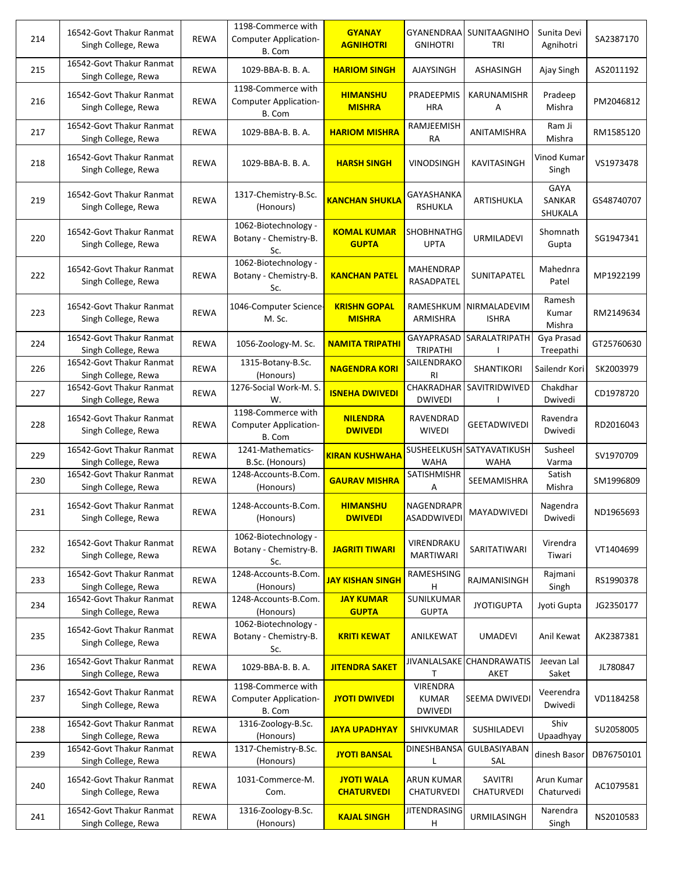| 214 | 16542-Govt Thakur Ranmat<br>Singh College, Rewa | <b>REWA</b> | 1198-Commerce with<br><b>Computer Application-</b><br>B. Com | <b>GYANAY</b><br><b>AGNIHOTRI</b>      | <b>GYANENDRAA</b><br><b>GNIHOTRI</b>              | SUNITAAGNIHO<br>TRI                      | Sunita Devi<br>Agnihotri  | SA2387170  |
|-----|-------------------------------------------------|-------------|--------------------------------------------------------------|----------------------------------------|---------------------------------------------------|------------------------------------------|---------------------------|------------|
| 215 | 16542-Govt Thakur Ranmat<br>Singh College, Rewa | <b>REWA</b> | 1029-BBA-B. B. A.                                            | <b>HARIOM SINGH</b>                    | <b>AJAYSINGH</b>                                  | ASHASINGH                                | Ajay Singh                | AS2011192  |
| 216 | 16542-Govt Thakur Ranmat<br>Singh College, Rewa | <b>REWA</b> | 1198-Commerce with<br>Computer Application-<br>B. Com        | <b>HIMANSHU</b><br><b>MISHRA</b>       | PRADEEPMIS<br><b>HRA</b>                          | KARUNAMISHR<br>Α                         | Pradeep<br>Mishra         | PM2046812  |
| 217 | 16542-Govt Thakur Ranmat<br>Singh College, Rewa | <b>REWA</b> | 1029-BBA-B. B. A.                                            | <b>HARIOM MISHRA</b>                   | RAMJEEMISH<br><b>RA</b>                           | ANITAMISHRA                              | Ram Ji<br>Mishra          | RM1585120  |
| 218 | 16542-Govt Thakur Ranmat<br>Singh College, Rewa | <b>REWA</b> | 1029-BBA-B. B. A.                                            | <b>HARSH SINGH</b>                     | VINODSINGH                                        | KAVITASINGH                              | Vinod Kumar<br>Singh      | VS1973478  |
| 219 | 16542-Govt Thakur Ranmat<br>Singh College, Rewa | REWA        | 1317-Chemistry-B.Sc.<br>(Honours)                            | <b>KANCHAN SHUKLA</b>                  | GAYASHANKA<br><b>RSHUKLA</b>                      | ARTISHUKLA                               | GAYA<br>SANKAR<br>SHUKALA | GS48740707 |
| 220 | 16542-Govt Thakur Ranmat<br>Singh College, Rewa | <b>REWA</b> | 1062-Biotechnology -<br>Botany - Chemistry-B.<br>Sc.         | <b>KOMAL KUMAR</b><br><b>GUPTA</b>     | SHOBHNATHG<br><b>UPTA</b>                         | URMILADEVI                               | Shomnath<br>Gupta         | SG1947341  |
| 222 | 16542-Govt Thakur Ranmat<br>Singh College, Rewa | <b>REWA</b> | 1062-Biotechnology -<br>Botany - Chemistry-B.<br>Sc.         | <b>KANCHAN PATEL</b>                   | MAHENDRAP<br>RASADPATEL                           | SUNITAPATEL                              | Mahednra<br>Patel         | MP1922199  |
| 223 | 16542-Govt Thakur Ranmat<br>Singh College, Rewa | <b>REWA</b> | 1046-Computer Science-<br>M. Sc.                             | <b>KRISHN GOPAL</b><br><b>MISHRA</b>   | RAMESHKUM<br>ARMISHRA                             | NIRMALADEVIM<br><b>ISHRA</b>             | Ramesh<br>Kumar<br>Mishra | RM2149634  |
| 224 | 16542-Govt Thakur Ranmat<br>Singh College, Rewa | <b>REWA</b> | 1056-Zoology-M. Sc.                                          | <b>NAMITA TRIPATHI</b>                 | GAYAPRASAD<br><b>TRIPATHI</b>                     | SARALATRIPATH                            | Gya Prasad<br>Treepathi   | GT25760630 |
| 226 | 16542-Govt Thakur Ranmat<br>Singh College, Rewa | <b>REWA</b> | 1315-Botany-B.Sc.<br>(Honours)                               | <b>NAGENDRA KORI</b>                   | SAILENDRAKO<br>RI                                 | SHANTIKORI                               | Sailendr Kori             | SK2003979  |
| 227 | 16542-Govt Thakur Ranmat<br>Singh College, Rewa | <b>REWA</b> | 1276-Social Work-M. S.<br>W.                                 | <b>ISNEHA DWIVEDI</b>                  | CHAKRADHAR<br><b>DWIVEDI</b>                      | SAVITRIDWIVED                            | Chakdhar<br>Dwivedi       | CD1978720  |
| 228 | 16542-Govt Thakur Ranmat<br>Singh College, Rewa | <b>REWA</b> | 1198-Commerce with<br><b>Computer Application-</b><br>B. Com | <b>NILENDRA</b><br><b>DWIVEDI</b>      | RAVENDRAD<br><b>WIVEDI</b>                        | <b>GEETADWIVEDI</b>                      | Ravendra<br>Dwivedi       | RD2016043  |
| 229 | 16542-Govt Thakur Ranmat<br>Singh College, Rewa | <b>REWA</b> | 1241-Mathematics-<br>B.Sc. (Honours)                         | <b>KIRAN KUSHWAHA</b>                  | <b>WAHA</b>                                       | SUSHEELKUSH SATYAVATIKUSH<br><b>WAHA</b> | Susheel<br>Varma          | SV1970709  |
| 230 | 16542-Govt Thakur Ranmat<br>Singh College, Rewa | <b>REWA</b> | 1248-Accounts-B.Com.<br>(Honours)                            | <b>GAURAV MISHRA</b>                   | SATISHMISHR<br>Α                                  | SEEMAMISHRA                              | Satish<br>Mishra          | SM1996809  |
| 231 | 16542-Govt Thakur Ranmat<br>Singh College, Rewa | <b>REWA</b> | 1248-Accounts-B.Com.<br>(Honours)                            | <b>HIMANSHU</b><br><b>DWIVEDI</b>      | NAGENDRAPR<br>ASADDWIVEDI                         | MAYADWIVEDI                              | Nagendra<br>Dwivedi       | ND1965693  |
| 232 | 16542-Govt Thakur Ranmat<br>Singh College, Rewa | <b>REWA</b> | 1062-Biotechnology -<br>Botany - Chemistry-B.<br>Sc.         | <b>JAGRITI TIWARI</b>                  | VIRENDRAKU<br>MARTIWARI                           | SARITATIWARI                             | Virendra<br>Tiwari        | VT1404699  |
| 233 | 16542-Govt Thakur Ranmat<br>Singh College, Rewa | <b>REWA</b> | 1248-Accounts-B.Com.<br>(Honours)                            | <b>JAY KISHAN SINGH</b>                | RAMESHSING<br>н                                   | RAJMANISINGH                             | Rajmani<br>Singh          | RS1990378  |
| 234 | 16542-Govt Thakur Ranmat<br>Singh College, Rewa | <b>REWA</b> | 1248-Accounts-B.Com.<br>(Honours)                            | <b>JAY KUMAR</b><br><b>GUPTA</b>       | SUNILKUMAR<br><b>GUPTA</b>                        | <b>JYOTIGUPTA</b>                        | Jyoti Gupta               | JG2350177  |
| 235 | 16542-Govt Thakur Ranmat<br>Singh College, Rewa | <b>REWA</b> | 1062-Biotechnology -<br>Botany - Chemistry-B.<br>Sc.         | <b>KRITI KEWAT</b>                     | ANILKEWAT                                         | <b>UMADEVI</b>                           | Anil Kewat                | AK2387381  |
| 236 | 16542-Govt Thakur Ranmat<br>Singh College, Rewa | REWA        | 1029-BBA-B. B. A.                                            | <b>JITENDRA SAKET</b>                  |                                                   | JIVANLALSAKE CHANDRAWATIS<br>AKET        | Jeevan Lal<br>Saket       | JL780847   |
| 237 | 16542-Govt Thakur Ranmat<br>Singh College, Rewa | <b>REWA</b> | 1198-Commerce with<br><b>Computer Application-</b><br>B. Com | <b>JYOTI DWIVEDI</b>                   | <b>VIRENDRA</b><br><b>KUMAR</b><br><b>DWIVEDI</b> | SEEMA DWIVEDI                            | Veerendra<br>Dwivedi      | VD1184258  |
| 238 | 16542-Govt Thakur Ranmat<br>Singh College, Rewa | REWA        | 1316-Zoology-B.Sc.<br>(Honours)                              | <b>JAYA UPADHYAY</b>                   | SHIVKUMAR                                         | SUSHILADEVI                              | Shiv<br>Upaadhyay         | SU2058005  |
| 239 | 16542-Govt Thakur Ranmat<br>Singh College, Rewa | REWA        | 1317-Chemistry-B.Sc.<br>(Honours)                            | <b>JYOTI BANSAL</b>                    | DINESHBANSA                                       | GULBASIYABAN<br>SAL                      | dinesh Basor              | DB76750101 |
| 240 | 16542-Govt Thakur Ranmat<br>Singh College, Rewa | <b>REWA</b> | 1031-Commerce-M.<br>Com.                                     | <b>JYOTI WALA</b><br><b>CHATURVEDI</b> | <b>ARUN KUMAR</b><br>CHATURVEDI                   | SAVITRI<br>CHATURVEDI                    | Arun Kumar<br>Chaturvedi  | AC1079581  |
| 241 | 16542-Govt Thakur Ranmat<br>Singh College, Rewa | REWA        | 1316-Zoology-B.Sc.<br>(Honours)                              | <b>KAJAL SINGH</b>                     | <b>JITENDRASING</b><br>H                          | <b>URMILASINGH</b>                       | Narendra<br>Singh         | NS2010583  |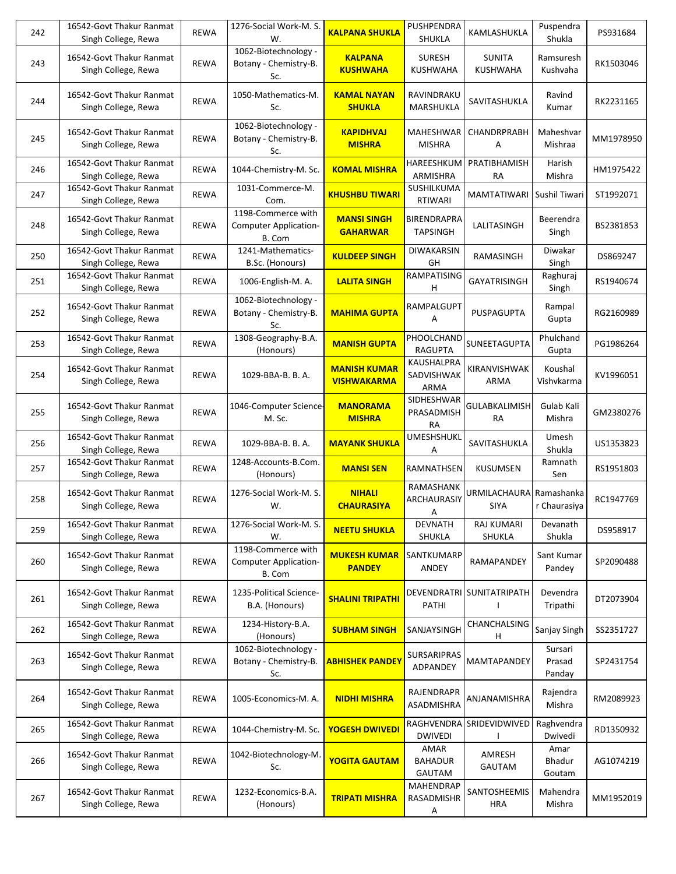| 242 | 16542-Govt Thakur Ranmat<br>Singh College, Rewa | <b>REWA</b> | 1276-Social Work-M. S.<br>W.                                 | <b>KALPANA SHUKLA</b>                     | <b>PUSHPENDRA</b><br>SHUKLA           | KAMLASHUKLA                      | Puspendra<br>Shukla             | PS931684  |
|-----|-------------------------------------------------|-------------|--------------------------------------------------------------|-------------------------------------------|---------------------------------------|----------------------------------|---------------------------------|-----------|
| 243 | 16542-Govt Thakur Ranmat<br>Singh College, Rewa | <b>REWA</b> | 1062-Biotechnology -<br>Botany - Chemistry-B.<br>Sc.         | <b>KALPANA</b><br><b>KUSHWAHA</b>         | <b>SURESH</b><br><b>KUSHWAHA</b>      | <b>SUNITA</b><br><b>KUSHWAHA</b> | Ramsuresh<br>Kushvaha           | RK1503046 |
| 244 | 16542-Govt Thakur Ranmat<br>Singh College, Rewa | <b>REWA</b> | 1050-Mathematics-M.<br>Sc.                                   | <b>KAMAL NAYAN</b><br><b>SHUKLA</b>       | RAVINDRAKU<br>MARSHUKLA               | SAVITASHUKLA                     | Ravind<br>Kumar                 | RK2231165 |
| 245 | 16542-Govt Thakur Ranmat<br>Singh College, Rewa | <b>REWA</b> | 1062-Biotechnology -<br>Botany - Chemistry-B.<br>Sc.         | <b>KAPIDHVAJ</b><br><b>MISHRA</b>         | <b>MAHESHWAR</b><br><b>MISHRA</b>     | <b>CHANDRPRABH</b><br>A          | Maheshvar<br>Mishraa            | MM1978950 |
| 246 | 16542-Govt Thakur Ranmat<br>Singh College, Rewa | <b>REWA</b> | 1044-Chemistry-M. Sc.                                        | <b>KOMAL MISHRA</b>                       | HAREESHKUM<br>ARMISHRA                | PRATIBHAMISH<br>RA               | Harish<br>Mishra                | HM1975422 |
| 247 | 16542-Govt Thakur Ranmat<br>Singh College, Rewa | <b>REWA</b> | 1031-Commerce-M.<br>Com.                                     | <b>KHUSHBU TIWARI</b>                     | SUSHILKUMA<br><b>RTIWARI</b>          | MAMTATIWARI Sushil Tiwari        |                                 | ST1992071 |
| 248 | 16542-Govt Thakur Ranmat<br>Singh College, Rewa | <b>REWA</b> | 1198-Commerce with<br><b>Computer Application-</b><br>B. Com | <b>MANSI SINGH</b><br><b>GAHARWAR</b>     | BIRENDRAPRA<br><b>TAPSINGH</b>        | LALITASINGH                      | Beerendra<br>Singh              | BS2381853 |
| 250 | 16542-Govt Thakur Ranmat<br>Singh College, Rewa | <b>REWA</b> | 1241-Mathematics-<br>B.Sc. (Honours)                         | <b>KULDEEP SINGH</b>                      | <b>DIWAKARSIN</b><br>GH               | RAMASINGH                        | Diwakar<br>Singh                | DS869247  |
| 251 | 16542-Govt Thakur Ranmat<br>Singh College, Rewa | <b>REWA</b> | 1006-English-M. A.                                           | <b>LALITA SINGH</b>                       | RAMPATISING<br>н                      | <b>GAYATRISINGH</b>              | Raghuraj<br>Singh               | RS1940674 |
| 252 | 16542-Govt Thakur Ranmat<br>Singh College, Rewa | <b>REWA</b> | 1062-Biotechnology -<br>Botany - Chemistry-B.<br>Sc.         | <b>MAHIMA GUPTA</b>                       | RAMPALGUPT<br>Α                       | PUSPAGUPTA                       | Rampal<br>Gupta                 | RG2160989 |
| 253 | 16542-Govt Thakur Ranmat<br>Singh College, Rewa | <b>REWA</b> | 1308-Geography-B.A.<br>(Honours)                             | <b>MANISH GUPTA</b>                       | PHOOLCHAND<br><b>RAGUPTA</b>          | SUNEETAGUPTA                     | Phulchand<br>Gupta              | PG1986264 |
| 254 | 16542-Govt Thakur Ranmat<br>Singh College, Rewa | <b>REWA</b> | 1029-BBA-B. B. A.                                            | <b>MANISH KUMAR</b><br><b>VISHWAKARMA</b> | KAUSHALPRA<br>SADVISHWAK<br>ARMA      | KIRANVISHWAK<br>ARMA             | Koushal<br>Vishvkarma           | KV1996051 |
| 255 | 16542-Govt Thakur Ranmat<br>Singh College, Rewa | <b>REWA</b> | 1046-Computer Science-<br>M. Sc.                             | <b>MANORAMA</b><br><b>MISHRA</b>          | SIDHESHWAR<br>PRASADMISH<br><b>RA</b> | <b>GULABKALIMISH</b><br>RA       | Gulab Kali<br>Mishra            | GM2380276 |
| 256 | 16542-Govt Thakur Ranmat<br>Singh College, Rewa | <b>REWA</b> | 1029-BBA-B. B. A.                                            | <b>MAYANK SHUKLA</b>                      | <b>UMESHSHUKL</b><br>A                | SAVITASHUKLA                     | Umesh<br>Shukla                 | US1353823 |
| 257 | 16542-Govt Thakur Ranmat<br>Singh College, Rewa | <b>REWA</b> | 1248-Accounts-B.Com.<br>(Honours)                            | <b>MANSI SEN</b>                          | RAMNATHSEN                            | <b>KUSUMSEN</b>                  | Ramnath<br>Sen                  | RS1951803 |
| 258 | 16542-Govt Thakur Ranmat<br>Singh College, Rewa | <b>REWA</b> | 1276-Social Work-M. S.<br>W.                                 | <b>NIHALI</b><br><b>CHAURASIYA</b>        | RAMASHANK<br>ARCHAURASIY<br>Α         | URMILACHAURA<br>SIYA             | Ramashanka<br>r Chaurasiya      | RC1947769 |
| 259 | 16542-Govt Thakur Ranmat<br>Singh College, Rewa | <b>REWA</b> | 1276-Social Work-M. S.<br>W.                                 | <b>NEETU SHUKLA</b>                       | <b>DEVNATH</b><br>SHUKLA              | <b>RAJ KUMARI</b><br>SHUKLA      | Devanath<br>Shukla              | DS958917  |
| 260 | 16542-Govt Thakur Ranmat<br>Singh College, Rewa | <b>REWA</b> | 1198-Commerce with<br><b>Computer Application-</b><br>B. Com | <b>MUKESH KUMAR</b><br><b>PANDEY</b>      | SANTKUMARP<br>ANDEY                   | RAMAPANDEY                       | Sant Kumar<br>Pandey            | SP2090488 |
| 261 | 16542-Govt Thakur Ranmat<br>Singh College, Rewa | <b>REWA</b> | 1235-Political Science-<br>B.A. (Honours)                    | <b>SHALINI TRIPATHI</b>                   | DEVENDRATRI<br>PATHI                  | <b>SUNITATRIPATH</b>             | Devendra<br>Tripathi            | DT2073904 |
| 262 | 16542-Govt Thakur Ranmat<br>Singh College, Rewa | REWA        | 1234-History-B.A.<br>(Honours)                               | <b>SUBHAM SINGH</b>                       | SANJAYSINGH                           | CHANCHALSING<br>н                | Sanjay Singh                    | SS2351727 |
| 263 | 16542-Govt Thakur Ranmat<br>Singh College, Rewa | <b>REWA</b> | 1062-Biotechnology -<br>Botany - Chemistry-B.<br>Sc.         | <b>ABHISHEK PANDEY</b>                    | SURSARIPRAS<br>ADPANDEY               | MAMTAPANDEY                      | Sursari<br>Prasad<br>Panday     | SP2431754 |
| 264 | 16542-Govt Thakur Ranmat<br>Singh College, Rewa | <b>REWA</b> | 1005-Economics-M. A.                                         | <b>NIDHI MISHRA</b>                       | RAJENDRAPR<br>ASADMISHRA              | ANJANAMISHRA                     | Rajendra<br>Mishra              | RM2089923 |
| 265 | 16542-Govt Thakur Ranmat<br>Singh College, Rewa | <b>REWA</b> | 1044-Chemistry-M. Sc.                                        | YOGESH DWIVEDI                            | RAGHVENDRA<br><b>DWIVEDI</b>          | SRIDEVIDWIVED                    | Raghvendra<br>Dwivedi           | RD1350932 |
| 266 | 16542-Govt Thakur Ranmat<br>Singh College, Rewa | <b>REWA</b> | 1042-Biotechnology-M<br>Sc.                                  | <b>YOGITA GAUTAM</b>                      | AMAR<br><b>BAHADUR</b><br>GAUTAM      | AMRESH<br><b>GAUTAM</b>          | Amar<br><b>Bhadur</b><br>Goutam | AG1074219 |
| 267 | 16542-Govt Thakur Ranmat<br>Singh College, Rewa | <b>REWA</b> | 1232-Economics-B.A.<br>(Honours)                             | <b>TRIPATI MISHRA</b>                     | <b>MAHENDRAP</b><br>RASADMISHR<br>Α   | SANTOSHEEMIS<br><b>HRA</b>       | Mahendra<br>Mishra              | MM1952019 |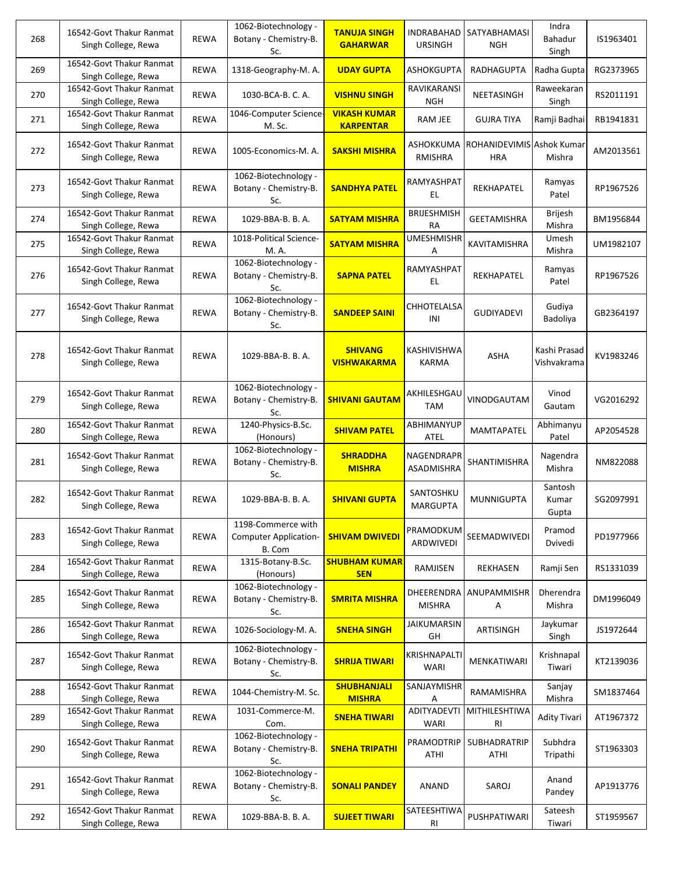| 268 | 16542-Govt Thakur Ranmat<br>Singh College, Rewa | <b>REWA</b> | 1062-Biotechnology -<br>Botany - Chemistry-B.<br>Sc.         | <b>TANUJA SINGH</b><br><b>GAHARWAR</b>  | INDRABAHAD<br><b>URSINGH</b>     | SATYABHAMASI<br><b>NGH</b>              | Indra<br><b>Bahadur</b><br>Singh | IS1963401 |
|-----|-------------------------------------------------|-------------|--------------------------------------------------------------|-----------------------------------------|----------------------------------|-----------------------------------------|----------------------------------|-----------|
| 269 | 16542-Govt Thakur Ranmat<br>Singh College, Rewa | <b>REWA</b> | 1318-Geography-M. A.                                         | <b>UDAY GUPTA</b>                       | ASHOKGUPTA                       | RADHAGUPTA                              | Radha Gupta                      | RG2373965 |
| 270 | 16542-Govt Thakur Ranmat<br>Singh College, Rewa | <b>REWA</b> | 1030-BCA-B. C. A.                                            | <b>VISHNU SINGH</b>                     | <b>RAVIKARANSI</b><br><b>NGH</b> | NEETASINGH                              | Raweekaran<br>Singh              | RS2011191 |
| 271 | 16542-Govt Thakur Ranmat<br>Singh College, Rewa | <b>REWA</b> | 1046-Computer Science-<br>M. Sc.                             | <b>VIKASH KUMAR</b><br><b>KARPENTAR</b> | RAM JEE                          | <b>GUJRA TIYA</b>                       | Ramji Badhai                     | RB1941831 |
| 272 | 16542-Govt Thakur Ranmat<br>Singh College, Rewa | <b>REWA</b> | 1005-Economics-M. A.                                         | <b>SAKSHI MISHRA</b>                    | ASHOKKUMA<br>RMISHRA             | ROHANIDEVIMIS Ashok Kumar<br><b>HRA</b> | Mishra                           | AM2013561 |
| 273 | 16542-Govt Thakur Ranmat<br>Singh College, Rewa | <b>REWA</b> | 1062-Biotechnology -<br>Botany - Chemistry-B.<br>Sc.         | <b>SANDHYA PATEL</b>                    | RAMYASHPAT<br>EL.                | REKHAPATEL                              | Ramyas<br>Patel                  | RP1967526 |
| 274 | 16542-Govt Thakur Ranmat<br>Singh College, Rewa | <b>REWA</b> | 1029-BBA-B. B. A.                                            | <b>SATYAM MISHRA</b>                    | <b>BRIJESHMISH</b><br><b>RA</b>  | <b>GEETAMISHRA</b>                      | <b>Brijesh</b><br>Mishra         | BM1956844 |
| 275 | 16542-Govt Thakur Ranmat<br>Singh College, Rewa | <b>REWA</b> | 1018-Political Science-<br>M. A.                             | <b>SATYAM MISHRA</b>                    | <b>UMESHMISHR</b><br>Α           | KAVITAMISHRA                            | Umesh<br>Mishra                  | UM1982107 |
| 276 | 16542-Govt Thakur Ranmat<br>Singh College, Rewa | <b>REWA</b> | 1062-Biotechnology -<br>Botany - Chemistry-B.<br>Sc.         | <b>SAPNA PATEL</b>                      | RAMYASHPAT<br>EL.                | REKHAPATEL                              | Ramyas<br>Patel                  | RP1967526 |
| 277 | 16542-Govt Thakur Ranmat<br>Singh College, Rewa | <b>REWA</b> | 1062-Biotechnology -<br>Botany - Chemistry-B.<br>Sc.         | <b>SANDEEP SAINI</b>                    | CHHOTELALSA<br>INI               | <b>GUDIYADEVI</b>                       | Gudiya<br>Badoliya               | GB2364197 |
| 278 | 16542-Govt Thakur Ranmat<br>Singh College, Rewa | <b>REWA</b> | 1029-BBA-B. B. A.                                            | <b>SHIVANG</b><br><b>VISHWAKARMA</b>    | KASHIVISHWA<br><b>KARMA</b>      | ASHA                                    | Kashi Prasad<br>Vishvakrama      | KV1983246 |
| 279 | 16542-Govt Thakur Ranmat<br>Singh College, Rewa | <b>REWA</b> | 1062-Biotechnology -<br>Botany - Chemistry-B.<br>Sc.         | <b>SHIVANI GAUTAM</b>                   | AKHILESHGAU<br><b>TAM</b>        | VINODGAUTAM                             | Vinod<br>Gautam                  | VG2016292 |
| 280 | 16542-Govt Thakur Ranmat<br>Singh College, Rewa | REWA        | 1240-Physics-B.Sc.<br>(Honours)                              | <b>SHIVAM PATEL</b>                     | ABHIMANYUP<br>ATEL               | MAMTAPATEL                              | Abhimanyu<br>Patel               | AP2054528 |
| 281 | 16542-Govt Thakur Ranmat<br>Singh College, Rewa | <b>REWA</b> | 1062-Biotechnology -<br>Botany - Chemistry-B.<br>Sc.         | <b>SHRADDHA</b><br><b>MISHRA</b>        | NAGENDRAPR<br>ASADMISHRA         | SHANTIMISHRA                            | Nagendra<br>Mishra               | NM822088  |
| 282 | 16542-Govt Thakur Ranmat<br>Singh College, Rewa | <b>REWA</b> | 1029-BBA-B. B. A.                                            | <b>SHIVANI GUPTA</b>                    | SANTOSHKU<br><b>MARGUPTA</b>     | <b>MUNNIGUPTA</b>                       | Santosh<br>Kumar<br>Gupta        | SG2097991 |
| 283 | 16542-Govt Thakur Ranmat<br>Singh College, Rewa | <b>REWA</b> | 1198-Commerce with<br><b>Computer Application-</b><br>B. Com | <b>SHIVAM DWIVEDI</b>                   | PRAMODKUM<br><b>ARDWIVEDI</b>    | SEEMADWIVEDI                            | Pramod<br>Dvivedi                | PD1977966 |
| 284 | 16542-Govt Thakur Ranmat<br>Singh College, Rewa | REWA        | 1315-Botany-B.Sc.<br>(Honours)                               | <b>SHUBHAM KUMAR</b><br><b>SEN</b>      | RAMJISEN                         | REKHASEN                                | Ramji Sen                        | RS1331039 |
| 285 | 16542-Govt Thakur Ranmat<br>Singh College, Rewa | <b>REWA</b> | 1062-Biotechnology -<br>Botany - Chemistry-B.<br>Sc.         | <b>SMRITA MISHRA</b>                    | DHEERENDRA<br><b>MISHRA</b>      | ANUPAMMISHR<br>Α                        | Dherendra<br>Mishra              | DM1996049 |
| 286 | 16542-Govt Thakur Ranmat<br>Singh College, Rewa | REWA        | 1026-Sociology-M. A.                                         | <b>SNEHA SINGH</b>                      | JAIKUMARSIN<br>GH                | ARTISINGH                               | Jaykumar<br>Singh                | JS1972644 |
| 287 | 16542-Govt Thakur Ranmat<br>Singh College, Rewa | <b>REWA</b> | 1062-Biotechnology -<br>Botany - Chemistry-B.<br>Sc.         | <b>SHRIJA TIWARI</b>                    | KRISHNAPALTI<br>WARI             | MENKATIWARI                             | Krishnapal<br>Tiwari             | KT2139036 |
| 288 | 16542-Govt Thakur Ranmat<br>Singh College, Rewa | <b>REWA</b> | 1044-Chemistry-M. Sc.                                        | <b>SHUBHANJALI</b><br><b>MISHRA</b>     | SANJAYMISHR<br>Α                 | RAMAMISHRA                              | Sanjay<br>Mishra                 | SM1837464 |
| 289 | 16542-Govt Thakur Ranmat<br>Singh College, Rewa | REWA        | 1031-Commerce-M.<br>Com.                                     | <b>SNEHA TIWARI</b>                     | ADITYADEVTI<br><b>WARI</b>       | MITHILESHTIWA<br>R <sub>l</sub>         | <b>Adity Tivari</b>              | AT1967372 |
| 290 | 16542-Govt Thakur Ranmat<br>Singh College, Rewa | <b>REWA</b> | 1062-Biotechnology -<br>Botany - Chemistry-B.<br>Sc.         | <b>SNEHA TRIPATHI</b>                   | PRAMODTRIP<br><b>ATHI</b>        | SUBHADRATRIP<br>ATHI                    | Subhdra<br>Tripathi              | ST1963303 |
| 291 | 16542-Govt Thakur Ranmat<br>Singh College, Rewa | <b>REWA</b> | 1062-Biotechnology -<br>Botany - Chemistry-B.<br>Sc.         | <b>SONALI PANDEY</b>                    | ANAND                            | SAROJ                                   | Anand<br>Pandey                  | AP1913776 |
| 292 | 16542-Govt Thakur Ranmat<br>Singh College, Rewa | REWA        | 1029-BBA-B. B. A.                                            | <b>SUJEET TIWARI</b>                    | SATEESHTIWA<br>RI                | PUSHPATIWARI                            | Sateesh<br>Tiwari                | ST1959567 |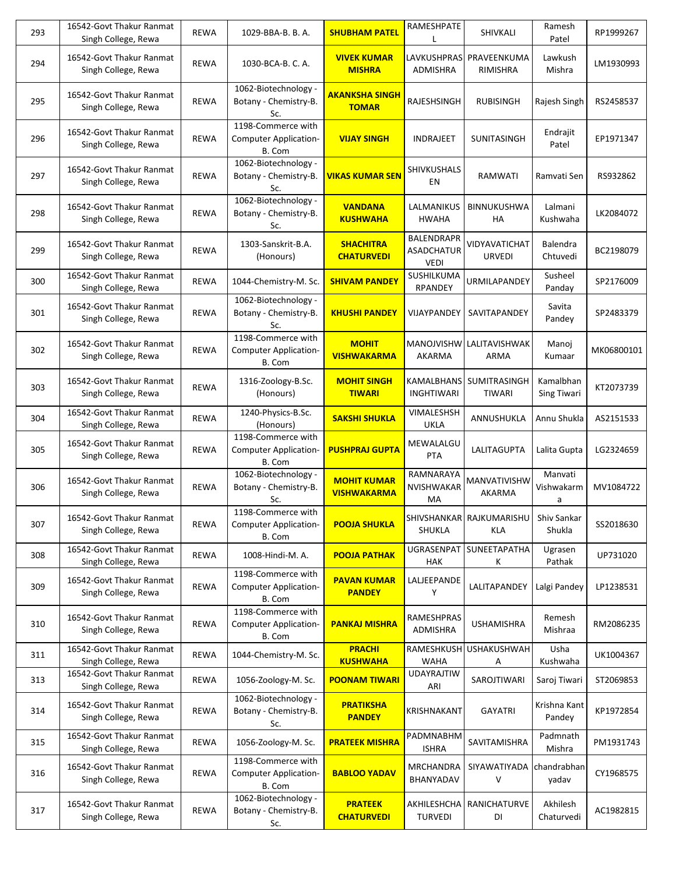| 293 | 16542-Govt Thakur Ranmat<br>Singh College, Rewa | <b>REWA</b> | 1029-BBA-B. B. A.                                            | <b>SHUBHAM PATEL</b>                     | RAMESHPATE                                            | SHIVKALI                        | Ramesh<br>Patel            | RP1999267  |
|-----|-------------------------------------------------|-------------|--------------------------------------------------------------|------------------------------------------|-------------------------------------------------------|---------------------------------|----------------------------|------------|
| 294 | 16542-Govt Thakur Ranmat<br>Singh College, Rewa | <b>REWA</b> | 1030-BCA-B. C. A.                                            | <b>VIVEK KUMAR</b><br><b>MISHRA</b>      | LAVKUSHPRAS<br>ADMISHRA                               | PRAVEENKUMA<br>RIMISHRA         | Lawkush<br>Mishra          | LM1930993  |
| 295 | 16542-Govt Thakur Ranmat<br>Singh College, Rewa | <b>REWA</b> | 1062-Biotechnology -<br>Botany - Chemistry-B.<br>Sc.         | <b>AKANKSHA SINGH</b><br><b>TOMAR</b>    | RAJESHSINGH                                           | <b>RUBISINGH</b>                | Rajesh Singh               | RS2458537  |
| 296 | 16542-Govt Thakur Ranmat<br>Singh College, Rewa | <b>REWA</b> | 1198-Commerce with<br><b>Computer Application-</b><br>B. Com | <b>VIJAY SINGH</b>                       | <b>INDRAJEET</b>                                      | SUNITASINGH                     | Endrajit<br>Patel          | EP1971347  |
| 297 | 16542-Govt Thakur Ranmat<br>Singh College, Rewa | <b>REWA</b> | 1062-Biotechnology -<br>Botany - Chemistry-B.<br>Sc.         | <u>VIKAS KUMAR SEN</u>                   | SHIVKUSHALS<br>ΕN                                     | RAMWATI                         | Ramvati Sen                | RS932862   |
| 298 | 16542-Govt Thakur Ranmat<br>Singh College, Rewa | <b>REWA</b> | 1062-Biotechnology -<br>Botany - Chemistry-B.<br>Sc.         | <b>VANDANA</b><br><b>KUSHWAHA</b>        | LALMANIKUS<br>HWAHA                                   | <b>BINNUKUSHWA</b><br>HA        | Lalmani<br>Kushwaha        | LK2084072  |
| 299 | 16542-Govt Thakur Ranmat<br>Singh College, Rewa | <b>REWA</b> | 1303-Sanskrit-B.A.<br>(Honours)                              | <b>SHACHITRA</b><br><b>CHATURVEDI</b>    | <b>BALENDRAPR</b><br><b>ASADCHATUR</b><br><b>VEDI</b> | VIDYAVATICHAT<br><b>URVEDI</b>  | Balendra<br>Chtuvedi       | BC2198079  |
| 300 | 16542-Govt Thakur Ranmat<br>Singh College, Rewa | <b>REWA</b> | 1044-Chemistry-M. Sc.                                        | <b>SHIVAM PANDEY</b>                     | SUSHILKUMA<br><b>RPANDEY</b>                          | URMILAPANDEY                    | Susheel<br>Panday          | SP2176009  |
| 301 | 16542-Govt Thakur Ranmat<br>Singh College, Rewa | <b>REWA</b> | 1062-Biotechnology -<br>Botany - Chemistry-B.<br>Sc.         | <b>KHUSHI PANDEY</b>                     | VIJAYPANDEY                                           | SAVITAPANDEY                    | Savita<br>Pandey           | SP2483379  |
| 302 | 16542-Govt Thakur Ranmat<br>Singh College, Rewa | <b>REWA</b> | 1198-Commerce with<br><b>Computer Application-</b><br>B. Com | <b>MOHIT</b><br><b>VISHWAKARMA</b>       | MANOJVISHW<br>AKARMA                                  | LALITAVISHWAK<br>ARMA           | Manoj<br>Kumaar            | MK06800101 |
| 303 | 16542-Govt Thakur Ranmat<br>Singh College, Rewa | <b>REWA</b> | 1316-Zoology-B.Sc.<br>(Honours)                              | <b>MOHIT SINGH</b><br><b>TIWARI</b>      | KAMALBHANS<br><b>INGHTIWARI</b>                       | SUMITRASINGH<br>TIWARI          | Kamalbhan<br>Sing Tiwari   | KT2073739  |
| 304 | 16542-Govt Thakur Ranmat<br>Singh College, Rewa | <b>REWA</b> | 1240-Physics-B.Sc.<br>(Honours)                              | <b>SAKSHI SHUKLA</b>                     | VIMALESHSH<br><b>UKLA</b>                             | ANNUSHUKLA                      | Annu Shukla                | AS2151533  |
| 305 | 16542-Govt Thakur Ranmat<br>Singh College, Rewa | <b>REWA</b> | 1198-Commerce with<br><b>Computer Application-</b><br>B. Com | <b>PUSHPRAJ GUPTA</b>                    | MEWALALGU<br><b>PTA</b>                               | LALITAGUPTA                     | Lalita Gupta               | LG2324659  |
| 306 | 16542-Govt Thakur Ranmat<br>Singh College, Rewa | <b>REWA</b> | 1062-Biotechnology -<br>Botany - Chemistry-B.<br>Sc.         | <b>MOHIT KUMAR</b><br><b>VISHWAKARMA</b> | RAMNARAYA<br>NVISHWAKAR<br>MA                         | MANVATIVISHW<br>AKARMA          | Manvati<br>Vishwakarm<br>a | MV1084722  |
| 307 | 16542-Govt Thakur Ranmat<br>Singh College, Rewa | <b>REWA</b> | 1198-Commerce with<br><b>Computer Application-</b><br>B. Com | <b>POOJA SHUKLA</b>                      | SHUKLA                                                | SHIVSHANKAR RAJKUMARISHU<br>KLA | Shiv Sankar<br>Shukla      | SS2018630  |
| 308 | 16542-Govt Thakur Ranmat<br>Singh College, Rewa | <b>REWA</b> | 1008-Hindi-M. A.                                             | <b>POOJA PATHAK</b>                      | UGRASENPAT<br><b>HAK</b>                              | SUNEETAPATHA<br>К               | Ugrasen<br>Pathak          | UP731020   |
| 309 | 16542-Govt Thakur Ranmat<br>Singh College, Rewa | <b>REWA</b> | 1198-Commerce with<br><b>Computer Application-</b><br>B. Com | <b>PAVAN KUMAR</b><br><b>PANDEY</b>      | LALJEEPANDE<br>Υ                                      | LALITAPANDEY                    | Lalgi Pandey               | LP1238531  |
| 310 | 16542-Govt Thakur Ranmat<br>Singh College, Rewa | <b>REWA</b> | 1198-Commerce with<br><b>Computer Application-</b><br>B. Com | <b>PANKAJ MISHRA</b>                     | RAMESHPRAS<br>ADMISHRA                                | <b>USHAMISHRA</b>               | Remesh<br>Mishraa          | RM2086235  |
| 311 | 16542-Govt Thakur Ranmat<br>Singh College, Rewa | <b>REWA</b> | 1044-Chemistry-M. Sc.                                        | <b>PRACHI</b><br><b>KUSHWAHA</b>         | RAMESHKUSH<br>WAHA                                    | <b>USHAKUSHWAH</b><br>Α         | Usha<br>Kushwaha           | UK1004367  |
| 313 | 16542-Govt Thakur Ranmat<br>Singh College, Rewa | <b>REWA</b> | 1056-Zoology-M. Sc.                                          | <b>POONAM TIWARI</b>                     | <b>UDAYRAJTIW</b><br>ARI                              | SAROJTIWARI                     | Saroj Tiwari               | ST2069853  |
| 314 | 16542-Govt Thakur Ranmat<br>Singh College, Rewa | <b>REWA</b> | 1062-Biotechnology -<br>Botany - Chemistry-B.<br>Sc.         | <b>PRATIKSHA</b><br><b>PANDEY</b>        | KRISHNAKANT                                           | GAYATRI                         | Krishna Kant<br>Pandey     | KP1972854  |
| 315 | 16542-Govt Thakur Ranmat<br>Singh College, Rewa | <b>REWA</b> | 1056-Zoology-M. Sc.                                          | <b>PRATEEK MISHRA</b>                    | PADMNABHM<br><b>ISHRA</b>                             | SAVITAMISHRA                    | Padmnath<br>Mishra         | PM1931743  |
| 316 | 16542-Govt Thakur Ranmat<br>Singh College, Rewa | <b>REWA</b> | 1198-Commerce with<br><b>Computer Application-</b><br>B. Com | <b>BABLOO YADAV</b>                      | <b>MRCHANDRA</b><br>BHANYADAV                         | SIYAWATIYADA<br>V               | chandrabhan<br>yadav       | CY1968575  |
| 317 | 16542-Govt Thakur Ranmat<br>Singh College, Rewa | <b>REWA</b> | 1062-Biotechnology -<br>Botany - Chemistry-B.<br>Sc.         | <b>PRATEEK</b><br><b>CHATURVEDI</b>      | AKHILESHCHA<br><b>TURVEDI</b>                         | RANICHATURVE<br>DI              | Akhilesh<br>Chaturvedi     | AC1982815  |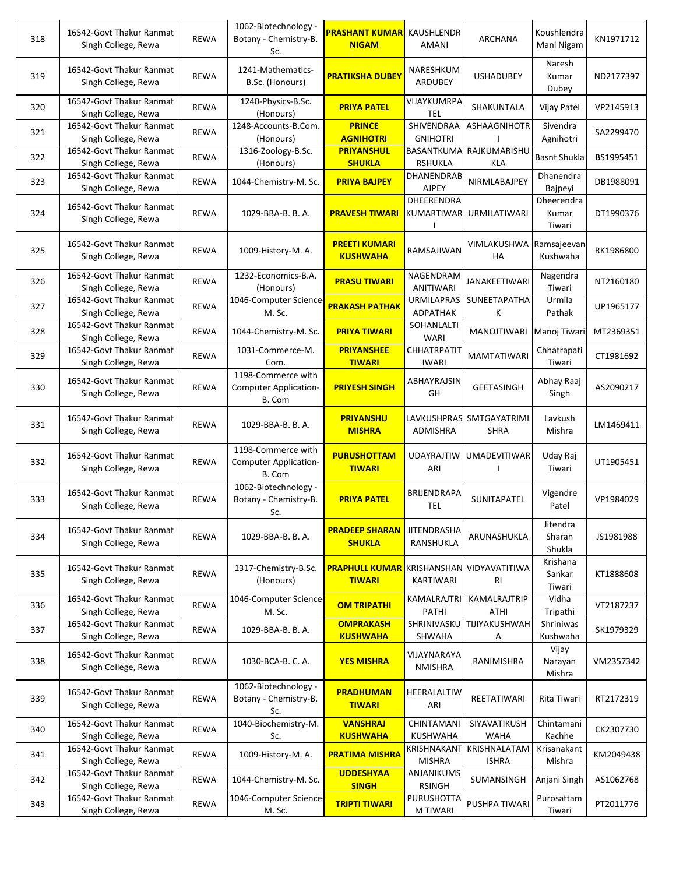| 318 | 16542-Govt Thakur Ranmat<br>Singh College, Rewa | <b>REWA</b> | 1062-Biotechnology -<br>Botany - Chemistry-B.<br>Sc.         | <b>PRASHANT KUMAR</b><br><b>NIGAM</b>   | KAUSHLENDR<br>AMANI                  | ARCHANA                              | Koushlendra<br>Mani Nigam     | KN1971712 |
|-----|-------------------------------------------------|-------------|--------------------------------------------------------------|-----------------------------------------|--------------------------------------|--------------------------------------|-------------------------------|-----------|
| 319 | 16542-Govt Thakur Ranmat<br>Singh College, Rewa | <b>REWA</b> | 1241-Mathematics-<br>B.Sc. (Honours)                         | <b>PRATIKSHA DUBEY</b>                  | NARESHKUM<br>ARDUBEY                 | <b>USHADUBEY</b>                     | Naresh<br>Kumar<br>Dubey      | ND2177397 |
| 320 | 16542-Govt Thakur Ranmat<br>Singh College, Rewa | <b>REWA</b> | 1240-Physics-B.Sc.<br>(Honours)                              | <b>PRIYA PATEL</b>                      | VIJAYKUMRPA<br><b>TEL</b>            | SHAKUNTALA                           | Vijay Patel                   | VP2145913 |
| 321 | 16542-Govt Thakur Ranmat<br>Singh College, Rewa | <b>REWA</b> | 1248-Accounts-B.Com.<br>(Honours)                            | <b>PRINCE</b><br><b>AGNIHOTRI</b>       | <b>SHIVENDRAA</b><br><b>GNIHOTRI</b> | ASHAAGNIHOTR                         | Sivendra<br>Agnihotri         | SA2299470 |
| 322 | 16542-Govt Thakur Ranmat<br>Singh College, Rewa | <b>REWA</b> | 1316-Zoology-B.Sc.<br>(Honours)                              | <b>PRIYANSHUL</b><br><b>SHUKLA</b>      | BASANTKUMA<br><b>RSHUKLA</b>         | RAJKUMARISHU<br>KLA                  | <b>Basnt Shukla</b>           | BS1995451 |
| 323 | 16542-Govt Thakur Ranmat<br>Singh College, Rewa | <b>REWA</b> | 1044-Chemistry-M. Sc.                                        | <b>PRIYA BAJPEY</b>                     | DHANENDRAB<br><b>AJPEY</b>           | NIRMLABAJPEY                         | Dhanendra<br>Bajpeyi          | DB1988091 |
| 324 | 16542-Govt Thakur Ranmat<br>Singh College, Rewa | <b>REWA</b> | 1029-BBA-B. B. A.                                            | <b>PRAVESH TIWARI</b>                   | DHEERENDRA<br>KUMARTIWAR             | <b>URMILATIWARI</b>                  | Dheerendra<br>Kumar<br>Tiwari | DT1990376 |
| 325 | 16542-Govt Thakur Ranmat<br>Singh College, Rewa | <b>REWA</b> | 1009-History-M. A.                                           | <b>PREETI KUMARI</b><br><b>KUSHWAHA</b> | RAMSAJIWAN                           | VIMLAKUSHWA Ramsajeevan<br><b>HA</b> | Kushwaha                      | RK1986800 |
| 326 | 16542-Govt Thakur Ranmat<br>Singh College, Rewa | <b>REWA</b> | 1232-Economics-B.A.<br>(Honours)                             | <b>PRASU TIWARI</b>                     | NAGENDRAM<br>ANITIWARI               | <b>JANAKEETIWARI</b>                 | Nagendra<br>Tiwari            | NT2160180 |
| 327 | 16542-Govt Thakur Ranmat<br>Singh College, Rewa | <b>REWA</b> | 1046-Computer Science-<br>M. Sc.                             | <b>PRAKASH PATHAK</b>                   | <b>URMILAPRAS</b><br>ADPATHAK        | SUNEETAPATHA<br>Κ                    | Urmila<br>Pathak              | UP1965177 |
| 328 | 16542-Govt Thakur Ranmat<br>Singh College, Rewa | <b>REWA</b> | 1044-Chemistry-M. Sc.                                        | <b>PRIYA TIWARI</b>                     | SOHANLALTI<br><b>WARI</b>            | MANOJTIWARI                          | Manoj Tiwari                  | MT2369351 |
| 329 | 16542-Govt Thakur Ranmat<br>Singh College, Rewa | <b>REWA</b> | 1031-Commerce-M.<br>Com.                                     | <b>PRIYANSHEE</b><br><b>TIWARI</b>      | <b>CHHATRPATIT</b><br><b>IWARI</b>   | <b>MAMTATIWARI</b>                   | Chhatrapati<br>Tiwari         | CT1981692 |
| 330 | 16542-Govt Thakur Ranmat<br>Singh College, Rewa | <b>REWA</b> | 1198-Commerce with<br><b>Computer Application-</b><br>B. Com | <b>PRIYESH SINGH</b>                    | ABHAYRAJSIN<br>GH                    | <b>GEETASINGH</b>                    | Abhay Raaj<br>Singh           | AS2090217 |
| 331 | 16542-Govt Thakur Ranmat<br>Singh College, Rewa | <b>REWA</b> | 1029-BBA-B. B. A.                                            | <b>PRIYANSHU</b><br><b>MISHRA</b>       | <b>LAVKUSHPRAS</b><br>ADMISHRA       | SMTGAYATRIMI<br><b>SHRA</b>          | Lavkush<br>Mishra             | LM1469411 |
| 332 | 16542-Govt Thakur Ranmat<br>Singh College, Rewa | <b>REWA</b> | 1198-Commerce with<br><b>Computer Application-</b><br>B. Com | <b>PURUSHOTTAM</b><br><b>TIWARI</b>     | <b>UDAYRAJTIW</b><br>ARI             | UMADEVITIWAR                         | Uday Raj<br>Tiwari            | UT1905451 |
| 333 | 16542-Govt Thakur Ranmat<br>Singh College, Rewa | <b>REWA</b> | 1062-Biotechnology -<br>Botany - Chemistry-B.<br>Sc.         | <b>PRIYA PATEL</b>                      | BRIJENDRAPA<br><b>TEL</b>            | SUNITAPATEL                          | Vigendre<br>Patel             | VP1984029 |
| 334 | 16542-Govt Thakur Ranmat<br>Singh College, Rewa | <b>REWA</b> | 1029-BBA-B. B. A.                                            | <b>PRADEEP SHARAN</b><br><b>SHUKLA</b>  | <b>JITENDRASHA</b><br>RANSHUKLA      | ARUNASHUKLA                          | Jitendra<br>Sharan<br>Shukla  | JS1981988 |
| 335 | 16542-Govt Thakur Ranmat<br>Singh College, Rewa | <b>REWA</b> | 1317-Chemistry-B.Sc.<br>(Honours)                            | <b>PRAPHULL KUMAR</b><br><b>TIWARI</b>  | KRISHANSHAN<br>KARTIWARI             | VIDYAVATITIWA<br>RI                  | Krishana<br>Sankar<br>Tiwari  | KT1888608 |
| 336 | 16542-Govt Thakur Ranmat<br>Singh College, Rewa | REWA        | 1046-Computer Science-<br>M. Sc.                             | <b>OM TRIPATHI</b>                      | <b>KAMALRAJTRI</b><br>PATHI          | KAMALRAJTRIP<br>ATHI                 | Vidha<br>Tripathi             | VT2187237 |
| 337 | 16542-Govt Thakur Ranmat<br>Singh College, Rewa | <b>REWA</b> | 1029-BBA-B. B. A.                                            | <b>OMPRAKASH</b><br><b>KUSHWAHA</b>     | SHRINIVASKU<br>SHWAHA                | TIJIYAKUSHWAH<br>Α                   | Shriniwas<br>Kushwaha         | SK1979329 |
| 338 | 16542-Govt Thakur Ranmat<br>Singh College, Rewa | <b>REWA</b> | 1030-BCA-B. C. A.                                            | <b>YES MISHRA</b>                       | VIJAYNARAYA<br><b>NMISHRA</b>        | RANIMISHRA                           | Vijay<br>Narayan<br>Mishra    | VM2357342 |
| 339 | 16542-Govt Thakur Ranmat<br>Singh College, Rewa | <b>REWA</b> | 1062-Biotechnology -<br>Botany - Chemistry-B.<br>Sc.         | <b>PRADHUMAN</b><br><b>TIWARI</b>       | HEERALALTIW<br>ARI                   | REETATIWARI                          | Rita Tiwari                   | RT2172319 |
| 340 | 16542-Govt Thakur Ranmat<br>Singh College, Rewa | <b>REWA</b> | 1040-Biochemistry-M.<br>Sc.                                  | <b>VANSHRAJ</b><br><b>KUSHWAHA</b>      | CHINTAMANI<br><b>KUSHWAHA</b>        | SIYAVATIKUSH<br><b>WAHA</b>          | Chintamani<br>Kachhe          | CK2307730 |
| 341 | 16542-Govt Thakur Ranmat<br>Singh College, Rewa | <b>REWA</b> | 1009-History-M. A.                                           | <b>PRATIMA MISHRA</b>                   | KRISHNAKANT<br><b>MISHRA</b>         | KRISHNALATAM<br><b>ISHRA</b>         | Krisanakant<br>Mishra         | KM2049438 |
| 342 | 16542-Govt Thakur Ranmat<br>Singh College, Rewa | <b>REWA</b> | 1044-Chemistry-M. Sc.                                        | <b>UDDESHYAA</b><br><b>SINGH</b>        | ANJANIKUMS<br><b>RSINGH</b>          | SUMANSINGH                           | Anjani Singh                  | AS1062768 |
| 343 | 16542-Govt Thakur Ranmat<br>Singh College, Rewa | <b>REWA</b> | 1046-Computer Science-<br>M. Sc.                             | <b>TRIPTI TIWARI</b>                    | PURUSHOTTA<br>M TIWARI               | PUSHPA TIWARI                        | Purosattam<br>Tiwari          | PT2011776 |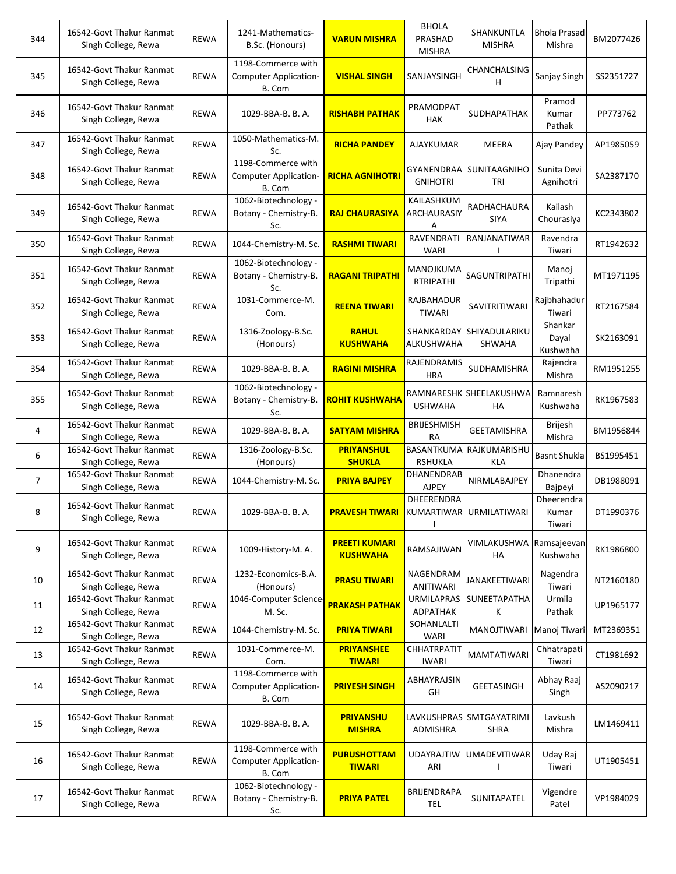| 344            | 16542-Govt Thakur Ranmat<br>Singh College, Rewa | <b>REWA</b> | 1241-Mathematics-<br>B.Sc. (Honours)                         | <b>VARUN MISHRA</b>                     | <b>BHOLA</b><br>PRASHAD<br><b>MISHRA</b> | SHANKUNTLA<br><b>MISHRA</b>             | <b>Bhola Prasad</b><br>Mishra | BM2077426 |
|----------------|-------------------------------------------------|-------------|--------------------------------------------------------------|-----------------------------------------|------------------------------------------|-----------------------------------------|-------------------------------|-----------|
| 345            | 16542-Govt Thakur Ranmat<br>Singh College, Rewa | <b>REWA</b> | 1198-Commerce with<br><b>Computer Application-</b><br>B. Com | <b>VISHAL SINGH</b>                     | SANJAYSINGH                              | CHANCHALSING<br>н                       | Sanjay Singh                  | SS2351727 |
| 346            | 16542-Govt Thakur Ranmat<br>Singh College, Rewa | <b>REWA</b> | 1029-BBA-B. B. A.                                            | <b>RISHABH PATHAK</b>                   | PRAMODPAT<br><b>HAK</b>                  | SUDHAPATHAK                             | Pramod<br>Kumar<br>Pathak     | PP773762  |
| 347            | 16542-Govt Thakur Ranmat<br>Singh College, Rewa | <b>REWA</b> | 1050-Mathematics-M.<br>Sc.                                   | <b>RICHA PANDEY</b>                     | AJAYKUMAR                                | MEERA                                   | Ajay Pandey                   | AP1985059 |
| 348            | 16542-Govt Thakur Ranmat<br>Singh College, Rewa | <b>REWA</b> | 1198-Commerce with<br>Computer Application-<br>B. Com        | <b>RICHA AGNIHOTRI</b>                  | GYANENDRAA<br><b>GNIHOTRI</b>            | SUNITAAGNIHO<br>tri                     | Sunita Devi<br>Agnihotri      | SA2387170 |
| 349            | 16542-Govt Thakur Ranmat<br>Singh College, Rewa | <b>REWA</b> | 1062-Biotechnology -<br>Botany - Chemistry-B.<br>Sc.         | <b>RAJ CHAURASIYA</b>                   | KAILASHKUM<br>ARCHAURASIY<br>Α           | RADHACHAURA<br>SIYA                     | Kailash<br>Chourasiya         | KC2343802 |
| 350            | 16542-Govt Thakur Ranmat<br>Singh College, Rewa | <b>REWA</b> | 1044-Chemistry-M. Sc.                                        | <b>RASHMI TIWARI</b>                    | RAVENDRATI<br><b>WARI</b>                | RANJANATIWAR                            | Ravendra<br>Tiwari            | RT1942632 |
| 351            | 16542-Govt Thakur Ranmat<br>Singh College, Rewa | <b>REWA</b> | 1062-Biotechnology -<br>Botany - Chemistry-B.<br>Sc.         | <b>RAGANI TRIPATHI</b>                  | MANOJKUMA<br><b>RTRIPATHI</b>            | <b>SAGUNTRIPATHI</b>                    | Manoj<br>Tripathi             | MT1971195 |
| 352            | 16542-Govt Thakur Ranmat<br>Singh College, Rewa | <b>REWA</b> | 1031-Commerce-M.<br>Com.                                     | <b>REENA TIWARI</b>                     | RAJBAHADUR<br>TIWARI                     | SAVITRITIWARI                           | Rajbhahadur<br>Tiwari         | RT2167584 |
| 353            | 16542-Govt Thakur Ranmat<br>Singh College, Rewa | <b>REWA</b> | 1316-Zoology-B.Sc.<br>(Honours)                              | <b>RAHUL</b><br><b>KUSHWAHA</b>         | SHANKARDAY<br>ALKUSHWAHA                 | SHIYADULARIKU<br>SHWAHA                 | Shankar<br>Dayal<br>Kushwaha  | SK2163091 |
| 354            | 16542-Govt Thakur Ranmat<br>Singh College, Rewa | <b>REWA</b> | 1029-BBA-B. B. A.                                            | RAGINI MISHRA                           | RAJENDRAMIS<br><b>HRA</b>                | SUDHAMISHRA                             | Rajendra<br>Mishra            | RM1951255 |
| 355            | 16542-Govt Thakur Ranmat<br>Singh College, Rewa | <b>REWA</b> | 1062-Biotechnology -<br>Botany - Chemistry-B.<br>Sc.         | <b>ROHIT KUSHWAHA</b>                   | <b>USHWAHA</b>                           | RAMNARESHK SHEELAKUSHWA<br>HA           | Ramnaresh<br>Kushwaha         | RK1967583 |
| 4              | 16542-Govt Thakur Ranmat<br>Singh College, Rewa | <b>REWA</b> | 1029-BBA-B. B. A.                                            | <b>SATYAM MISHRA</b>                    | <b>BRIJESHMISH</b><br><b>RA</b>          | <b>GEETAMISHRA</b>                      | <b>Brijesh</b><br>Mishra      | BM1956844 |
| 6              | 16542-Govt Thakur Ranmat<br>Singh College, Rewa | REWA        | 1316-Zoology-B.Sc.<br>(Honours)                              | <b>PRIYANSHUL</b><br><b>SHUKLA</b>      | BASANTKUMA<br><b>RSHUKLA</b>             | RAJKUMARISHU<br>KLA                     | <b>Basnt Shukla</b>           | BS1995451 |
| $\overline{7}$ | 16542-Govt Thakur Ranmat<br>Singh College, Rewa | <b>REWA</b> | 1044-Chemistry-M. Sc.                                        | <b>PRIYA BAJPEY</b>                     | DHANENDRAB<br><b>AJPEY</b>               | NIRMLABAJPEY                            | Dhanendra<br>Bajpeyi          | DB1988091 |
| 8              | 16542-Govt Thakur Ranmat<br>Singh College, Rewa | <b>REWA</b> | 1029-BBA-B. B. A.                                            | <b>PRAVESH TIWARI</b>                   | DHEERENDRA                               | KUMARTIWAR URMILATIWARI                 | Dheerendra<br>Kumar<br>Tiwari | DT1990376 |
| 9              | 16542-Govt Thakur Ranmat<br>Singh College, Rewa | <b>REWA</b> | 1009-History-M.A.                                            | <b>PREETI KUMARI</b><br><b>KUSHWAHA</b> | RAMSAJIWAN                               | VIMLAKUSHWA Ramsajeevan<br>HA           | Kushwaha                      | RK1986800 |
| 10             | 16542-Govt Thakur Ranmat<br>Singh College, Rewa | REWA        | 1232-Economics-B.A.<br>(Honours)                             | <b>PRASU TIWARI</b>                     | NAGENDRAM<br>ANITIWARI                   | JANAKEETIWARI                           | Nagendra<br>Tiwari            | NT2160180 |
| 11             | 16542-Govt Thakur Ranmat<br>Singh College, Rewa | REWA        | 1046-Computer Science<br>M. Sc.                              | <b>PRAKASH PATHAK</b>                   | <b>URMILAPRAS</b><br>ADPATHAK            | SUNEETAPATHA<br>к                       | Urmila<br>Pathak              | UP1965177 |
| 12             | 16542-Govt Thakur Ranmat<br>Singh College, Rewa | REWA        | 1044-Chemistry-M. Sc.                                        | <b>PRIYA TIWARI</b>                     | SOHANLALTI<br><b>WARI</b>                | MANOJTIWARI                             | Manoj Tiwari                  | MT2369351 |
| 13             | 16542-Govt Thakur Ranmat<br>Singh College, Rewa | REWA        | 1031-Commerce-M.<br>Com.                                     | <b>PRIYANSHEE</b><br><b>TIWARI</b>      | CHHATRPATIT<br><b>IWARI</b>              | <b>MAMTATIWARI</b>                      | Chhatrapati<br>Tiwari         | CT1981692 |
| 14             | 16542-Govt Thakur Ranmat<br>Singh College, Rewa | <b>REWA</b> | 1198-Commerce with<br><b>Computer Application-</b><br>B. Com | <b>PRIYESH SINGH</b>                    | ABHAYRAJSIN<br>GH                        | <b>GEETASINGH</b>                       | Abhay Raaj<br>Singh           | AS2090217 |
| 15             | 16542-Govt Thakur Ranmat<br>Singh College, Rewa | <b>REWA</b> | 1029-BBA-B. B. A.                                            | <b>PRIYANSHU</b><br><b>MISHRA</b>       | ADMISHRA                                 | LAVKUSHPRAS SMTGAYATRIMI<br><b>SHRA</b> | Lavkush<br>Mishra             | LM1469411 |
| 16             | 16542-Govt Thakur Ranmat<br>Singh College, Rewa | <b>REWA</b> | 1198-Commerce with<br><b>Computer Application-</b><br>B. Com | <b>PURUSHOTTAM</b><br><b>TIWARI</b>     | <b>UDAYRAJTIW</b><br>ARI                 | UMADEVITIWAR                            | Uday Raj<br>Tiwari            | UT1905451 |
| 17             | 16542-Govt Thakur Ranmat<br>Singh College, Rewa | REWA        | 1062-Biotechnology -<br>Botany - Chemistry-B.<br>Sc.         | <b>PRIYA PATEL</b>                      | BRIJENDRAPA<br><b>TEL</b>                | SUNITAPATEL                             | Vigendre<br>Patel             | VP1984029 |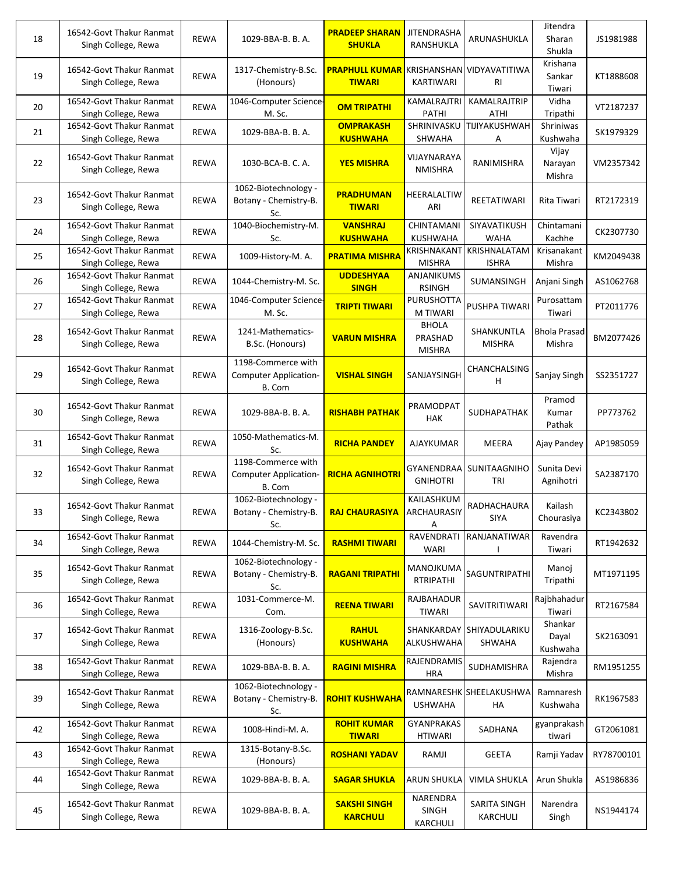| 18 | 16542-Govt Thakur Ranmat<br>Singh College, Rewa | <b>REWA</b> | 1029-BBA-B. B. A.                                            | <b>PRADEEP SHARAN</b><br><b>SHUKLA</b> | <b>JITENDRASHA</b><br>RANSHUKLA          | ARUNASHUKLA                   | Jitendra<br>Sharan<br>Shukla  | JS1981988  |
|----|-------------------------------------------------|-------------|--------------------------------------------------------------|----------------------------------------|------------------------------------------|-------------------------------|-------------------------------|------------|
| 19 | 16542-Govt Thakur Ranmat<br>Singh College, Rewa | <b>REWA</b> | 1317-Chemistry-B.Sc.<br>(Honours)                            | <b>PRAPHULL KUMAR</b><br><b>TIWARI</b> | KRISHANSHAN<br>KARTIWARI                 | VIDYAVATITIWA<br>RI           | Krishana<br>Sankar<br>Tiwari  | KT1888608  |
| 20 | 16542-Govt Thakur Ranmat<br>Singh College, Rewa | <b>REWA</b> | 1046-Computer Science-<br>M. Sc.                             | <b>OM TRIPATHI</b>                     | <b>KAMALRAJTRI</b><br>PATHI              | KAMALRAJTRIP<br>ATHI          | Vidha<br>Tripathi             | VT2187237  |
| 21 | 16542-Govt Thakur Ranmat<br>Singh College, Rewa | <b>REWA</b> | 1029-BBA-B. B. A.                                            | <b>OMPRAKASH</b><br><b>KUSHWAHA</b>    | SHRINIVASKU<br><b>SHWAHA</b>             | TIJIYAKUSHWAH<br>А            | <b>Shriniwas</b><br>Kushwaha  | SK1979329  |
| 22 | 16542-Govt Thakur Ranmat<br>Singh College, Rewa | <b>REWA</b> | 1030-BCA-B. C. A.                                            | <b>YES MISHRA</b>                      | VIJAYNARAYA<br><b>NMISHRA</b>            | RANIMISHRA                    | Vijay<br>Narayan<br>Mishra    | VM2357342  |
| 23 | 16542-Govt Thakur Ranmat<br>Singh College, Rewa | <b>REWA</b> | 1062-Biotechnology -<br>Botany - Chemistry-B.<br>Sc.         | <b>PRADHUMAN</b><br><b>TIWARI</b>      | HEERALALTIW<br>ARI                       | REETATIWARI                   | Rita Tiwari                   | RT2172319  |
| 24 | 16542-Govt Thakur Ranmat<br>Singh College, Rewa | <b>REWA</b> | 1040-Biochemistry-M.<br>Sc.                                  | <b>VANSHRAJ</b><br><b>KUSHWAHA</b>     | CHINTAMANI<br><b>KUSHWAHA</b>            | SIYAVATIKUSH<br><b>WAHA</b>   | Chintamani<br>Kachhe          | CK2307730  |
| 25 | 16542-Govt Thakur Ranmat<br>Singh College, Rewa | <b>REWA</b> | 1009-History-M. A.                                           | <b>PRATIMA MISHRA</b>                  | KRISHNAKANT<br><b>MISHRA</b>             | KRISHNALATAM<br><b>ISHRA</b>  | Krisanakant<br>Mishra         | KM2049438  |
| 26 | 16542-Govt Thakur Ranmat<br>Singh College, Rewa | <b>REWA</b> | 1044-Chemistry-M. Sc.                                        | <b>UDDESHYAA</b><br><b>SINGH</b>       | ANJANIKUMS<br><b>RSINGH</b>              | SUMANSINGH                    | Anjani Singh                  | AS1062768  |
| 27 | 16542-Govt Thakur Ranmat<br>Singh College, Rewa | <b>REWA</b> | 1046-Computer Science-<br>M. Sc.                             | <b>TRIPTI TIWARI</b>                   | PURUSHOTTA<br>M TIWARI                   | PUSHPA TIWARI                 | Purosattam<br>Tiwari          | PT2011776  |
| 28 | 16542-Govt Thakur Ranmat<br>Singh College, Rewa | <b>REWA</b> | 1241-Mathematics-<br>B.Sc. (Honours)                         | <b>VARUN MISHRA</b>                    | <b>BHOLA</b><br>PRASHAD<br><b>MISHRA</b> | SHANKUNTLA<br><b>MISHRA</b>   | <b>Bhola Prasad</b><br>Mishra | BM2077426  |
| 29 | 16542-Govt Thakur Ranmat<br>Singh College, Rewa | <b>REWA</b> | 1198-Commerce with<br><b>Computer Application-</b><br>B. Com | <b>VISHAL SINGH</b>                    | SANJAYSINGH                              | CHANCHALSING<br>н             | Sanjay Singh                  | SS2351727  |
| 30 | 16542-Govt Thakur Ranmat<br>Singh College, Rewa | <b>REWA</b> | 1029-BBA-B. B. A.                                            | <b>RISHABH PATHAK</b>                  | PRAMODPAT<br><b>HAK</b>                  | SUDHAPATHAK                   | Pramod<br>Kumar<br>Pathak     | PP773762   |
| 31 | 16542-Govt Thakur Ranmat<br>Singh College, Rewa | <b>REWA</b> | 1050-Mathematics-M.<br>Sc.                                   | <b>RICHA PANDEY</b>                    | AJAYKUMAR                                | MEERA                         | Ajay Pandey                   | AP1985059  |
| 32 | 16542-Govt Thakur Ranmat<br>Singh College, Rewa | REWA        | 1198-Commerce with<br><b>Computer Application-</b><br>B. Com | <b>RICHA AGNIHOTRI</b>                 | GYANENDRAA<br><b>GNIHOTRI</b>            | SUNITAAGNIHO<br>TRI           | Sunita Devi<br>Agnihotri      | SA2387170  |
| 33 | 16542-Govt Thakur Ranmat<br>Singh College, Rewa | <b>REWA</b> | 1062-Biotechnology -<br>Botany - Chemistry-B.<br>Sc.         | <b>RAJ CHAURASIYA</b>                  | KAILASHKUM<br>ARCHAURASIY<br>Α           | RADHACHAURA<br>SIYA           | Kailash<br>Chourasiya         | KC2343802  |
| 34 | 16542-Govt Thakur Ranmat<br>Singh College, Rewa | <b>REWA</b> | 1044-Chemistry-M. Sc.                                        | <b>RASHMI TIWARI</b>                   | RAVENDRATI<br><b>WARI</b>                | RANJANATIWAR                  | Ravendra<br>Tiwari            | RT1942632  |
| 35 | 16542-Govt Thakur Ranmat<br>Singh College, Rewa | <b>REWA</b> | 1062-Biotechnology -<br>Botany - Chemistry-B.<br>Sc.         | <b>RAGANI TRIPATHI</b>                 | MANOJKUMA<br><b>RTRIPATHI</b>            | SAGUNTRIPATHI                 | Manoj<br>Tripathi             | MT1971195  |
| 36 | 16542-Govt Thakur Ranmat<br>Singh College, Rewa | <b>REWA</b> | 1031-Commerce-M.<br>Com.                                     | <b>REENA TIWARI</b>                    | RAJBAHADUR<br>TIWARI                     | SAVITRITIWARI                 | Rajbhahadur<br>Tiwari         | RT2167584  |
| 37 | 16542-Govt Thakur Ranmat<br>Singh College, Rewa | <b>REWA</b> | 1316-Zoology-B.Sc.<br>(Honours)                              | <b>RAHUL</b><br><b>KUSHWAHA</b>        | SHANKARDAY<br>ALKUSHWAHA                 | SHIYADULARIKU<br>SHWAHA       | Shankar<br>Dayal<br>Kushwaha  | SK2163091  |
| 38 | 16542-Govt Thakur Ranmat<br>Singh College, Rewa | <b>REWA</b> | 1029-BBA-B. B. A.                                            | <b>RAGINI MISHRA</b>                   | RAJENDRAMIS<br><b>HRA</b>                | SUDHAMISHRA                   | Rajendra<br>Mishra            | RM1951255  |
| 39 | 16542-Govt Thakur Ranmat<br>Singh College, Rewa | <b>REWA</b> | 1062-Biotechnology -<br>Botany - Chemistry-B.<br>Sc.         | <b>ROHIT KUSHWAHA</b>                  | <b>USHWAHA</b>                           | RAMNARESHK SHEELAKUSHWA<br>HA | Ramnaresh<br>Kushwaha         | RK1967583  |
| 42 | 16542-Govt Thakur Ranmat<br>Singh College, Rewa | REWA        | 1008-Hindi-M. A.                                             | <b>ROHIT KUMAR</b><br><b>TIWARI</b>    | <b>GYANPRAKAS</b><br><b>HTIWARI</b>      | SADHANA                       | gyanprakash<br>tiwari         | GT2061081  |
| 43 | 16542-Govt Thakur Ranmat<br>Singh College, Rewa | REWA        | 1315-Botany-B.Sc.<br>(Honours)                               | <b>ROSHANI YADAV</b>                   | RAMJI                                    | <b>GEETA</b>                  | Ramji Yadav                   | RY78700101 |
| 44 | 16542-Govt Thakur Ranmat<br>Singh College, Rewa | <b>REWA</b> | 1029-BBA-B. B. A.                                            | <b>SAGAR SHUKLA</b>                    | ARUN SHUKLA                              | VIMLA SHUKLA                  | Arun Shukla                   | AS1986836  |
| 45 | 16542-Govt Thakur Ranmat<br>Singh College, Rewa | <b>REWA</b> | 1029-BBA-B. B. A.                                            | <b>SAKSHI SINGH</b><br><b>KARCHULI</b> | NARENDRA<br>SINGH<br>KARCHULI            | SARITA SINGH<br>KARCHULI      | Narendra<br>Singh             | NS1944174  |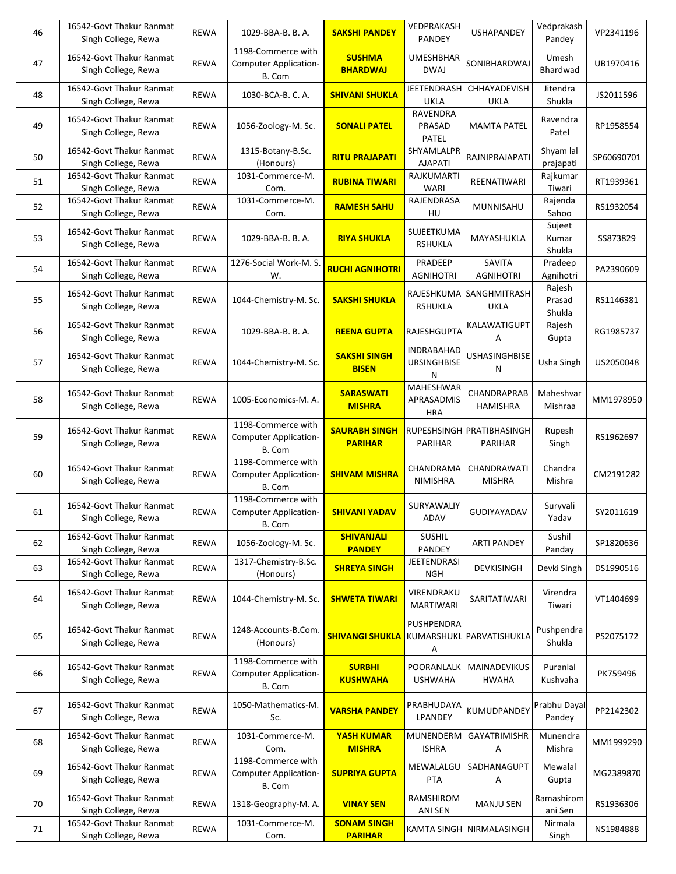| 46 | 16542-Govt Thakur Ranmat<br>Singh College, Rewa | <b>REWA</b> | 1029-BBA-B. B. A.                                            | <b>SAKSHI PANDEY</b>                   | VEDPRAKASH<br>PANDEY                         | <b>USHAPANDEY</b>                           | Vedprakash<br>Pandey       | VP2341196  |
|----|-------------------------------------------------|-------------|--------------------------------------------------------------|----------------------------------------|----------------------------------------------|---------------------------------------------|----------------------------|------------|
| 47 | 16542-Govt Thakur Ranmat<br>Singh College, Rewa | <b>REWA</b> | 1198-Commerce with<br><b>Computer Application-</b><br>B. Com | <b>SUSHMA</b><br><b>BHARDWAJ</b>       | <b>UMESHBHAR</b><br><b>DWAJ</b>              | SONIBHARDWAJ                                | Umesh<br>Bhardwad          | UB1970416  |
| 48 | 16542-Govt Thakur Ranmat<br>Singh College, Rewa | <b>REWA</b> | 1030-BCA-B. C. A.                                            | <b>SHIVANI SHUKLA</b>                  | <b>JEETENDRASH</b><br><b>UKLA</b>            | <b>CHHAYADEVISH</b><br>UKLA                 | Jitendra<br>Shukla         | JS2011596  |
| 49 | 16542-Govt Thakur Ranmat<br>Singh College, Rewa | <b>REWA</b> | 1056-Zoology-M. Sc.                                          | <b>SONALI PATEL</b>                    | RAVENDRA<br>PRASAD<br><b>PATEL</b>           | <b>MAMTA PATEL</b>                          | Ravendra<br>Patel          | RP1958554  |
| 50 | 16542-Govt Thakur Ranmat<br>Singh College, Rewa | <b>REWA</b> | 1315-Botany-B.Sc.<br>(Honours)                               | <b>RITU PRAJAPATI</b>                  | SHYAMLALPR<br><b>AJAPATI</b>                 | RAJNIPRAJAPATI                              | Shyam lal<br>prajapati     | SP60690701 |
| 51 | 16542-Govt Thakur Ranmat<br>Singh College, Rewa | <b>REWA</b> | 1031-Commerce-M.<br>Com.                                     | <b>RUBINA TIWARI</b>                   | RAJKUMARTI<br>WARI                           | REENATIWARI                                 | Rajkumar<br>Tiwari         | RT1939361  |
| 52 | 16542-Govt Thakur Ranmat<br>Singh College, Rewa | <b>REWA</b> | 1031-Commerce-M.<br>Com.                                     | <b>RAMESH SAHU</b>                     | RAJENDRASA<br>HU                             | MUNNISAHU                                   | Rajenda<br>Sahoo           | RS1932054  |
| 53 | 16542-Govt Thakur Ranmat<br>Singh College, Rewa | <b>REWA</b> | 1029-BBA-B. B. A.                                            | <b>RIYA SHUKLA</b>                     | SUJEETKUMA<br><b>RSHUKLA</b>                 | MAYASHUKLA                                  | Sujeet<br>Kumar<br>Shukla  | SS873829   |
| 54 | 16542-Govt Thakur Ranmat<br>Singh College, Rewa | <b>REWA</b> | 1276-Social Work-M. S.<br>W.                                 | <b>RUCHI AGNIHOTRI</b>                 | PRADEEP<br><b>AGNIHOTRI</b>                  | SAVITA<br><b>AGNIHOTRI</b>                  | Pradeep<br>Agnihotri       | PA2390609  |
| 55 | 16542-Govt Thakur Ranmat<br>Singh College, Rewa | <b>REWA</b> | 1044-Chemistry-M. Sc.                                        | <b>SAKSHI SHUKLA</b>                   | <b>RSHUKLA</b>                               | RAJESHKUMA SANGHMITRASH<br><b>UKLA</b>      | Rajesh<br>Prasad<br>Shukla | RS1146381  |
| 56 | 16542-Govt Thakur Ranmat<br>Singh College, Rewa | <b>REWA</b> | 1029-BBA-B. B. A.                                            | <b>REENA GUPTA</b>                     | RAJESHGUPTA                                  | KALAWATIGUPT<br>А                           | Rajesh<br>Gupta            | RG1985737  |
| 57 | 16542-Govt Thakur Ranmat<br>Singh College, Rewa | <b>REWA</b> | 1044-Chemistry-M. Sc.                                        | <b>SAKSHI SINGH</b><br><b>BISEN</b>    | <b>INDRABAHAD</b><br><b>URSINGHBISE</b><br>N | <b>USHASINGHBISE</b><br>N                   | Usha Singh                 | US2050048  |
| 58 | 16542-Govt Thakur Ranmat<br>Singh College, Rewa | <b>REWA</b> | 1005-Economics-M. A.                                         | <b>SARASWATI</b><br><b>MISHRA</b>      | MAHESHWAR<br>APRASADMIS<br><b>HRA</b>        | CHANDRAPRAB<br>HAMISHRA                     | Maheshvar<br>Mishraa       | MM1978950  |
| 59 | 16542-Govt Thakur Ranmat<br>Singh College, Rewa | <b>REWA</b> | 1198-Commerce with<br><b>Computer Application-</b><br>B. Com | <b>SAURABH SINGH</b><br><b>PARIHAR</b> | PARIHAR                                      | RUPESHSINGH PRATIBHASINGH<br><b>PARIHAR</b> | Rupesh<br>Singh            | RS1962697  |
| 60 | 16542-Govt Thakur Ranmat<br>Singh College, Rewa | <b>REWA</b> | 1198-Commerce with<br><b>Computer Application-</b><br>B. Com | <b>SHIVAM MISHRA</b>                   | CHANDRAMA<br>NIMISHRA                        | CHANDRAWATI<br><b>MISHRA</b>                | Chandra<br>Mishra          | CM2191282  |
| 61 | 16542-Govt Thakur Ranmat<br>Singh College, Rewa | <b>REWA</b> | 1198-Commerce with<br>Computer Application-<br>B. Com        | <b>SHIVANI YADAV</b>                   | SURYAWALIY<br>ADAV                           | GUDIYAYADAV                                 | Suryvali<br>Yadav          | SY2011619  |
| 62 | 16542-Govt Thakur Ranmat<br>Singh College, Rewa | REWA        | 1056-Zoology-M. Sc.                                          | <b>SHIVANJALI</b><br><b>PANDEY</b>     | <b>SUSHIL</b><br>PANDEY                      | ARTI PANDEY                                 | Sushil<br>Panday           | SP1820636  |
| 63 | 16542-Govt Thakur Ranmat<br>Singh College, Rewa | REWA        | 1317-Chemistry-B.Sc.<br>(Honours)                            | <b>SHREYA SINGH</b>                    | <b>JEETENDRASI</b><br><b>NGH</b>             | <b>DEVKISINGH</b>                           | Devki Singh                | DS1990516  |
| 64 | 16542-Govt Thakur Ranmat<br>Singh College, Rewa | <b>REWA</b> | 1044-Chemistry-M. Sc.                                        | <b>SHWETA TIWARI</b>                   | VIRENDRAKU<br><b>MARTIWARI</b>               | SARITATIWARI                                | Virendra<br>Tiwari         | VT1404699  |
| 65 | 16542-Govt Thakur Ranmat<br>Singh College, Rewa | REWA        | 1248-Accounts-B.Com.<br>(Honours)                            | <b>SHIVANGI SHUKLA</b>                 | PUSHPENDRA<br>Α                              | KUMARSHUKL PARVATISHUKLA                    | Pushpendra<br>Shukla       | PS2075172  |
| 66 | 16542-Govt Thakur Ranmat<br>Singh College, Rewa | <b>REWA</b> | 1198-Commerce with<br>Computer Application-<br>B. Com        | <b>SURBHI</b><br><b>KUSHWAHA</b>       | POORANLALK<br><b>USHWAHA</b>                 | MAINADEVIKUS<br><b>HWAHA</b>                | Puranlal<br>Kushvaha       | PK759496   |
| 67 | 16542-Govt Thakur Ranmat<br>Singh College, Rewa | REWA        | 1050-Mathematics-M.<br>Sc.                                   | <b>VARSHA PANDEY</b>                   | PRABHUDAYA<br>LPANDEY                        | KUMUDPANDEY                                 | Prabhu Dayal<br>Pandey     | PP2142302  |
| 68 | 16542-Govt Thakur Ranmat<br>Singh College, Rewa | REWA        | 1031-Commerce-M.<br>Com.                                     | <b>YASH KUMAR</b><br><b>MISHRA</b>     | MUNENDERM<br><b>ISHRA</b>                    | <b>GAYATRIMISHR</b><br>А                    | Munendra<br>Mishra         | MM1999290  |
| 69 | 16542-Govt Thakur Ranmat<br>Singh College, Rewa | <b>REWA</b> | 1198-Commerce with<br><b>Computer Application-</b><br>B. Com | <b>SUPRIYA GUPTA</b>                   | MEWALALGU<br>PTA                             | SADHANAGUPT<br>Α                            | Mewalal<br>Gupta           | MG2389870  |
| 70 | 16542-Govt Thakur Ranmat<br>Singh College, Rewa | <b>REWA</b> | 1318-Geography-M. A.                                         | <b>VINAY SEN</b>                       | RAMSHIROM<br>ANI SEN                         | <b>MANJU SEN</b>                            | Ramashirom<br>ani Sen      | RS1936306  |
| 71 | 16542-Govt Thakur Ranmat<br>Singh College, Rewa | REWA        | 1031-Commerce-M.<br>Com.                                     | <b>SONAM SINGH</b><br><b>PARIHAR</b>   |                                              | KAMTA SINGH NIRMALASINGH                    | Nirmala<br>Singh           | NS1984888  |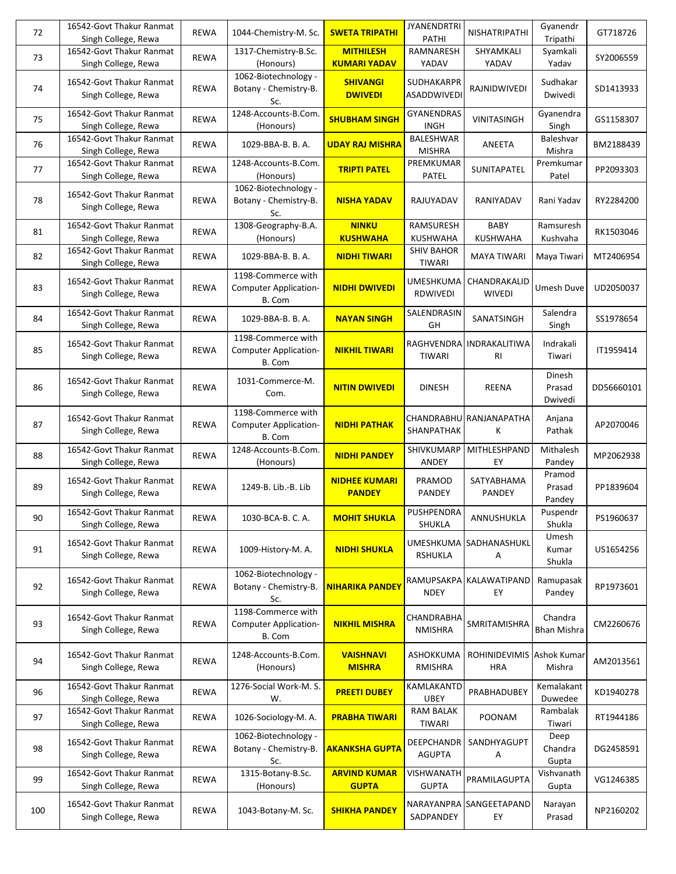| 72  | 16542-Govt Thakur Ranmat<br>Singh College, Rewa | <b>REWA</b> | 1044-Chemistry-M. Sc.                                        | <b>SWETA TRIPATHI</b>                   | <b>JYANENDRTRI</b><br>PATHI        | NISHATRIPATHI                  | Gyanendr<br>Tripathi          | GT718726   |
|-----|-------------------------------------------------|-------------|--------------------------------------------------------------|-----------------------------------------|------------------------------------|--------------------------------|-------------------------------|------------|
| 73  | 16542-Govt Thakur Ranmat<br>Singh College, Rewa | <b>REWA</b> | 1317-Chemistry-B.Sc.<br>(Honours)                            | <b>MITHILESH</b><br><b>KUMARI YADAV</b> | <b>RAMNARESH</b><br>YADAV          | SHYAMKALI<br>YADAV             | Syamkali<br>Yadav             | SY2006559  |
| 74  | 16542-Govt Thakur Ranmat<br>Singh College, Rewa | <b>REWA</b> | 1062-Biotechnology -<br>Botany - Chemistry-B.<br>Sc.         | <b>SHIVANGI</b><br><b>DWIVEDI</b>       | SUDHAKARPR<br><b>ASADDWIVEDI</b>   | RAJNIDWIVEDI                   | Sudhakar<br>Dwivedi           | SD1413933  |
| 75  | 16542-Govt Thakur Ranmat<br>Singh College, Rewa | REWA        | 1248-Accounts-B.Com.<br>(Honours)                            | <b>SHUBHAM SINGH</b>                    | GYANENDRAS<br><b>INGH</b>          | VINITASINGH                    | Gyanendra<br>Singh            | GS1158307  |
| 76  | 16542-Govt Thakur Ranmat<br>Singh College, Rewa | <b>REWA</b> | 1029-BBA-B. B. A.                                            | <b>UDAY RAJ MISHRA</b>                  | BALESHWAR<br><b>MISHRA</b>         | ANEETA                         | Baleshvar<br>Mishra           | BM2188439  |
| 77  | 16542-Govt Thakur Ranmat<br>Singh College, Rewa | <b>REWA</b> | 1248-Accounts-B.Com.<br>(Honours)                            | <b>TRIPTI PATEL</b>                     | PREMKUMAR<br>PATEL                 | SUNITAPATEL                    | Premkumar<br>Patel            | PP2093303  |
| 78  | 16542-Govt Thakur Ranmat<br>Singh College, Rewa | <b>REWA</b> | 1062-Biotechnology -<br>Botany - Chemistry-B.<br>Sc.         | <b>NISHA YADAV</b>                      | RAJUYADAV                          | RANIYADAV                      | Rani Yadav                    | RY2284200  |
| 81  | 16542-Govt Thakur Ranmat<br>Singh College, Rewa | <b>REWA</b> | 1308-Geography-B.A.<br>(Honours)                             | <b>NINKU</b><br><b>KUSHWAHA</b>         | RAMSURESH<br><b>KUSHWAHA</b>       | <b>BABY</b><br><b>KUSHWAHA</b> | Ramsuresh<br>Kushvaha         | RK1503046  |
| 82  | 16542-Govt Thakur Ranmat<br>Singh College, Rewa | <b>REWA</b> | 1029-BBA-B. B. A.                                            | <b>NIDHI TIWARI</b>                     | <b>SHIV BAHOR</b><br><b>TIWARI</b> | <b>MAYA TIWARI</b>             | Maya Tiwari                   | MT2406954  |
| 83  | 16542-Govt Thakur Ranmat<br>Singh College, Rewa | <b>REWA</b> | 1198-Commerce with<br><b>Computer Application-</b><br>B. Com | <b>NIDHI DWIVEDI</b>                    | <b>UMESHKUMA</b><br>RDWIVEDI       | CHANDRAKALID<br><b>WIVEDI</b>  | <b>Umesh Duve</b>             | UD2050037  |
| 84  | 16542-Govt Thakur Ranmat<br>Singh College, Rewa | <b>REWA</b> | 1029-BBA-B. B. A.                                            | <b>NAYAN SINGH</b>                      | SALENDRASIN<br>GH                  | SANATSINGH                     | Salendra<br>Singh             | SS1978654  |
| 85  | 16542-Govt Thakur Ranmat<br>Singh College, Rewa | <b>REWA</b> | 1198-Commerce with<br><b>Computer Application-</b><br>B. Com | <b>NIKHIL TIWARI</b>                    | <b>TIWARI</b>                      | RAGHVENDRA INDRAKALITIWA<br>RI | Indrakali<br>Tiwari           | IT1959414  |
| 86  | 16542-Govt Thakur Ranmat<br>Singh College, Rewa | <b>REWA</b> | 1031-Commerce-M.<br>Com.                                     | <b>NITIN DWIVEDI</b>                    | <b>DINESH</b>                      | <b>REENA</b>                   | Dinesh<br>Prasad<br>Dwivedi   | DD56660101 |
| 87  | 16542-Govt Thakur Ranmat<br>Singh College, Rewa | <b>REWA</b> | 1198-Commerce with<br><b>Computer Application-</b><br>B. Com | <b>NIDHI PATHAK</b>                     | SHANPATHAK                         | CHANDRABHU RANJANAPATHA<br>К   | Anjana<br>Pathak              | AP2070046  |
| 88  | 16542-Govt Thakur Ranmat<br>Singh College, Rewa | <b>REWA</b> | 1248-Accounts-B.Com.<br>(Honours)                            | <b>NIDHI PANDEY</b>                     | <b>SHIVKUMARP</b><br><b>ANDEY</b>  | MITHLESHPAND<br>EY             | Mithalesh<br>Pandey           | MP2062938  |
| 89  | 16542-Govt Thakur Ranmat<br>Singh College, Rewa | <b>REWA</b> | 1249-B. Lib.-B. Lib                                          | <b>NIDHEE KUMARI</b><br><b>PANDEY</b>   | PRAMOD<br><b>PANDEY</b>            | SATYABHAMA<br>PANDEY           | Pramod<br>Prasad<br>Pandey    | PP1839604  |
| 90  | 16542-Govt Thakur Ranmat<br>Singh College, Rewa | REWA        | 1030-BCA-B. C. A.                                            | <b>MOHIT SHUKLA</b>                     | PUSHPENDRA<br>SHUKLA               | ANNUSHUKLA                     | Puspendr<br>Shukla            | PS1960637  |
| 91  | 16542-Govt Thakur Ranmat<br>Singh College, Rewa | <b>REWA</b> | 1009-History-M.A.                                            | <b>NIDHI SHUKLA</b>                     | <b>RSHUKLA</b>                     | UMESHKUMA SADHANASHUKL<br>Α    | Umesh<br>Kumar<br>Shukla      | US1654256  |
| 92  | 16542-Govt Thakur Ranmat<br>Singh College, Rewa | <b>REWA</b> | 1062-Biotechnology -<br>Botany - Chemistry-B.<br>Sc.         | <b>NIHARIKA PANDEY</b>                  | <b>NDEY</b>                        | RAMUPSAKPA KALAWATIPAND<br>EY  | Ramupasak<br>Pandey           | RP1973601  |
| 93  | 16542-Govt Thakur Ranmat<br>Singh College, Rewa | <b>REWA</b> | 1198-Commerce with<br><b>Computer Application-</b><br>B. Com | <b>NIKHIL MISHRA</b>                    | CHANDRABHA<br><b>NMISHRA</b>       | SMRITAMISHRA                   | Chandra<br><b>Bhan Mishra</b> | CM2260676  |
| 94  | 16542-Govt Thakur Ranmat<br>Singh College, Rewa | <b>REWA</b> | 1248-Accounts-B.Com.<br>(Honours)                            | <b>VAISHNAVI</b><br><b>MISHRA</b>       | ASHOKKUMA<br>RMISHRA               | <b>ROHINIDEVIMIS</b><br>HRA    | Ashok Kumar<br>Mishra         | AM2013561  |
| 96  | 16542-Govt Thakur Ranmat<br>Singh College, Rewa | <b>REWA</b> | 1276-Social Work-M. S.<br>W.                                 | <b>PREETI DUBEY</b>                     | KAMLAKANTD<br><b>UBEY</b>          | PRABHADUBEY                    | Kemalakant<br>Duwedee         | KD1940278  |
| 97  | 16542-Govt Thakur Ranmat<br>Singh College, Rewa | REWA        | 1026-Sociology-M. A.                                         | <b>PRABHA TIWARI</b>                    | <b>RAM BALAK</b><br>TIWARI         | <b>POONAM</b>                  | Rambalak<br>Tiwari            | RT1944186  |
| 98  | 16542-Govt Thakur Ranmat<br>Singh College, Rewa | <b>REWA</b> | 1062-Biotechnology -<br>Botany - Chemistry-B.<br>Sc.         | <b>AKANKSHA GUPTA</b>                   | DEEPCHANDR<br><b>AGUPTA</b>        | SANDHYAGUPT<br>Α               | Deep<br>Chandra<br>Gupta      | DG2458591  |
| 99  | 16542-Govt Thakur Ranmat<br>Singh College, Rewa | REWA        | 1315-Botany-B.Sc.<br>(Honours)                               | <b>ARVIND KUMAR</b><br><b>GUPTA</b>     | <b>VISHWANATH</b><br><b>GUPTA</b>  | PRAMILAGUPTA                   | Vishvanath<br>Gupta           | VG1246385  |
| 100 | 16542-Govt Thakur Ranmat<br>Singh College, Rewa | <b>REWA</b> | 1043-Botany-M. Sc.                                           | <b>SHIKHA PANDEY</b>                    | SADPANDEY                          | NARAYANPRA SANGEETAPAND<br>EY  | Narayan<br>Prasad             | NP2160202  |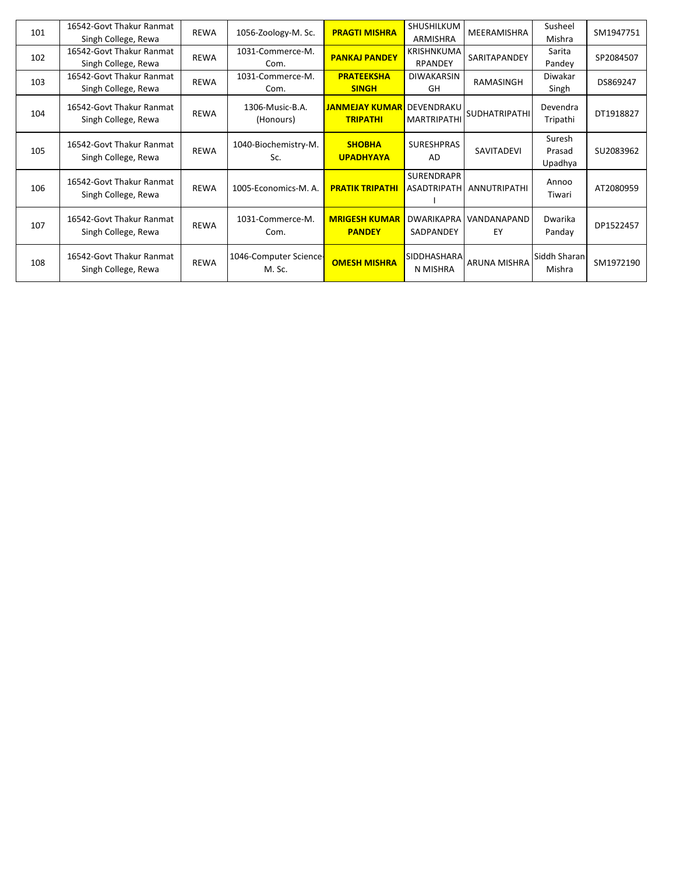| 101 | 16542-Govt Thakur Ranmat                        | <b>REWA</b> | 1056-Zoology-M. Sc.              | <b>PRAGTI MISHRA</b>                     | SHUSHILKUM                       | MEERAMISHRA                | Susheel                     | SM1947751 |
|-----|-------------------------------------------------|-------------|----------------------------------|------------------------------------------|----------------------------------|----------------------------|-----------------------------|-----------|
|     | Singh College, Rewa                             |             |                                  |                                          | <b>ARMISHRA</b>                  |                            | Mishra                      |           |
| 102 | 16542-Govt Thakur Ranmat                        | <b>REWA</b> | 1031-Commerce-M.                 | <b>PANKAJ PANDEY</b>                     | <b>KRISHNKUMA</b>                | SARITAPANDEY               | Sarita                      | SP2084507 |
|     | Singh College, Rewa                             |             | Com.                             |                                          | <b>RPANDEY</b>                   |                            | Pandey                      |           |
| 103 | 16542-Govt Thakur Ranmat                        | <b>REWA</b> | 1031-Commerce-M.                 | <b>PRATEEKSHA</b>                        | <b>DIWAKARSIN</b>                | RAMASINGH                  | Diwakar                     | DS869247  |
|     | Singh College, Rewa                             |             | Com.                             | <b>SINGH</b>                             | GH                               |                            | Singh                       |           |
| 104 | 16542-Govt Thakur Ranmat<br>Singh College, Rewa | <b>REWA</b> | 1306-Music-B.A.<br>(Honours)     | <b>JANMEJAY KUMAR</b><br><b>TRIPATHI</b> | DEVENDRAKU<br><b>MARTRIPATHI</b> | <b>SUDHATRIPATHI</b>       | Devendra<br>Tripathi        | DT1918827 |
| 105 | 16542-Govt Thakur Ranmat<br>Singh College, Rewa | <b>REWA</b> | 1040-Biochemistry-M.<br>Sc.      | <b>SHOBHA</b><br><b>UPADHYAYA</b>        | <b>SURESHPRAS</b><br>AD          | SAVITADEVI                 | Suresh<br>Prasad<br>Upadhya | SU2083962 |
| 106 | 16542-Govt Thakur Ranmat<br>Singh College, Rewa | <b>REWA</b> | 1005-Economics-M. A.             | <b>PRATIK TRIPATHI</b>                   | <b>SURENDRAPR</b>                | ASADTRIPATH   ANNUTRIPATHI | Annoo<br>Tiwari             | AT2080959 |
| 107 | 16542-Govt Thakur Ranmat<br>Singh College, Rewa | <b>REWA</b> | 1031-Commerce-M.<br>Com.         | <b>MRIGESH KUMAR</b><br><b>PANDEY</b>    | <b>DWARIKAPRA</b><br>SADPANDEY   | l VANDANAPAND<br>EY        | Dwarika<br>Panday           | DP1522457 |
| 108 | 16542-Govt Thakur Ranmat<br>Singh College, Rewa | <b>REWA</b> | 1046-Computer Science-<br>M. Sc. | <b>OMESH MISHRA</b>                      | <b>SIDDHASHARA</b><br>N MISHRA   | <b>ARUNA MISHRA</b>        | Siddh Sharan<br>Mishra      | SM1972190 |